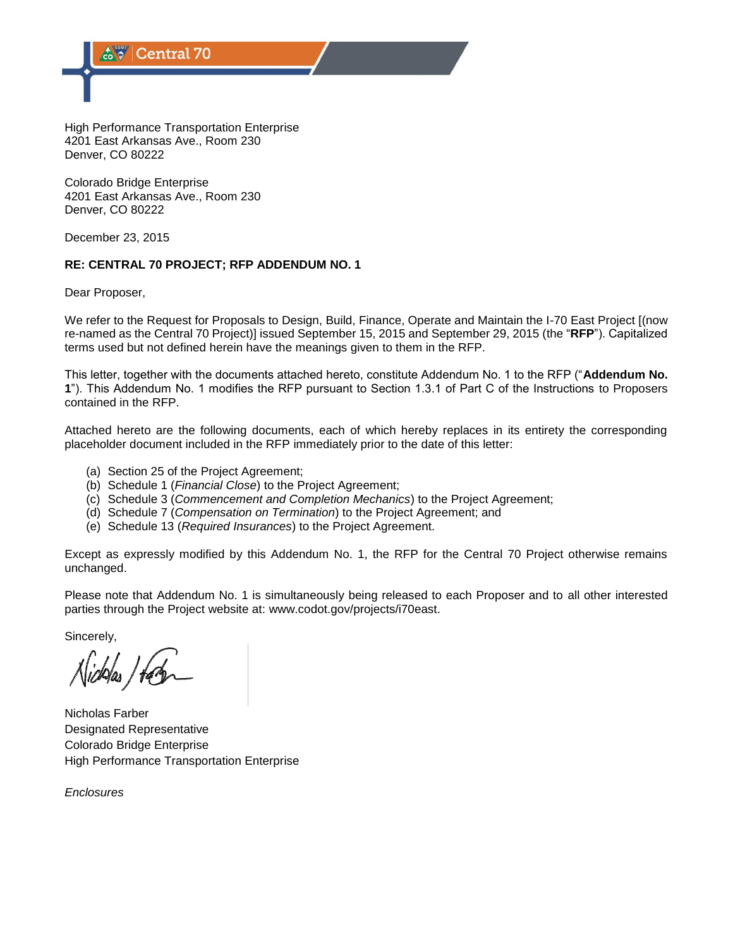High Performance Transportation Enterprise 4201 East Arkansas Ave., Room 230 Denver, CO 80222

Colorado Bridge Enterprise 4201 East Arkansas Ave., Room 230 Denver, CO 80222

December 23, 2015

## **RE: CENTRAL 70 PROJECT; RFP ADDENDUM NO. 1**

Dear Proposer,

We refer to the Request for Proposals to Design, Build, Finance, Operate and Maintain the I-70 East Project [(now re-named as the Central 70 Project)] issued September 15, 2015 and September 29, 2015 (the "**RFP**"). Capitalized terms used but not defined herein have the meanings given to them in the RFP.

This letter, together with the documents attached hereto, constitute Addendum No. 1 to the RFP ("**Addendum No. 1**"). This Addendum No. 1 modifies the RFP pursuant to Section 1.3.1 of Part C of the Instructions to Proposers contained in the RFP.

Attached hereto are the following documents, each of which hereby replaces in its entirety the corresponding placeholder document included in the RFP immediately prior to the date of this letter:

- (a) Section 25 of the Project Agreement;
- (b) Schedule 1 (*Financial Close*) to the Project Agreement;
- (c) Schedule 3 (*Commencement and Completion Mechanics*) to the Project Agreement;
- (d) Schedule 7 (*Compensation on Termination*) to the Project Agreement; and
- (e) Schedule 13 (*Required Insurances*) to the Project Agreement.

Except as expressly modified by this Addendum No. 1, the RFP for the Central 70 Project otherwise remains unchanged.

Please note that Addendum No. 1 is simultaneously being released to each Proposer and to all other interested parties through the Project website at: www.codot.gov/projects/i70east.

Sincerely,

Nicholas Farber Designated Representative Colorado Bridge Enterprise High Performance Transportation Enterprise

*Enclosures*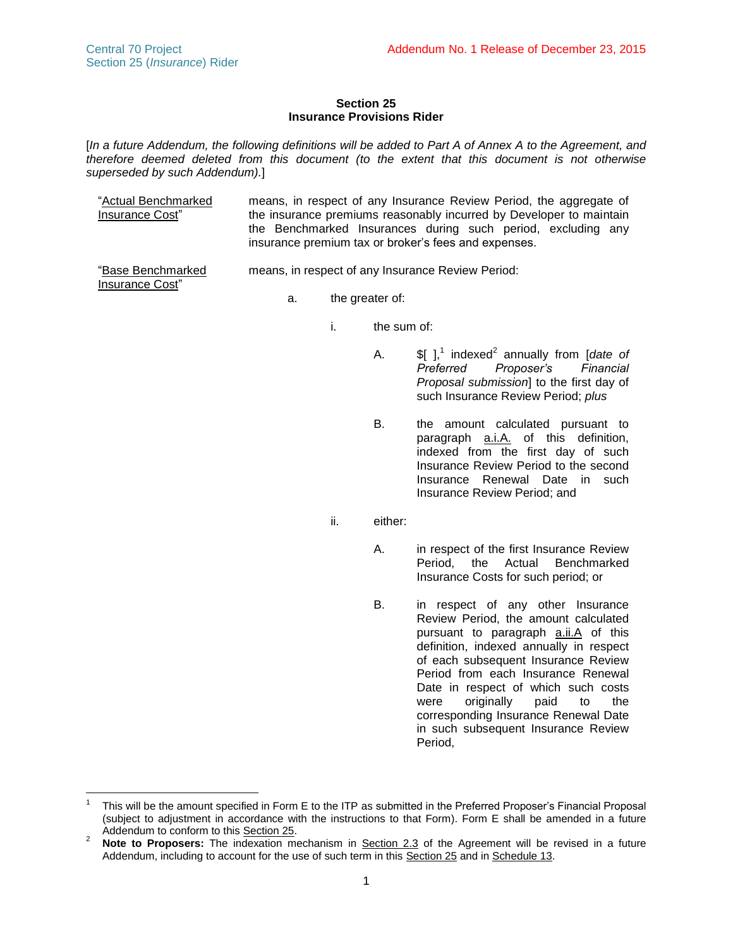### **Section 25 Insurance Provisions Rider**

[*In a future Addendum, the following definitions will be added to Part A of Annex A to the Agreement, and therefore deemed deleted from this document (to the extent that this document is not otherwise superseded by such Addendum).*]

| "Actual Benchmarked<br>Insurance Cost" | means, in respect of any Insurance Review Period, the aggregate of<br>the insurance premiums reasonably incurred by Developer to maintain<br>the Benchmarked Insurances during such period, excluding any<br>insurance premium tax or broker's fees and expenses. |
|----------------------------------------|-------------------------------------------------------------------------------------------------------------------------------------------------------------------------------------------------------------------------------------------------------------------|
| "Base Benchmarked                      | means, in respect of any Insurance Review Period:                                                                                                                                                                                                                 |

means, in respect of any Insurance Review Period:

Insurance Cost"

a. the greater of:

- i. the sum of:
	- A.  $\oint$   $\int_1^1$  indexed<sup>2</sup> annually from [*date of Preferred Proposer's Financial Proposal submission*] to the first day of such Insurance Review Period; *plus*
	- B. the amount calculated pursuant to paragraph a.i.A. of this definition, indexed from the first day of such Insurance Review Period to the second Insurance Renewal Date in such Insurance Review Period; and
- ii. either:
	- A. in respect of the first Insurance Review Period, the Actual Benchmarked Insurance Costs for such period; or
	- B. in respect of any other Insurance Review Period, the amount calculated pursuant to paragraph **a.ii.A** of this definition, indexed annually in respect of each subsequent Insurance Review Period from each Insurance Renewal Date in respect of which such costs were originally paid to the corresponding Insurance Renewal Date in such subsequent Insurance Review Period,

 $\overline{a}$ 1 This will be the amount specified in Form E to the ITP as submitted in the Preferred Proposer's Financial Proposal (subject to adjustment in accordance with the instructions to that Form). Form E shall be amended in a future Addendum to conform to this Section 25.

<sup>&</sup>lt;sup>2</sup> Note to Proposers: The indexation mechanism in <u>Section 2.3</u> of the Agreement will be revised in a future Addendum, including to account for the use of such term in this Section 25 and in Schedule 13.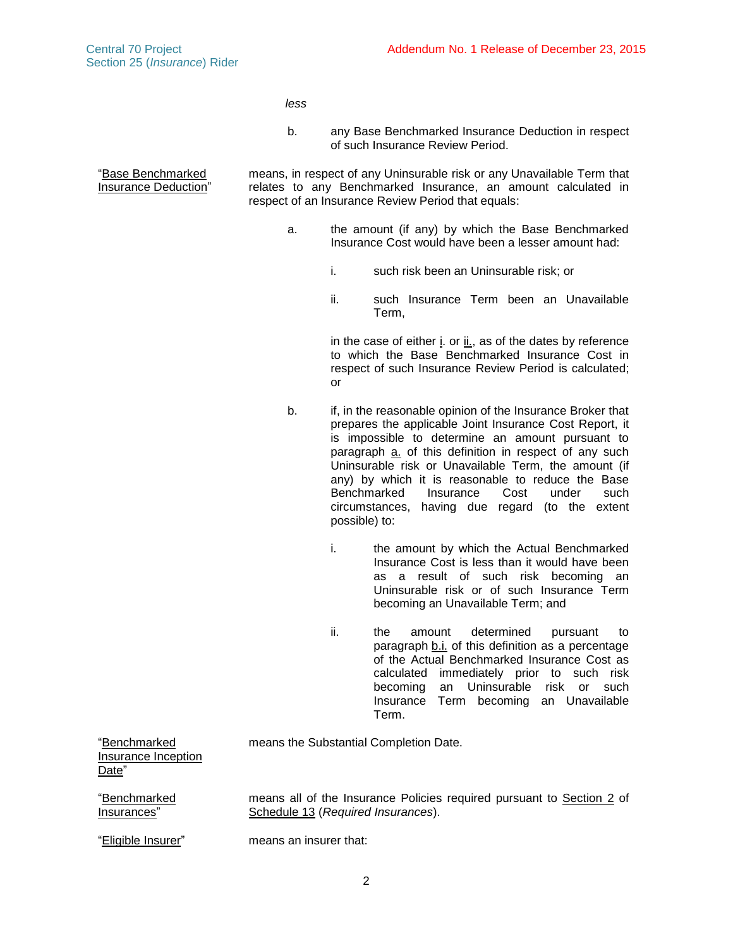"Base Benchmarked Insurance Deduction" *less*

b. any Base Benchmarked Insurance Deduction in respect of such Insurance Review Period.

means, in respect of any Uninsurable risk or any Unavailable Term that relates to any Benchmarked Insurance, an amount calculated in respect of an Insurance Review Period that equals:

- a. the amount (if any) by which the Base Benchmarked Insurance Cost would have been a lesser amount had:
	- i. such risk been an Uninsurable risk; or
	- ii. such Insurance Term been an Unavailable Term,

in the case of either i. or ii., as of the dates by reference to which the Base Benchmarked Insurance Cost in respect of such Insurance Review Period is calculated; or

- <span id="page-2-1"></span><span id="page-2-0"></span>b. if, in the reasonable opinion of the Insurance Broker that prepares the applicable Joint Insurance Cost Report, it is impossible to determine an amount pursuant to paragraph a. of this definition in respect of any such Uninsurable risk or Unavailable Term, the amount (if any) by which it is reasonable to reduce the Base Benchmarked Insurance Cost under such circumstances, having due regard (to the extent possible) to:
	- i. the amount by which the Actual Benchmarked Insurance Cost is less than it would have been as a result of such risk becoming an Uninsurable risk or of such Insurance Term becoming an Unavailable Term; and
	- ii. the amount determined pursuant to paragraph [b](#page-2-0)[.i.](#page-2-1) of this definition as a percentage of the Actual Benchmarked Insurance Cost as calculated immediately prior to such risk becoming an Uninsurable risk or such Insurance Term becoming an Unavailable Term.

means the Substantial Completion Date.

"Benchmarked Insurance Inception Date"

"Benchmarked Insurances"

means all of the Insurance Policies required pursuant to Section 2 of Schedule 13 (*Required Insurances*).

"Eligible Insurer" means an insurer that: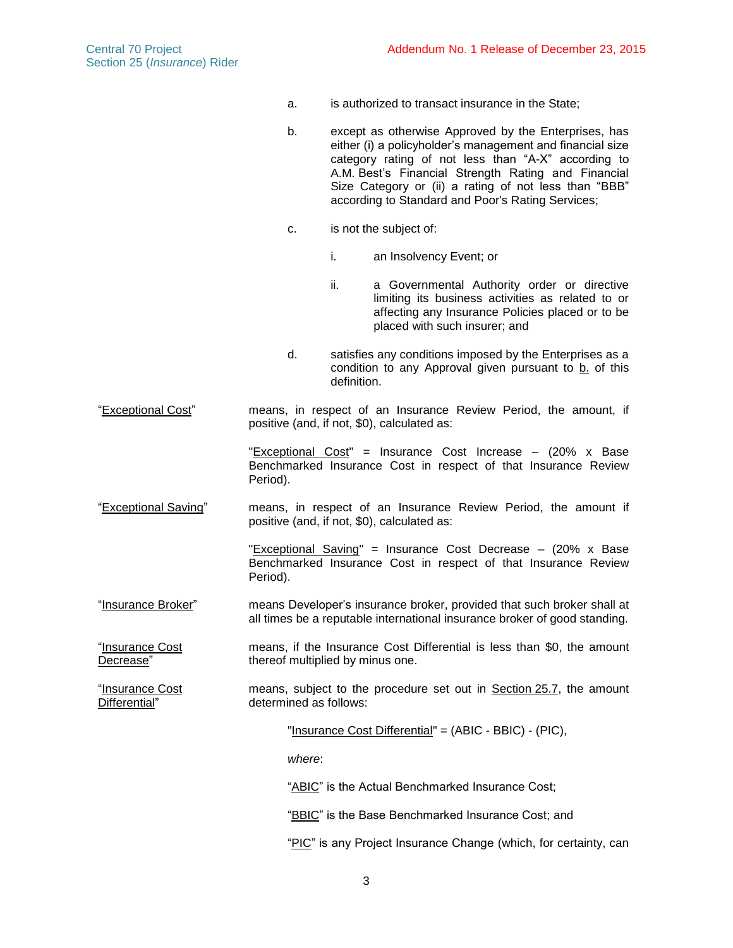- a. is authorized to transact insurance in the State;
- b. except as otherwise Approved by the Enterprises, has either (i) a policyholder's management and financial size category rating of not less than "A-X" according to A.M. Best's Financial Strength Rating and Financial Size Category or (ii) a rating of not less than "BBB" according to Standard and Poor's Rating Services;
- c. is not the subject of:
	- i. an Insolvency Event; or
	- ii. a Governmental Authority order or directive limiting its business activities as related to or affecting any Insurance Policies placed or to be placed with such insurer; and
- d. satisfies any conditions imposed by the Enterprises as a condition to any Approval given pursuant to  $b$ . of this definition.

"Exceptional Cost" means, in respect of an Insurance Review Period, the amount, if positive (and, if not, \$0), calculated as:

> "Exceptional Cost" = Insurance Cost Increase – (20% x Base Benchmarked Insurance Cost in respect of that Insurance Review Period).

"Exceptional Saving" means, in respect of an Insurance Review Period, the amount if positive (and, if not, \$0), calculated as:

> "Exceptional Saving" = Insurance Cost Decrease – (20% x Base Benchmarked Insurance Cost in respect of that Insurance Review Period).

"Insurance Broker" means Developer's insurance broker, provided that such broker shall at all times be a reputable international insurance broker of good standing.

"Insurance Cost Decrease" means, if the Insurance Cost Differential is less than \$0, the amount thereof multiplied by minus one.

"Insurance Cost Differential" means, subject to the procedure set out in Section [25.7,](#page-13-0) the amount determined as follows:

"Insurance Cost Differential" = (ABIC - BBIC) - (PIC),

*where*:

"ABIC" is the Actual Benchmarked Insurance Cost;

"BBIC" is the Base Benchmarked Insurance Cost; and

"PIC" is any Project Insurance Change (which, for certainty, can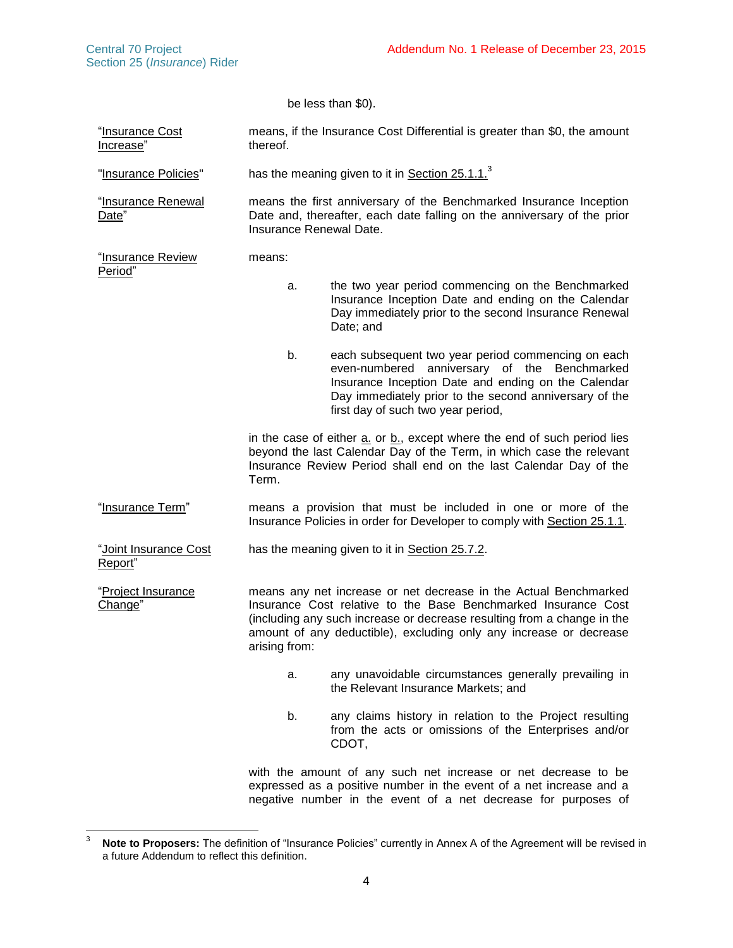be less than \$0). "Insurance Cost Increase" means, if the Insurance Cost Differential is greater than \$0, the amount thereof. "Insurance Policies" has the meaning given to it in Section 25.1.1. $^3$ "Insurance Renewal Date" means the first anniversary of the Benchmarked Insurance Inception Date and, thereafter, each date falling on the anniversary of the prior Insurance Renewal Date. "Insurance Review Period" means: a. the two year period commencing on the Benchmarked Insurance Inception Date and ending on the Calendar Day immediately prior to the second Insurance Renewal Date; and b. each subsequent two year period commencing on each even-numbered anniversary of the Benchmarked Insurance Inception Date and ending on the Calendar Day immediately prior to the second anniversary of the first day of such two year period, in the case of either a. or b., except where the end of such period lies beyond the last Calendar Day of the Term, in which case the relevant Insurance Review Period shall end on the last Calendar Day of the Term. "Insurance Term" means a provision that must be included in one or more of the Insurance Policies in order for Developer to comply with Section [25.1.1.](#page-6-0) "Joint Insurance Cost Report" has the meaning given to it in Section [25.7.2.](#page-13-1) "Project Insurance Change" means any net increase or net decrease in the Actual Benchmarked Insurance Cost relative to the Base Benchmarked Insurance Cost (including any such increase or decrease resulting from a change in the amount of any deductible), excluding only any increase or decrease arising from: a. any unavoidable circumstances generally prevailing in the Relevant Insurance Markets; and b. any claims history in relation to the Project resulting from the acts or omissions of the Enterprises and/or CDOT, with the amount of any such net increase or net decrease to be expressed as a positive number in the event of a net increase and a

negative number in the event of a net decrease for purposes of

<sup>3</sup> Note to Proposers: The definition of "Insurance Policies" currently in Annex A of the Agreement will be revised in a future Addendum to reflect this definition.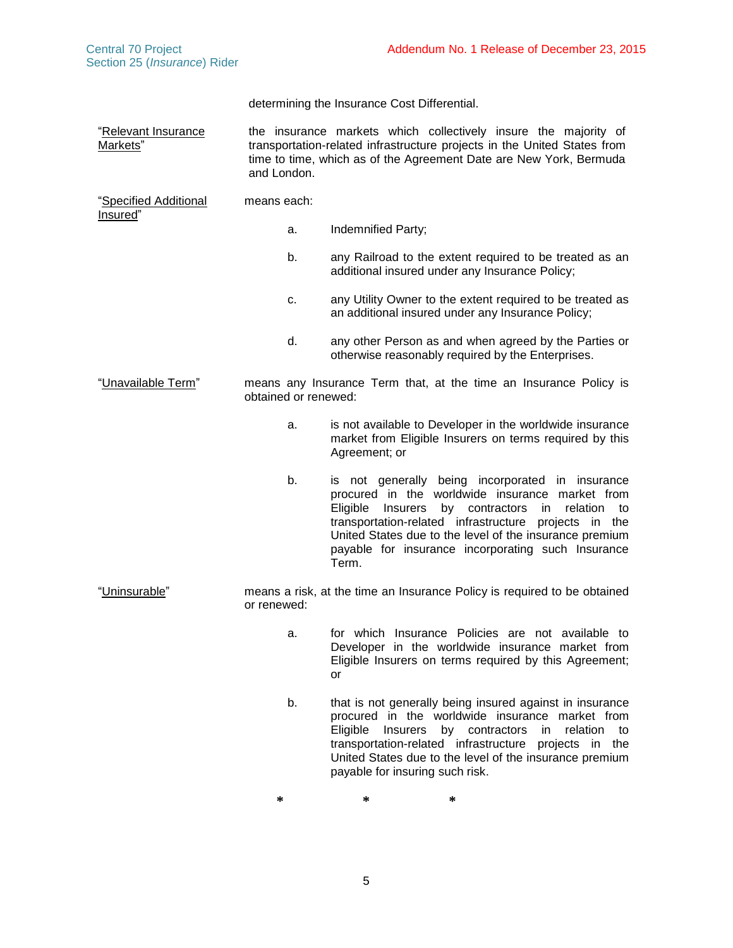| Section 25 (Insurance) Rider      |                                                                                                                                                                                                                                  |
|-----------------------------------|----------------------------------------------------------------------------------------------------------------------------------------------------------------------------------------------------------------------------------|
|                                   | determining the Insurance Cost Differential.                                                                                                                                                                                     |
| "Relevant Insurance<br>Markets"   | the insurance markets which collectively insure the majority of<br>transportation-related infrastructure projects in the United States from<br>time to time, which as of the Agreement Date are New York, Bermuda<br>and London. |
| "Specified Additional<br>Insured" | means each:                                                                                                                                                                                                                      |
|                                   | Indemnified Party;<br>a.                                                                                                                                                                                                         |

- b. any Railroad to the extent required to be treated as an additional insured under any Insurance Policy;
- c. any Utility Owner to the extent required to be treated as an additional insured under any Insurance Policy;
- d. any other Person as and when agreed by the Parties or otherwise reasonably required by the Enterprises.

"Unavailable Term" means any Insurance Term that, at the time an Insurance Policy is obtained or renewed:

- a. is not available to Developer in the worldwide insurance market from Eligible Insurers on terms required by this Agreement; or
- b. is not generally being incorporated in insurance procured in the worldwide insurance market from Eligible Insurers by contractors in relation to transportation-related infrastructure projects in the United States due to the level of the insurance premium payable for insurance incorporating such Insurance Term.
- "Uninsurable" means a risk, at the time an Insurance Policy is required to be obtained or renewed:
	- a. for which Insurance Policies are not available to Developer in the worldwide insurance market from Eligible Insurers on terms required by this Agreement; or
	- b. that is not generally being insured against in insurance procured in the worldwide insurance market from Eligible Insurers by contractors in relation to transportation-related infrastructure projects in the United States due to the level of the insurance premium payable for insuring such risk.

**\* \* \***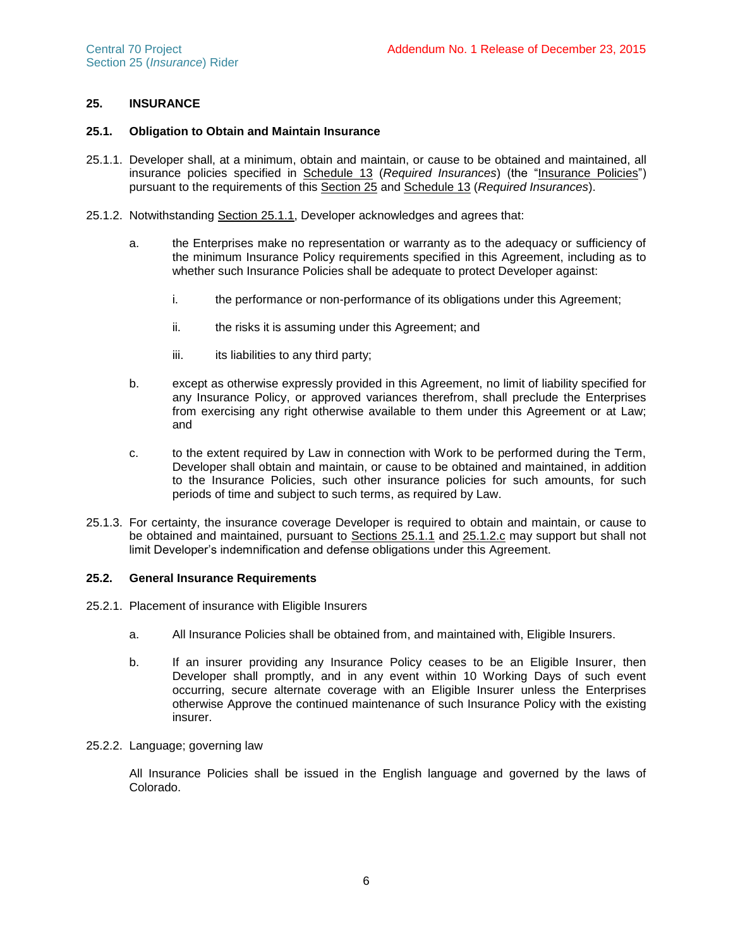# **25. INSURANCE**

# **25.1. Obligation to Obtain and Maintain Insurance**

- <span id="page-6-0"></span>25.1.1. Developer shall, at a minimum, obtain and maintain, or cause to be obtained and maintained, all insurance policies specified in Schedule 13 (*Required Insurances*) (the "Insurance Policies") pursuant to the requirements of this Section 25 and Schedule 13 (*Required Insurances*).
- 25.1.2. Notwithstanding Section [25.1.1,](#page-6-0) Developer acknowledges and agrees that:
	- a. the Enterprises make no representation or warranty as to the adequacy or sufficiency of the minimum Insurance Policy requirements specified in this Agreement, including as to whether such Insurance Policies shall be adequate to protect Developer against:
		- i. the performance or non-performance of its obligations under this Agreement;
		- ii. the risks it is assuming under this Agreement; and
		- iii. its liabilities to any third party;
	- b. except as otherwise expressly provided in this Agreement, no limit of liability specified for any Insurance Policy, or approved variances therefrom, shall preclude the Enterprises from exercising any right otherwise available to them under this Agreement or at Law; and
	- c. to the extent required by Law in connection with Work to be performed during the Term, Developer shall obtain and maintain, or cause to be obtained and maintained, in addition to the Insurance Policies, such other insurance policies for such amounts, for such periods of time and subject to such terms, as required by Law.
- <span id="page-6-1"></span>25.1.3. For certainty, the insurance coverage Developer is required to obtain and maintain, or cause to be obtained and maintained, pursuant to Sections [25.1.1](#page-6-0) and [25.1.2.c](#page-6-1) may support but shall not limit Developer's indemnification and defense obligations under this Agreement.

### **25.2. General Insurance Requirements**

- 25.2.1. Placement of insurance with Eligible Insurers
	- a. All Insurance Policies shall be obtained from, and maintained with, Eligible Insurers.
	- b. If an insurer providing any Insurance Policy ceases to be an Eligible Insurer, then Developer shall promptly, and in any event within 10 Working Days of such event occurring, secure alternate coverage with an Eligible Insurer unless the Enterprises otherwise Approve the continued maintenance of such Insurance Policy with the existing insurer.

#### 25.2.2. Language; governing law

All Insurance Policies shall be issued in the English language and governed by the laws of Colorado.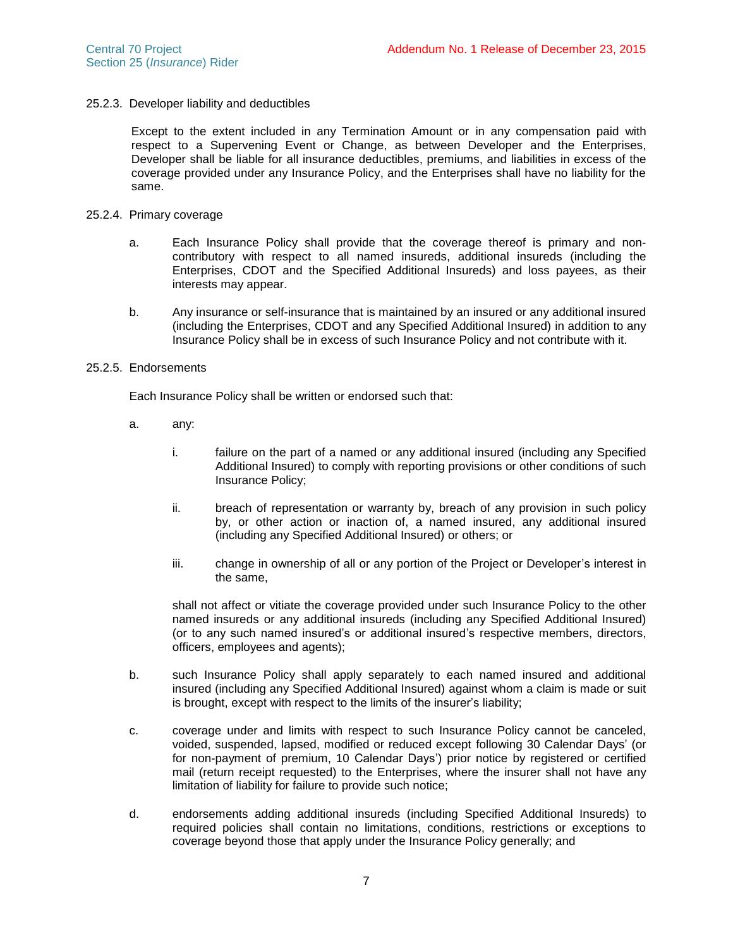### 25.2.3. Developer liability and deductibles

Except to the extent included in any Termination Amount or in any compensation paid with respect to a Supervening Event or Change, as between Developer and the Enterprises, Developer shall be liable for all insurance deductibles, premiums, and liabilities in excess of the coverage provided under any Insurance Policy, and the Enterprises shall have no liability for the same.

#### 25.2.4. Primary coverage

- a. Each Insurance Policy shall provide that the coverage thereof is primary and noncontributory with respect to all named insureds, additional insureds (including the Enterprises, CDOT and the Specified Additional Insureds) and loss payees, as their interests may appear.
- b. Any insurance or self-insurance that is maintained by an insured or any additional insured (including the Enterprises, CDOT and any Specified Additional Insured) in addition to any Insurance Policy shall be in excess of such Insurance Policy and not contribute with it.

### 25.2.5. Endorsements

Each Insurance Policy shall be written or endorsed such that:

- a. any:
	- i. failure on the part of a named or any additional insured (including any Specified Additional Insured) to comply with reporting provisions or other conditions of such Insurance Policy;
	- ii. breach of representation or warranty by, breach of any provision in such policy by, or other action or inaction of, a named insured, any additional insured (including any Specified Additional Insured) or others; or
	- iii. change in ownership of all or any portion of the Project or Developer's interest in the same,

shall not affect or vitiate the coverage provided under such Insurance Policy to the other named insureds or any additional insureds (including any Specified Additional Insured) (or to any such named insured's or additional insured's respective members, directors, officers, employees and agents);

- b. such Insurance Policy shall apply separately to each named insured and additional insured (including any Specified Additional Insured) against whom a claim is made or suit is brought, except with respect to the limits of the insurer's liability;
- c. coverage under and limits with respect to such Insurance Policy cannot be canceled, voided, suspended, lapsed, modified or reduced except following 30 Calendar Days' (or for non-payment of premium, 10 Calendar Days') prior notice by registered or certified mail (return receipt requested) to the Enterprises, where the insurer shall not have any limitation of liability for failure to provide such notice;
- d. endorsements adding additional insureds (including Specified Additional Insureds) to required policies shall contain no limitations, conditions, restrictions or exceptions to coverage beyond those that apply under the Insurance Policy generally; and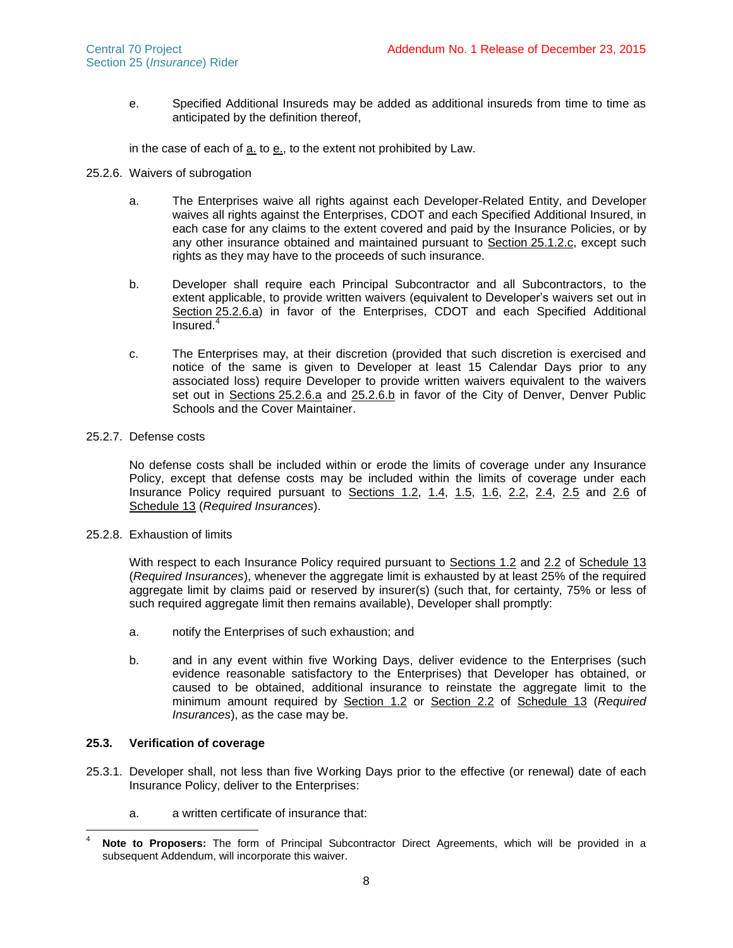<span id="page-8-1"></span>e. Specified Additional Insureds may be added as additional insureds from time to time as anticipated by the definition thereof,

in the case of each of [a.](#page-8-0) to [e.](#page-8-1), to the extent not prohibited by Law.

- <span id="page-8-0"></span>25.2.6. Waivers of subrogation
	- a. The Enterprises waive all rights against each Developer-Related Entity, and Developer waives all rights against the Enterprises, CDOT and each Specified Additional Insured, in each case for any claims to the extent covered and paid by the Insurance Policies, or by any other insurance obtained and maintained pursuant to Section 25.1.2.c, except such rights as they may have to the proceeds of such insurance.
	- b. Developer shall require each Principal Subcontractor and all Subcontractors, to the extent applicable, to provide written waivers (equivalent to Developer's waivers set out in Section [25.2.6.a\)](#page-8-0) in favor of the Enterprises, CDOT and each Specified Additional Insured. 4
	- c. The Enterprises may, at their discretion (provided that such discretion is exercised and notice of the same is given to Developer at least 15 Calendar Days prior to any associated loss) require Developer to provide written waivers equivalent to the waivers set out in Sections [25.2.6.a](#page-8-0) and 25.2.6.b in favor of the City of Denver, Denver Public Schools and the Cover Maintainer.

### 25.2.7. Defense costs

No defense costs shall be included within or erode the limits of coverage under any Insurance Policy, except that defense costs may be included within the limits of coverage under each Insurance Policy required pursuant to Sections 1.2, 1.4, 1.5, 1.6, 2.2, 2.4, 2.5 and 2.6 of Schedule 13 (*Required Insurances*).

25.2.8. Exhaustion of limits

With respect to each Insurance Policy required pursuant to Sections 1.2 and 2.2 of Schedule 13 (*Required Insurances*), whenever the aggregate limit is exhausted by at least 25% of the required aggregate limit by claims paid or reserved by insurer(s) (such that, for certainty, 75% or less of such required aggregate limit then remains available), Developer shall promptly:

- a. notify the Enterprises of such exhaustion; and
- b. and in any event within five Working Days, deliver evidence to the Enterprises (such evidence reasonable satisfactory to the Enterprises) that Developer has obtained, or caused to be obtained, additional insurance to reinstate the aggregate limit to the minimum amount required by Section 1.2 or Section 2.2 of Schedule 13 (*Required Insurances*), as the case may be.

## **25.3. Verification of coverage**

- <span id="page-8-2"></span>25.3.1. Developer shall, not less than five Working Days prior to the effective (or renewal) date of each Insurance Policy, deliver to the Enterprises:
	- a. a written certificate of insurance that:

 $\overline{4}$ Note to Proposers: The form of Principal Subcontractor Direct Agreements, which will be provided in a subsequent Addendum, will incorporate this waiver.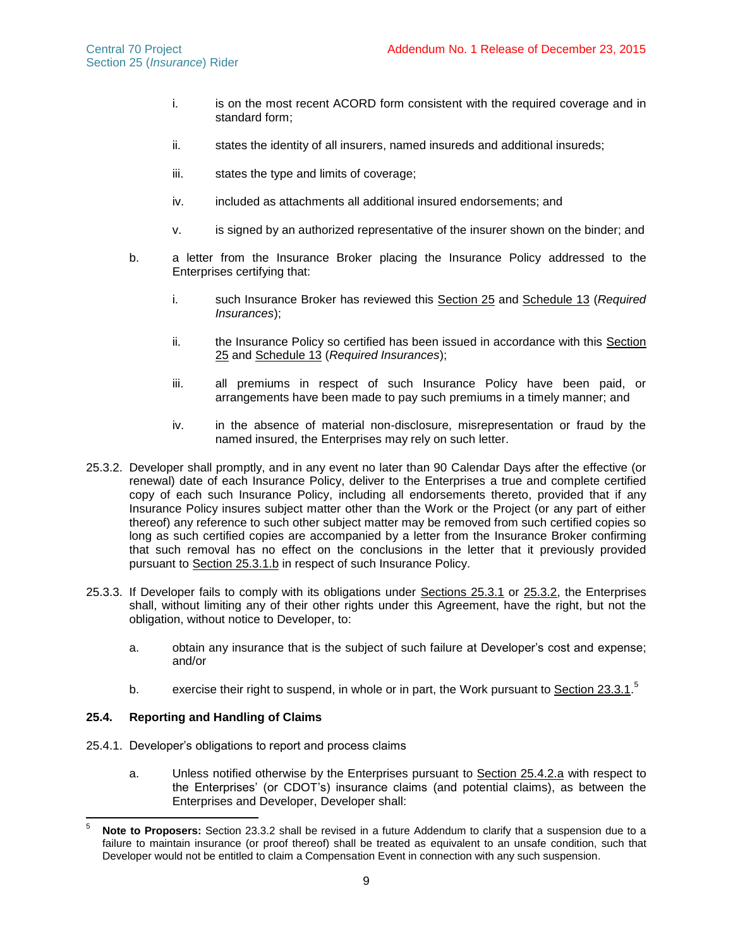- i. is on the most recent ACORD form consistent with the required coverage and in standard form;
- ii. states the identity of all insurers, named insureds and additional insureds;
- iii. states the type and limits of coverage;
- iv. included as attachments all additional insured endorsements; and
- v. is signed by an authorized representative of the insurer shown on the binder; and
- <span id="page-9-0"></span>b. a letter from the Insurance Broker placing the Insurance Policy addressed to the Enterprises certifying that:
	- i. such Insurance Broker has reviewed this Section 25 and Schedule 13 (*Required Insurances*);
	- ii. the Insurance Policy so certified has been issued in accordance with this Section 25 and Schedule 13 (*Required Insurances*);
	- iii. all premiums in respect of such Insurance Policy have been paid, or arrangements have been made to pay such premiums in a timely manner; and
	- iv. in the absence of material non-disclosure, misrepresentation or fraud by the named insured, the Enterprises may rely on such letter.
- <span id="page-9-1"></span>25.3.2. Developer shall promptly, and in any event no later than 90 Calendar Days after the effective (or renewal) date of each Insurance Policy, deliver to the Enterprises a true and complete certified copy of each such Insurance Policy, including all endorsements thereto, provided that if any Insurance Policy insures subject matter other than the Work or the Project (or any part of either thereof) any reference to such other subject matter may be removed from such certified copies so long as such certified copies are accompanied by a letter from the Insurance Broker confirming that such removal has no effect on the conclusions in the letter that it previously provided pursuant to Section [25.3.1.b](#page-9-0) in respect of such Insurance Policy.
- 25.3.3. If Developer fails to comply with its obligations under Sections [25.3.1](#page-8-2) or [25.3.2,](#page-9-1) the Enterprises shall, without limiting any of their other rights under this Agreement, have the right, but not the obligation, without notice to Developer, to:
	- a. obtain any insurance that is the subject of such failure at Developer's cost and expense; and/or
	- b.  $\qquad$  exercise their right to suspend, in whole or in part, the Work pursuant to Section 23.3.1.<sup>5</sup>

## <span id="page-9-3"></span>**25.4. Reporting and Handling of Claims**

- <span id="page-9-2"></span>25.4.1. Developer's obligations to report and process claims
	- a. Unless notified otherwise by the Enterprises pursuant to Section [25.4.2.a](#page-10-0) with respect to the Enterprises' (or CDOT's) insurance claims (and potential claims), as between the Enterprises and Developer, Developer shall:

<sup>5</sup> Note to Proposers: Section 23.3.2 shall be revised in a future Addendum to clarify that a suspension due to a failure to maintain insurance (or proof thereof) shall be treated as equivalent to an unsafe condition, such that Developer would not be entitled to claim a Compensation Event in connection with any such suspension.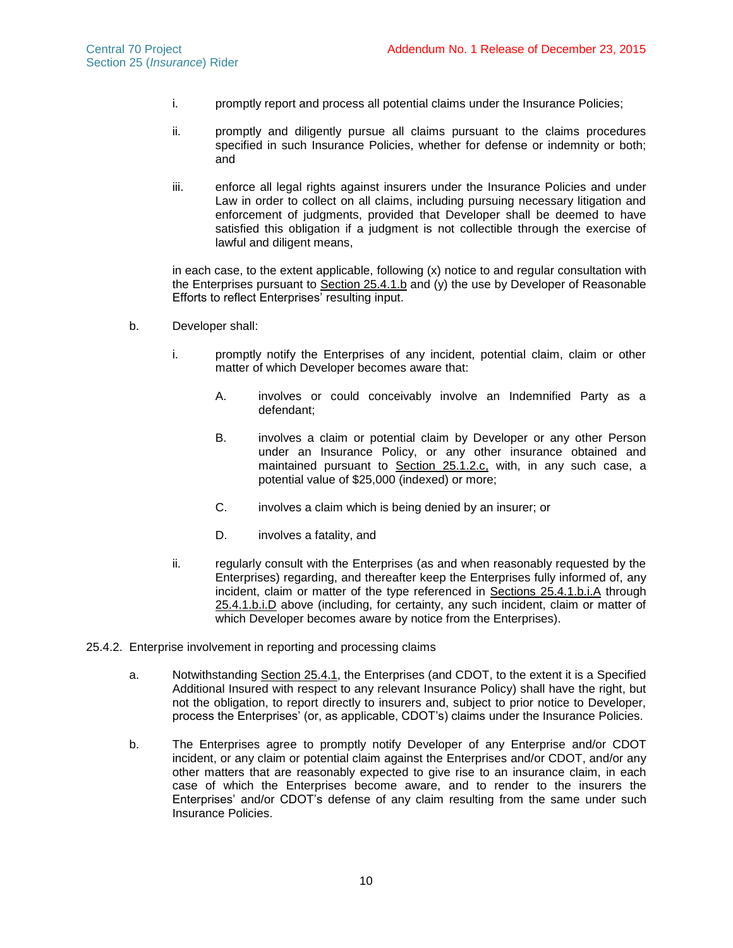- i. promptly report and process all potential claims under the Insurance Policies;
- ii. promptly and diligently pursue all claims pursuant to the claims procedures specified in such Insurance Policies, whether for defense or indemnity or both; and
- iii. enforce all legal rights against insurers under the Insurance Policies and under Law in order to collect on all claims, including pursuing necessary litigation and enforcement of judgments, provided that Developer shall be deemed to have satisfied this obligation if a judgment is not collectible through the exercise of lawful and diligent means,

in each case, to the extent applicable, following (x) notice to and regular consultation with the Enterprises pursuant to Section [25.4.1.b](#page-10-1) and (y) the use by Developer of Reasonable Efforts to reflect Enterprises' resulting input.

- <span id="page-10-2"></span><span id="page-10-1"></span>b. Developer shall:
	- i. promptly notify the Enterprises of any incident, potential claim, claim or other matter of which Developer becomes aware that:
		- A. involves or could conceivably involve an Indemnified Party as a defendant;
		- B. involves a claim or potential claim by Developer or any other Person under an Insurance Policy, or any other insurance obtained and maintained pursuant to Section 25.1.2.c, with, in any such case, a potential value of \$25,000 (indexed) or more;
		- C. involves a claim which is being denied by an insurer; or
		- D. involves a fatality, and
	- ii. regularly consult with the Enterprises (as and when reasonably requested by the Enterprises) regarding, and thereafter keep the Enterprises fully informed of, any incident, claim or matter of the type referenced in Sections [25.4.1.b.i.A](#page-10-2) through [25.4.1.b.i.D](#page-10-3) above (including, for certainty, any such incident, claim or matter of which Developer becomes aware by notice from the Enterprises).
- <span id="page-10-3"></span><span id="page-10-0"></span>25.4.2. Enterprise involvement in reporting and processing claims
	- a. Notwithstanding Section [25.4.1,](#page-9-2) the Enterprises (and CDOT, to the extent it is a Specified Additional Insured with respect to any relevant Insurance Policy) shall have the right, but not the obligation, to report directly to insurers and, subject to prior notice to Developer, process the Enterprises' (or, as applicable, CDOT's) claims under the Insurance Policies.
	- b. The Enterprises agree to promptly notify Developer of any Enterprise and/or CDOT incident, or any claim or potential claim against the Enterprises and/or CDOT, and/or any other matters that are reasonably expected to give rise to an insurance claim, in each case of which the Enterprises become aware, and to render to the insurers the Enterprises' and/or CDOT's defense of any claim resulting from the same under such Insurance Policies.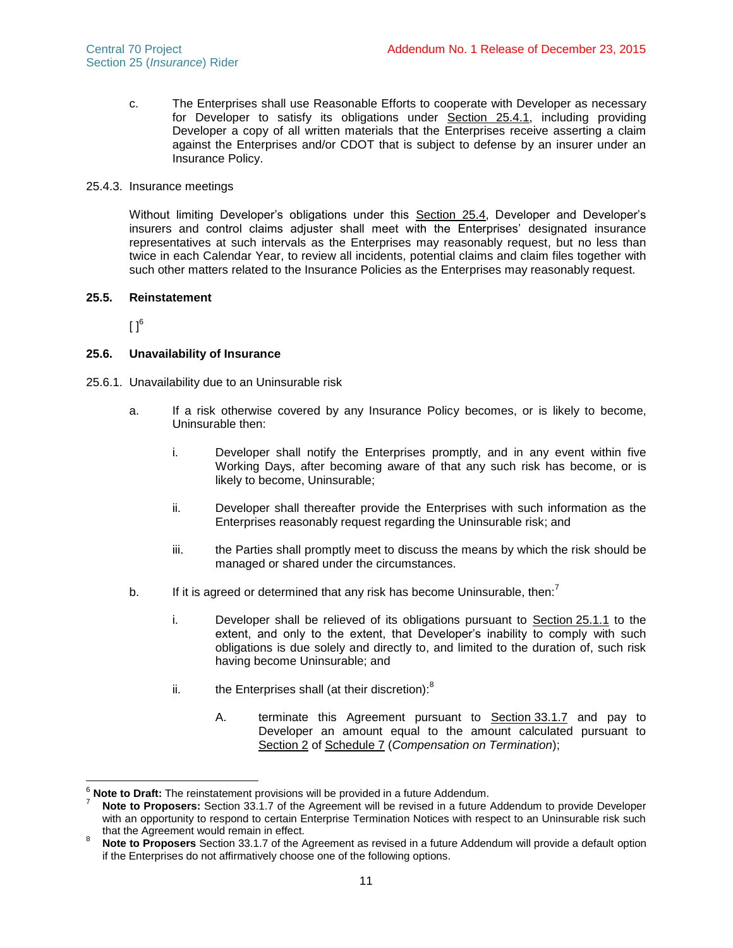c. The Enterprises shall use Reasonable Efforts to cooperate with Developer as necessary for Developer to satisfy its obligations under Section [25.4.1,](#page-9-2) including providing Developer a copy of all written materials that the Enterprises receive asserting a claim against the Enterprises and/or CDOT that is subject to defense by an insurer under an Insurance Policy.

### 25.4.3. Insurance meetings

Without limiting Developer's obligations under this Section [25.4,](#page-9-3) Developer and Developer's insurers and control claims adjuster shall meet with the Enterprises' designated insurance representatives at such intervals as the Enterprises may reasonably request, but no less than twice in each Calendar Year, to review all incidents, potential claims and claim files together with such other matters related to the Insurance Policies as the Enterprises may reasonably request.

# **25.5. Reinstatement**

 $[ ]^6$ 

 $\overline{\phantom{a}}$ 

## **25.6. Unavailability of Insurance**

- 25.6.1. Unavailability due to an Uninsurable risk
	- a. If a risk otherwise covered by any Insurance Policy becomes, or is likely to become, Uninsurable then:
		- i. Developer shall notify the Enterprises promptly, and in any event within five Working Days, after becoming aware of that any such risk has become, or is likely to become, Uninsurable;
		- ii. Developer shall thereafter provide the Enterprises with such information as the Enterprises reasonably request regarding the Uninsurable risk; and
		- iii. the Parties shall promptly meet to discuss the means by which the risk should be managed or shared under the circumstances.
	- b. If it is agreed or determined that any risk has become Uninsurable, then: $<sup>7</sup>$ </sup>
		- i. Developer shall be relieved of its obligations pursuant to Section [25.1.1](#page-6-0) to the extent, and only to the extent, that Developer's inability to comply with such obligations is due solely and directly to, and limited to the duration of, such risk having become Uninsurable; and
		- ii. the Enterprises shall (at their discretion): $8$ 
			- A. terminate this Agreement pursuant to Section 33.1.7 and pay to Developer an amount equal to the amount calculated pursuant to Section 2 of Schedule 7 (*Compensation on Termination*);

**Note to Draft:** The reinstatement provisions will be provided in a future Addendum.

Note to Proposers: Section 33.1.7 of the Agreement will be revised in a future Addendum to provide Developer with an opportunity to respond to certain Enterprise Termination Notices with respect to an Uninsurable risk such that the Agreement would remain in effect.

<sup>8</sup> **Note to Proposers** Section 33.1.7 of the Agreement as revised in a future Addendum will provide a default option if the Enterprises do not affirmatively choose one of the following options.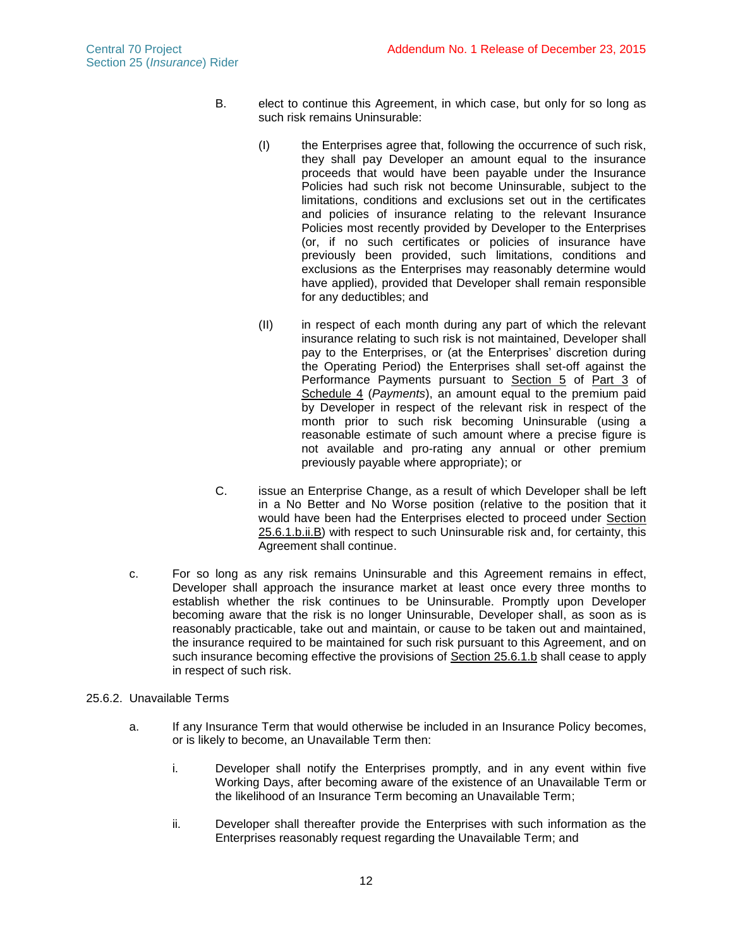- <span id="page-12-0"></span>B. elect to continue this Agreement, in which case, but only for so long as such risk remains Uninsurable:
	- (I) the Enterprises agree that, following the occurrence of such risk, they shall pay Developer an amount equal to the insurance proceeds that would have been payable under the Insurance Policies had such risk not become Uninsurable, subject to the limitations, conditions and exclusions set out in the certificates and policies of insurance relating to the relevant Insurance Policies most recently provided by Developer to the Enterprises (or, if no such certificates or policies of insurance have previously been provided, such limitations, conditions and exclusions as the Enterprises may reasonably determine would have applied), provided that Developer shall remain responsible for any deductibles; and
	- (II) in respect of each month during any part of which the relevant insurance relating to such risk is not maintained, Developer shall pay to the Enterprises, or (at the Enterprises' discretion during the Operating Period) the Enterprises shall set-off against the Performance Payments pursuant to Section 5 of Part 3 of Schedule 4 (*Payments*), an amount equal to the premium paid by Developer in respect of the relevant risk in respect of the month prior to such risk becoming Uninsurable (using a reasonable estimate of such amount where a precise figure is not available and pro-rating any annual or other premium previously payable where appropriate); or
- C. issue an Enterprise Change, as a result of which Developer shall be left in a No Better and No Worse position (relative to the position that it would have been had the Enterprises elected to proceed under Section [25.6.1.b.ii.B\)](#page-12-0) with respect to such Uninsurable risk and, for certainty, this Agreement shall continue.
- c. For so long as any risk remains Uninsurable and this Agreement remains in effect, Developer shall approach the insurance market at least once every three months to establish whether the risk continues to be Uninsurable. Promptly upon Developer becoming aware that the risk is no longer Uninsurable, Developer shall, as soon as is reasonably practicable, take out and maintain, or cause to be taken out and maintained, the insurance required to be maintained for such risk pursuant to this Agreement, and on such insurance becoming effective the provisions of Section 25.6.1.b shall cease to apply in respect of such risk.
- 25.6.2. Unavailable Terms
	- a. If any Insurance Term that would otherwise be included in an Insurance Policy becomes, or is likely to become, an Unavailable Term then:
		- i. Developer shall notify the Enterprises promptly, and in any event within five Working Days, after becoming aware of the existence of an Unavailable Term or the likelihood of an Insurance Term becoming an Unavailable Term;
		- ii. Developer shall thereafter provide the Enterprises with such information as the Enterprises reasonably request regarding the Unavailable Term; and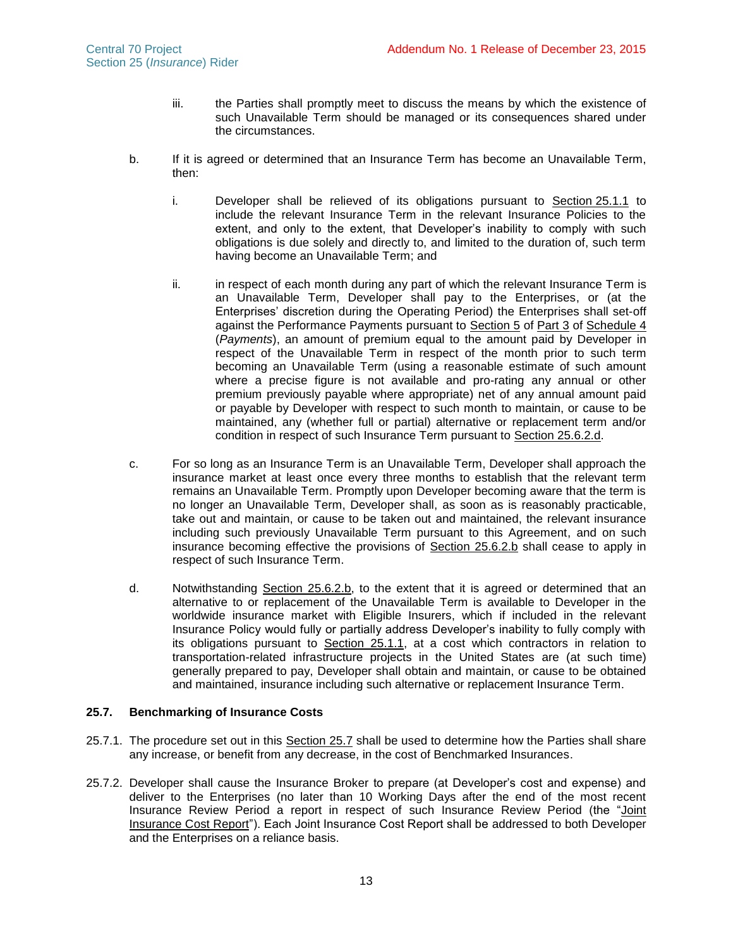- iii. the Parties shall promptly meet to discuss the means by which the existence of such Unavailable Term should be managed or its consequences shared under the circumstances.
- <span id="page-13-3"></span>b. If it is agreed or determined that an Insurance Term has become an Unavailable Term, then:
	- i. Developer shall be relieved of its obligations pursuant to Section [25.1.1](#page-6-0) to include the relevant Insurance Term in the relevant Insurance Policies to the extent, and only to the extent, that Developer's inability to comply with such obligations is due solely and directly to, and limited to the duration of, such term having become an Unavailable Term; and
	- ii. in respect of each month during any part of which the relevant Insurance Term is an Unavailable Term, Developer shall pay to the Enterprises, or (at the Enterprises' discretion during the Operating Period) the Enterprises shall set-off against the Performance Payments pursuant to Section 5 of Part 3 of Schedule 4 (*Payments*), an amount of premium equal to the amount paid by Developer in respect of the Unavailable Term in respect of the month prior to such term becoming an Unavailable Term (using a reasonable estimate of such amount where a precise figure is not available and pro-rating any annual or other premium previously payable where appropriate) net of any annual amount paid or payable by Developer with respect to such month to maintain, or cause to be maintained, any (whether full or partial) alternative or replacement term and/or condition in respect of such Insurance Term pursuant to Section [25.6.2.d.](#page-13-2)
- c. For so long as an Insurance Term is an Unavailable Term, Developer shall approach the insurance market at least once every three months to establish that the relevant term remains an Unavailable Term. Promptly upon Developer becoming aware that the term is no longer an Unavailable Term, Developer shall, as soon as is reasonably practicable, take out and maintain, or cause to be taken out and maintained, the relevant insurance including such previously Unavailable Term pursuant to this Agreement, and on such insurance becoming effective the provisions of Section [25.6.2.b](#page-13-3) shall cease to apply in respect of such Insurance Term.
- <span id="page-13-2"></span>d. Notwithstanding Section [25.6.2.b,](#page-13-3) to the extent that it is agreed or determined that an alternative to or replacement of the Unavailable Term is available to Developer in the worldwide insurance market with Eligible Insurers, which if included in the relevant Insurance Policy would fully or partially address Developer's inability to fully comply with its obligations pursuant to Section [25.1.1,](#page-6-0) at a cost which contractors in relation to transportation-related infrastructure projects in the United States are (at such time) generally prepared to pay, Developer shall obtain and maintain, or cause to be obtained and maintained, insurance including such alternative or replacement Insurance Term.

## <span id="page-13-0"></span>**25.7. Benchmarking of Insurance Costs**

- 25.7.1. The procedure set out in this Section [25.7](#page-13-0) shall be used to determine how the Parties shall share any increase, or benefit from any decrease, in the cost of Benchmarked Insurances.
- <span id="page-13-1"></span>25.7.2. Developer shall cause the Insurance Broker to prepare (at Developer's cost and expense) and deliver to the Enterprises (no later than 10 Working Days after the end of the most recent Insurance Review Period a report in respect of such Insurance Review Period (the "Joint Insurance Cost Report"). Each Joint Insurance Cost Report shall be addressed to both Developer and the Enterprises on a reliance basis.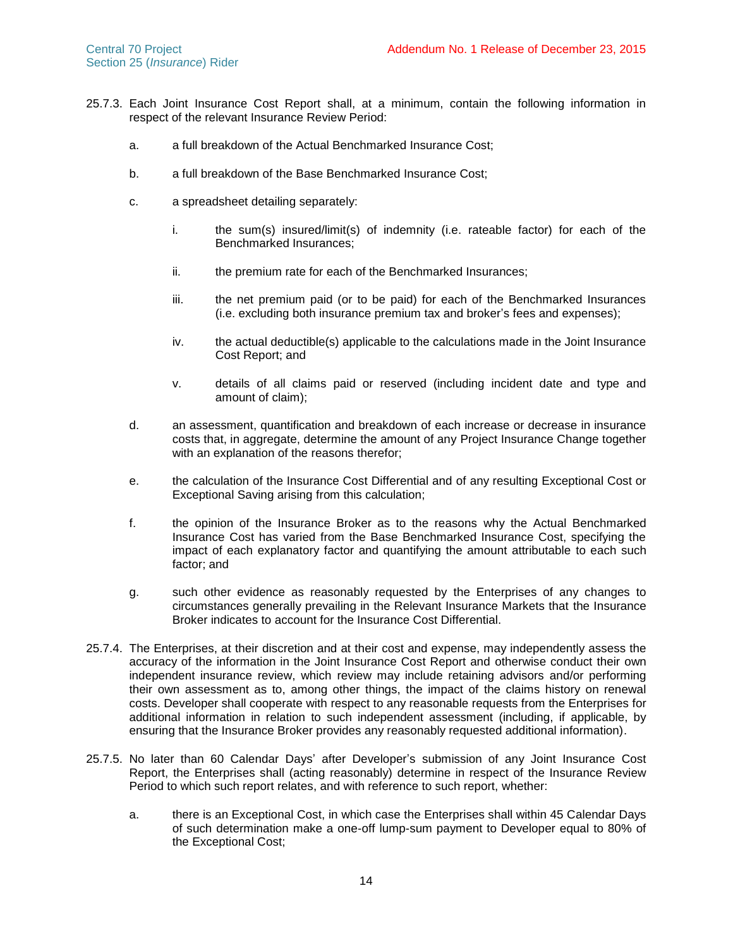- 25.7.3. Each Joint Insurance Cost Report shall, at a minimum, contain the following information in respect of the relevant Insurance Review Period:
	- a. a full breakdown of the Actual Benchmarked Insurance Cost;
	- b. a full breakdown of the Base Benchmarked Insurance Cost;
	- c. a spreadsheet detailing separately:
		- i. the sum(s) insured/limit(s) of indemnity (i.e. rateable factor) for each of the Benchmarked Insurances;
		- ii. the premium rate for each of the Benchmarked Insurances;
		- iii. the net premium paid (or to be paid) for each of the Benchmarked Insurances (i.e. excluding both insurance premium tax and broker's fees and expenses);
		- iv. the actual deductible(s) applicable to the calculations made in the Joint Insurance Cost Report; and
		- v. details of all claims paid or reserved (including incident date and type and amount of claim);
	- d. an assessment, quantification and breakdown of each increase or decrease in insurance costs that, in aggregate, determine the amount of any Project Insurance Change together with an explanation of the reasons therefor;
	- e. the calculation of the Insurance Cost Differential and of any resulting Exceptional Cost or Exceptional Saving arising from this calculation;
	- f. the opinion of the Insurance Broker as to the reasons why the Actual Benchmarked Insurance Cost has varied from the Base Benchmarked Insurance Cost, specifying the impact of each explanatory factor and quantifying the amount attributable to each such factor; and
	- g. such other evidence as reasonably requested by the Enterprises of any changes to circumstances generally prevailing in the Relevant Insurance Markets that the Insurance Broker indicates to account for the Insurance Cost Differential.
- 25.7.4. The Enterprises, at their discretion and at their cost and expense, may independently assess the accuracy of the information in the Joint Insurance Cost Report and otherwise conduct their own independent insurance review, which review may include retaining advisors and/or performing their own assessment as to, among other things, the impact of the claims history on renewal costs. Developer shall cooperate with respect to any reasonable requests from the Enterprises for additional information in relation to such independent assessment (including, if applicable, by ensuring that the Insurance Broker provides any reasonably requested additional information).
- 25.7.5. No later than 60 Calendar Days' after Developer's submission of any Joint Insurance Cost Report, the Enterprises shall (acting reasonably) determine in respect of the Insurance Review Period to which such report relates, and with reference to such report, whether:
	- a. there is an Exceptional Cost, in which case the Enterprises shall within 45 Calendar Days of such determination make a one-off lump-sum payment to Developer equal to 80% of the Exceptional Cost;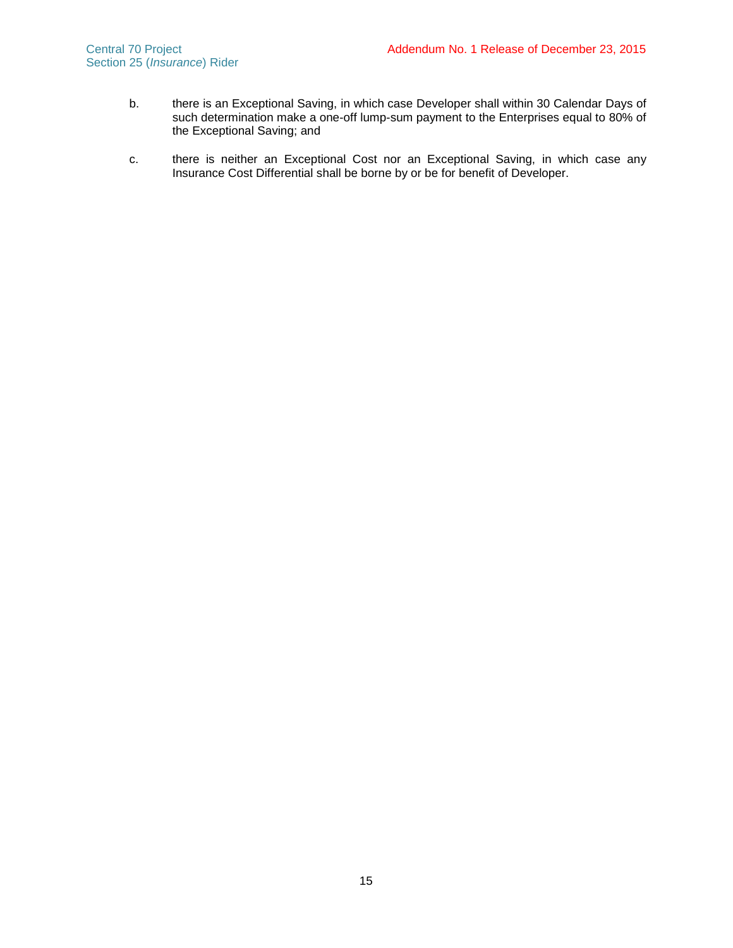- b. there is an Exceptional Saving, in which case Developer shall within 30 Calendar Days of such determination make a one-off lump-sum payment to the Enterprises equal to 80% of the Exceptional Saving; and
- c. there is neither an Exceptional Cost nor an Exceptional Saving, in which case any Insurance Cost Differential shall be borne by or be for benefit of Developer.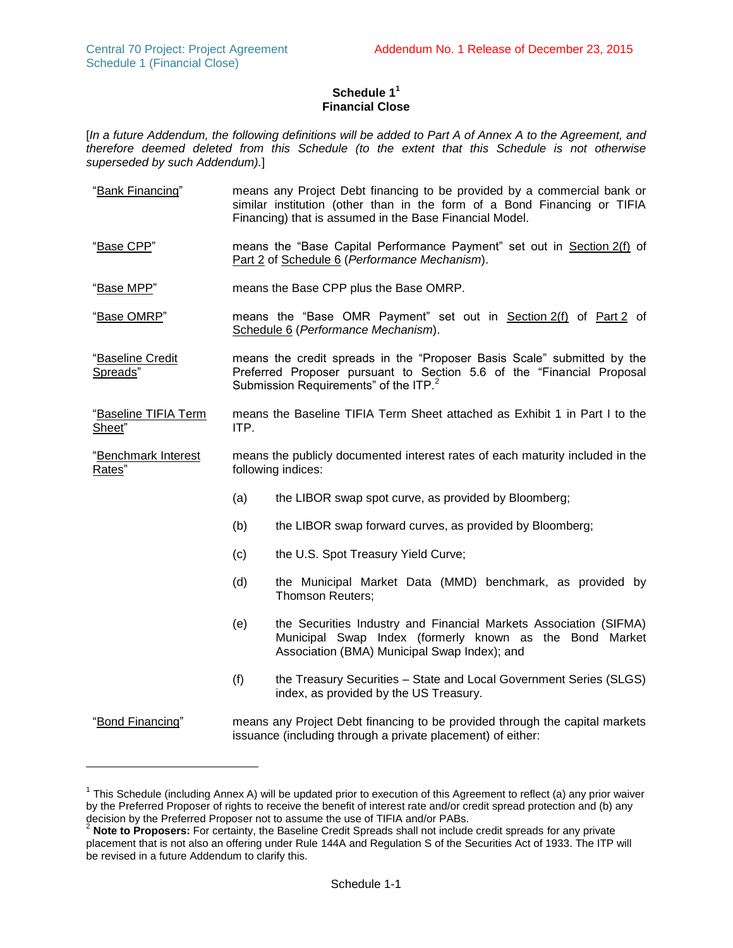# **Schedule 1 1 Financial Close**

[*In a future Addendum, the following definitions will be added to Part A of Annex A to the Agreement, and therefore deemed deleted from this Schedule (to the extent that this Schedule is not otherwise superseded by such Addendum).*]

- "Bank Financing" means any Project Debt financing to be provided by a commercial bank or similar institution (other than in the form of a Bond Financing or TIFIA Financing) that is assumed in the Base Financial Model.
- "Base CPP" means the "Base Capital Performance Payment" set out in Section 2(f) of Part 2 of Schedule 6 (*Performance Mechanism*).
- "Base MPP" means the Base CPP plus the Base OMRP.
- "Base OMRP" means the "Base OMR Payment" set out in Section 2(f) of Part 2 of Schedule 6 (*Performance Mechanism*).
- "Baseline Credit Spreads" means the credit spreads in the "Proposer Basis Scale" submitted by the Preferred Proposer pursuant to Section 5.6 of the "Financial Proposal Submission Requirements" of the ITP.<sup>2</sup>
- "Baseline TIFIA Term Sheet" means the Baseline TIFIA Term Sheet attached as Exhibit 1 in Part I to the ITP.
- "Benchmark Interest Rates" means the publicly documented interest rates of each maturity included in the following indices:
	- (a) the LIBOR swap spot curve, as provided by Bloomberg;
	- (b) the LIBOR swap forward curves, as provided by Bloomberg;
	- (c) the U.S. Spot Treasury Yield Curve;
	- (d) the Municipal Market Data (MMD) benchmark, as provided by Thomson Reuters;
	- (e) the Securities Industry and Financial Markets Association (SIFMA) Municipal Swap Index (formerly known as the Bond Market Association (BMA) Municipal Swap Index); and
	- (f) the Treasury Securities State and Local Government Series (SLGS) index, as provided by the US Treasury.

l

<sup>&</sup>quot;Bond Financing" means any Project Debt financing to be provided through the capital markets issuance (including through a private placement) of either:

<sup>&</sup>lt;sup>1</sup> This Schedule (including Annex A) will be updated prior to execution of this Agreement to reflect (a) any prior waiver by the Preferred Proposer of rights to receive the benefit of interest rate and/or credit spread protection and (b) any decision by the Preferred Proposer not to assume the use of TIFIA and/or PABs. <sup>2</sup> **Note to Proposers:** For certainty, the Baseline Credit Spreads shall not include credit spreads for any private

placement that is not also an offering under Rule 144A and Regulation S of the Securities Act of 1933. The ITP will be revised in a future Addendum to clarify this.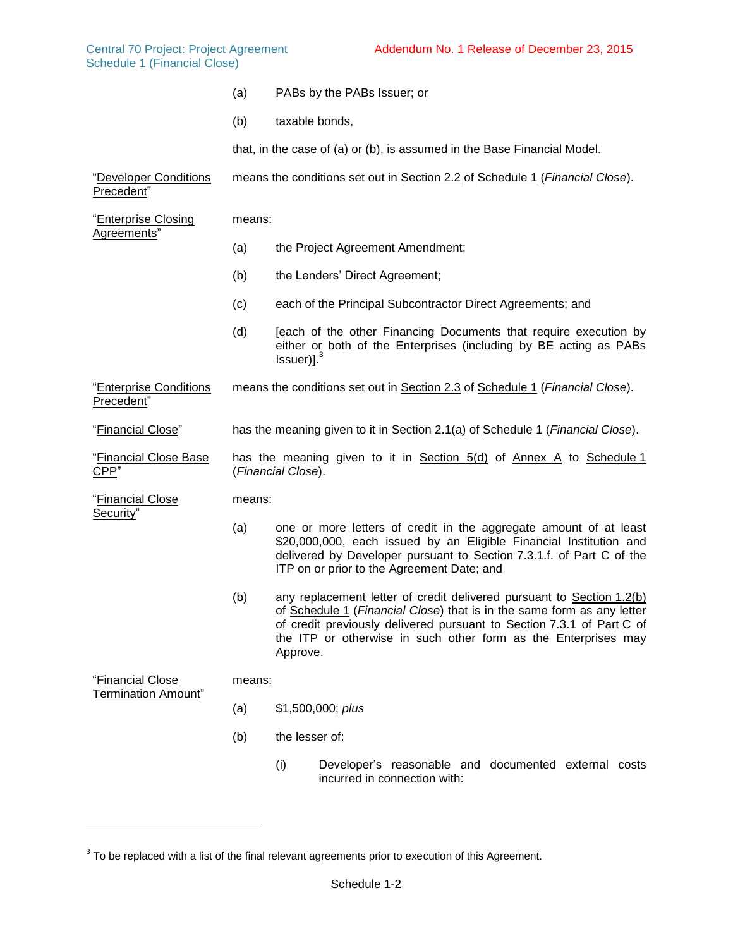- (a) PABs by the PABs Issuer; or
- (b) taxable bonds,

that, in the case of (a) or (b), is assumed in the Base Financial Model.

"Developer Conditions Precedent" means the conditions set out in Section [2.2](#page-22-0) of Schedule 1 (*Financial Close*).

"Enterprise Closing Agreements" means: (a) the Project Agreement Amendment; (b) the Lenders' Direct Agreement; (c) each of the Principal Subcontractor Direct Agreements; and (d) [each of the other Financing Documents that require execution by either or both of the Enterprises (including by BE acting as PABs  $Issuer$ <sup>3</sup> "Enterprise Conditions Precedent" means the conditions set out in Section [2.3](#page-24-0) of Schedule 1 (*Financial Close*). "Financial Close" has the meaning given to it in Section [2.1\(a\)](#page-21-0) of Schedule 1 (*Financial Close*). "Financial Close Base CPP" has the meaning given to it in Section 5(d) of Annex A to Schedule 1 (*Financial Close*). "Financial Close Security" means: (a) one or more letters of credit in the aggregate amount of at least \$20,000,000, each issued by an Eligible Financial Institution and delivered by Developer pursuant to Section 7.3.1.f. of Part C of the ITP on or prior to the Agreement Date; and (b) any replacement letter of credit delivered pursuant to Section [1.2\(b\)](#page-20-0) of Schedule 1 (*Financial Close*) that is in the same form as any letter of credit previously delivered pursuant to Section 7.3.1 of Part C of the ITP or otherwise in such other form as the Enterprises may Approve. "Financial Close Termination Amount" means: (a) \$1,500,000; *plus*

(b) the lesser of:

l

(i) Developer's reasonable and documented external costs incurred in connection with:

 $3$  To be replaced with a list of the final relevant agreements prior to execution of this Agreement.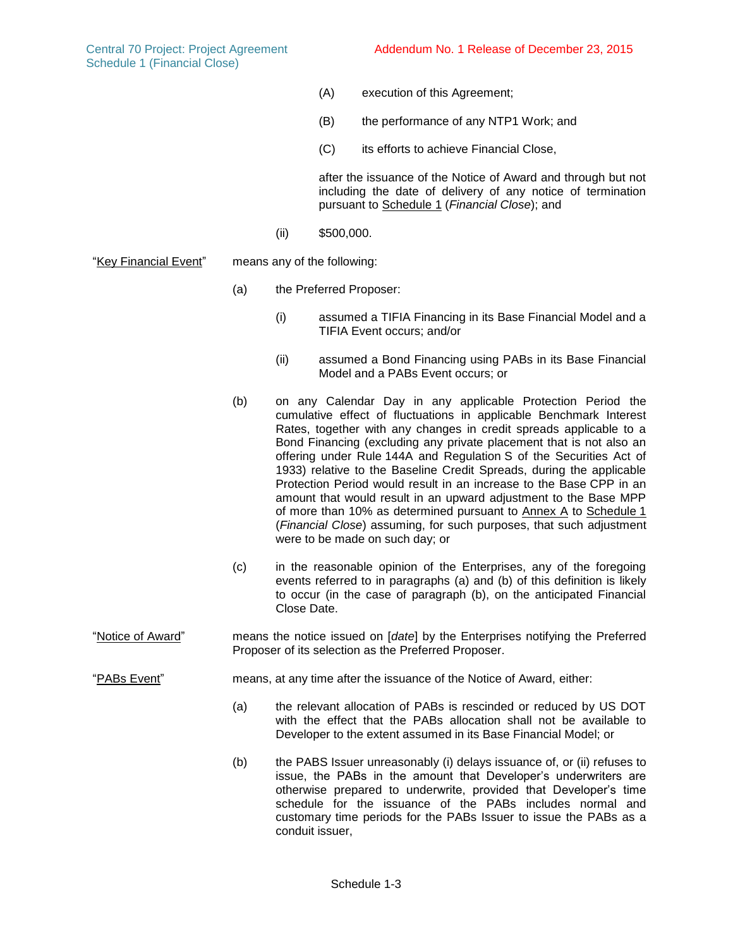- (A) execution of this Agreement;
- (B) the performance of any NTP1 Work; and
- (C) its efforts to achieve Financial Close,

after the issuance of the Notice of Award and through but not including the date of delivery of any notice of termination pursuant to Schedule 1 (*Financial Close*); and

- <span id="page-18-1"></span><span id="page-18-0"></span>(ii) \$500,000.
- "Key Financial Event" means any of the following:
	- (a) the Preferred Proposer:
		- (i) assumed a TIFIA Financing in its Base Financial Model and a TIFIA Event occurs; and/or
		- (ii) assumed a Bond Financing using PABs in its Base Financial Model and a PABs Event occurs; or
	- (b) on any Calendar Day in any applicable Protection Period the cumulative effect of fluctuations in applicable Benchmark Interest Rates, together with any changes in credit spreads applicable to a Bond Financing (excluding any private placement that is not also an offering under Rule 144A and Regulation S of the Securities Act of 1933) relative to the Baseline Credit Spreads, during the applicable Protection Period would result in an increase to the Base CPP in an amount that would result in an upward adjustment to the Base MPP of more than 10% as determined pursuant to Annex A to Schedule 1 (*Financial Close*) assuming, for such purposes, that such adjustment were to be made on such day; or
	- (c) in the reasonable opinion of the Enterprises, any of the foregoing events referred to in paragraphs [\(a\)](#page-18-0) and [\(b\)](#page-18-1) of this definition is likely to occur (in the case of paragraph (b), on the anticipated Financial Close Date.
- "Notice of Award" means the notice issued on [*date*] by the Enterprises notifying the Preferred Proposer of its selection as the Preferred Proposer.

"PABs Event" means, at any time after the issuance of the Notice of Award, either:

- <span id="page-18-2"></span>(a) the relevant allocation of PABs is rescinded or reduced by US DOT with the effect that the PABs allocation shall not be available to Developer to the extent assumed in its Base Financial Model; or
- <span id="page-18-3"></span>(b) the PABS Issuer unreasonably (i) delays issuance of, or (ii) refuses to issue, the PABs in the amount that Developer's underwriters are otherwise prepared to underwrite, provided that Developer's time schedule for the issuance of the PABs includes normal and customary time periods for the PABs Issuer to issue the PABs as a conduit issuer,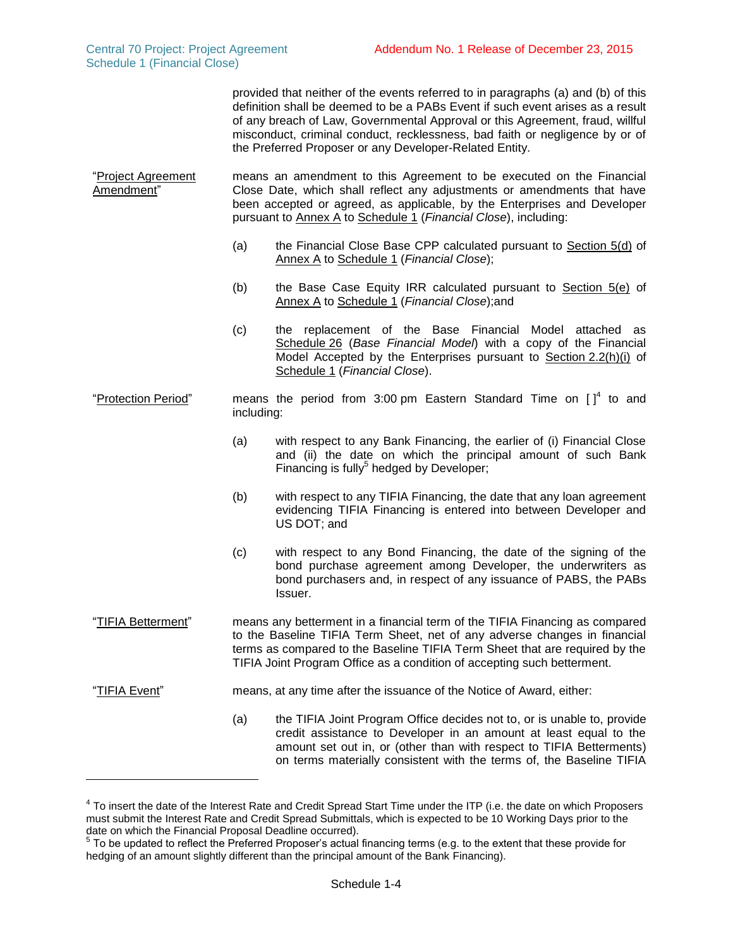$\overline{a}$ 

provided that neither of the events referred to in paragraphs [\(a\)](#page-18-2) and [\(b\)](#page-18-3) of this definition shall be deemed to be a PABs Event if such event arises as a result of any breach of Law, Governmental Approval or this Agreement, fraud, willful misconduct, criminal conduct, recklessness, bad faith or negligence by or of the Preferred Proposer or any Developer-Related Entity.

"Project Agreement Amendment" means an amendment to this Agreement to be executed on the Financial Close Date, which shall reflect any adjustments or amendments that have been accepted or agreed, as applicable, by the Enterprises and Developer pursuant to Annex A to Schedule 1 (*Financial Close*), including:

- (a) the Financial Close Base CPP calculated pursuant to Section 5(d) of Annex A to Schedule 1 (*Financial Close*);
- (b) the Base Case Equity IRR calculated pursuant to Section 5(e) of Annex A to Schedule 1 (*Financial Close*);and
- (c) the replacement of the Base Financial Model attached as Schedule 26 (*Base Financial Model*) with a copy of the Financial Model Accepted by the Enterprises pursuant to Section [2.2\(h\)\(i\)](#page-24-1) of Schedule 1 (*Financial Close*).
- "Protection Period" means the period from 3:00 pm Eastern Standard Time on  $\left[\right]^{4}$  to and including:
	- (a) with respect to any Bank Financing, the earlier of (i) Financial Close and (ii) the date on which the principal amount of such Bank Financing is fully<sup>5</sup> hedged by Developer;
	- (b) with respect to any TIFIA Financing, the date that any loan agreement evidencing TIFIA Financing is entered into between Developer and US DOT; and
	- (c) with respect to any Bond Financing, the date of the signing of the bond purchase agreement among Developer, the underwriters as bond purchasers and, in respect of any issuance of PABS, the PABs Issuer.

"TIFIA Betterment" means any betterment in a financial term of the TIFIA Financing as compared to the Baseline TIFIA Term Sheet, net of any adverse changes in financial terms as compared to the Baseline TIFIA Term Sheet that are required by the TIFIA Joint Program Office as a condition of accepting such betterment.

- <span id="page-19-0"></span>"TIFIA Event" means, at any time after the issuance of the Notice of Award, either:
	- (a) the TIFIA Joint Program Office decides not to, or is unable to, provide credit assistance to Developer in an amount at least equal to the amount set out in, or (other than with respect to TIFIA Betterments) on terms materially consistent with the terms of, the Baseline TIFIA

<sup>&</sup>lt;sup>4</sup> To insert the date of the Interest Rate and Credit Spread Start Time under the ITP (i.e. the date on which Proposers must submit the Interest Rate and Credit Spread Submittals, which is expected to be 10 Working Days prior to the date on which the Financial Proposal Deadline occurred).

 $5$  To be updated to reflect the Preferred Proposer's actual financing terms (e.g. to the extent that these provide for hedging of an amount slightly different than the principal amount of the Bank Financing).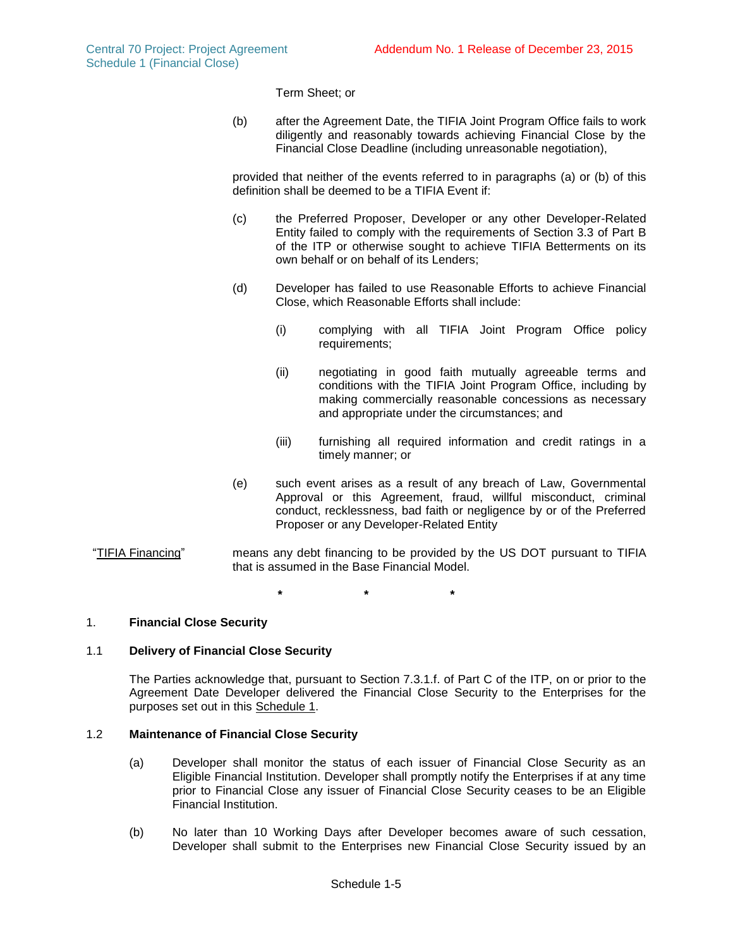Term Sheet; or

<span id="page-20-1"></span>(b) after the Agreement Date, the TIFIA Joint Program Office fails to work diligently and reasonably towards achieving Financial Close by the Financial Close Deadline (including unreasonable negotiation),

provided that neither of the events referred to in paragraphs [\(a\)](#page-19-0) or [\(b\)](#page-20-1) of this definition shall be deemed to be a TIFIA Event if:

- (c) the Preferred Proposer, Developer or any other Developer-Related Entity failed to comply with the requirements of Section 3.3 of Part B of the ITP or otherwise sought to achieve TIFIA Betterments on its own behalf or on behalf of its Lenders;
- (d) Developer has failed to use Reasonable Efforts to achieve Financial Close, which Reasonable Efforts shall include:
	- (i) complying with all TIFIA Joint Program Office policy requirements;
	- (ii) negotiating in good faith mutually agreeable terms and conditions with the TIFIA Joint Program Office, including by making commercially reasonable concessions as necessary and appropriate under the circumstances; and
	- (iii) furnishing all required information and credit ratings in a timely manner; or
- (e) such event arises as a result of any breach of Law, Governmental Approval or this Agreement, fraud, willful misconduct, criminal conduct, recklessness, bad faith or negligence by or of the Preferred Proposer or any Developer-Related Entity
- "TIFIA Financing" means any debt financing to be provided by the US DOT pursuant to TIFIA that is assumed in the Base Financial Model.

**\* \* \***

### 1. **Financial Close Security**

# 1.1 **Delivery of Financial Close Security**

The Parties acknowledge that, pursuant to Section 7.3.1.f. of Part C of the ITP, on or prior to the Agreement Date Developer delivered the Financial Close Security to the Enterprises for the purposes set out in this Schedule 1.

### 1.2 **Maintenance of Financial Close Security**

- (a) Developer shall monitor the status of each issuer of Financial Close Security as an Eligible Financial Institution. Developer shall promptly notify the Enterprises if at any time prior to Financial Close any issuer of Financial Close Security ceases to be an Eligible Financial Institution.
- <span id="page-20-0"></span>(b) No later than 10 Working Days after Developer becomes aware of such cessation, Developer shall submit to the Enterprises new Financial Close Security issued by an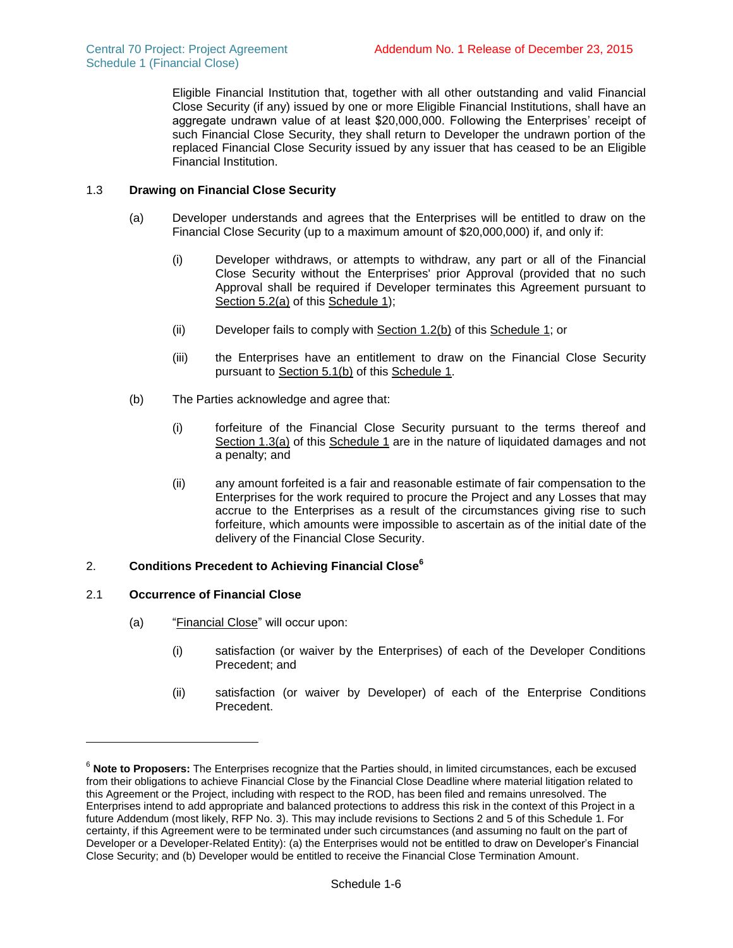Eligible Financial Institution that, together with all other outstanding and valid Financial Close Security (if any) issued by one or more Eligible Financial Institutions, shall have an aggregate undrawn value of at least \$20,000,000. Following the Enterprises' receipt of such Financial Close Security, they shall return to Developer the undrawn portion of the replaced Financial Close Security issued by any issuer that has ceased to be an Eligible Financial Institution.

## <span id="page-21-2"></span><span id="page-21-1"></span>1.3 **Drawing on Financial Close Security**

- (a) Developer understands and agrees that the Enterprises will be entitled to draw on the Financial Close Security (up to a maximum amount of \$20,000,000) if, and only if:
	- (i) Developer withdraws, or attempts to withdraw, any part or all of the Financial Close Security without the Enterprises' prior Approval (provided that no such Approval shall be required if Developer terminates this Agreement pursuant to Section [5.2\(a\)](#page-27-0) of this Schedule 1);
	- (ii) Developer fails to comply with Section [1.2\(b\)](#page-20-0) of this Schedule 1; or
	- (iii) the Enterprises have an entitlement to draw on the Financial Close Security pursuant to Section [5.1\(b\)](#page-27-1) of this Schedule 1.
- (b) The Parties acknowledge and agree that:
	- (i) forfeiture of the Financial Close Security pursuant to the terms thereof and Section [1.3\(a\)](#page-21-1) of this Schedule 1 are in the nature of liquidated damages and not a penalty; and
	- (ii) any amount forfeited is a fair and reasonable estimate of fair compensation to the Enterprises for the work required to procure the Project and any Losses that may accrue to the Enterprises as a result of the circumstances giving rise to such forfeiture, which amounts were impossible to ascertain as of the initial date of the delivery of the Financial Close Security.

# 2. **Conditions Precedent to Achieving Financial Close<sup>6</sup>**

# <span id="page-21-0"></span>2.1 **Occurrence of Financial Close**

l

- (a) "Financial Close" will occur upon:
	- (i) satisfaction (or waiver by the Enterprises) of each of the Developer Conditions Precedent; and
	- (ii) satisfaction (or waiver by Developer) of each of the Enterprise Conditions Precedent.

<sup>6</sup> **Note to Proposers:** The Enterprises recognize that the Parties should, in limited circumstances, each be excused from their obligations to achieve Financial Close by the Financial Close Deadline where material litigation related to this Agreement or the Project, including with respect to the ROD, has been filed and remains unresolved. The Enterprises intend to add appropriate and balanced protections to address this risk in the context of this Project in a future Addendum (most likely, RFP No. 3). This may include revisions to Sections 2 and 5 of this Schedule 1. For certainty, if this Agreement were to be terminated under such circumstances (and assuming no fault on the part of Developer or a Developer-Related Entity): (a) the Enterprises would not be entitled to draw on Developer's Financial Close Security; and (b) Developer would be entitled to receive the Financial Close Termination Amount.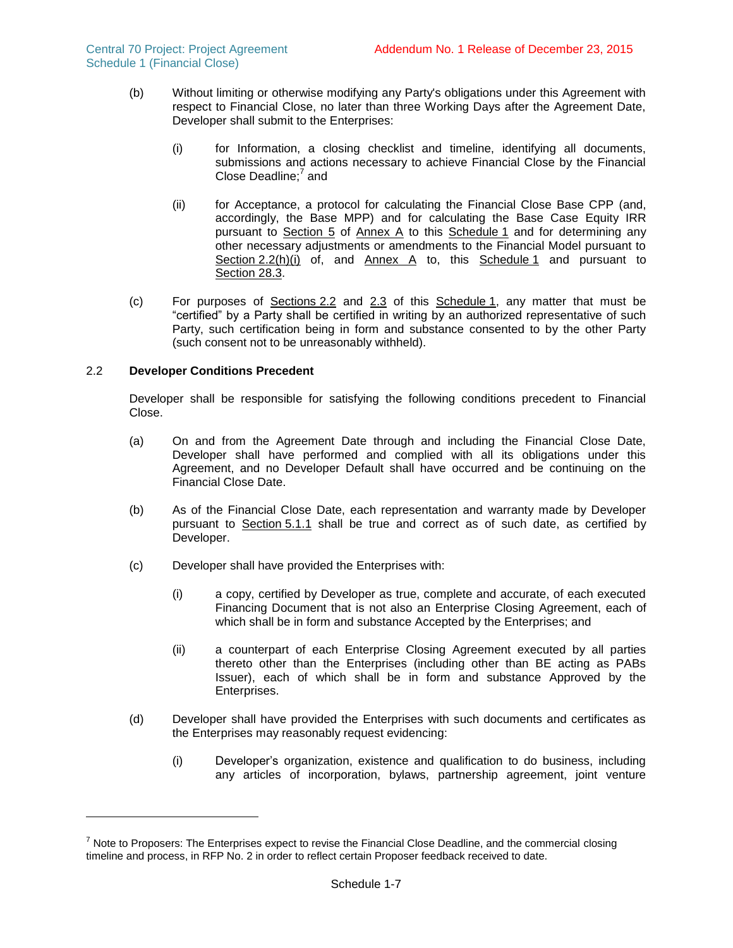- (b) Without limiting or otherwise modifying any Party's obligations under this Agreement with respect to Financial Close, no later than three Working Days after the Agreement Date, Developer shall submit to the Enterprises:
	- (i) for Information, a closing checklist and timeline, identifying all documents, submissions and actions necessary to achieve Financial Close by the Financial Close Deadline;<sup>7</sup> and
	- (ii) for Acceptance, a protocol for calculating the Financial Close Base CPP (and, accordingly, the Base MPP) and for calculating the Base Case Equity IRR pursuant to Section 5 of Annex A to this Schedule 1 and for determining any other necessary adjustments or amendments to the Financial Model pursuant to Section [2.2\(h\)\(i\)](#page-24-1) of, and Annex A to, this Schedule 1 and pursuant to Section 28.3.
- (c) For purposes of Sections [2.2](#page-22-0) and [2.3](#page-24-0) of this Schedule 1, any matter that must be "certified" by a Party shall be certified in writing by an authorized representative of such Party, such certification being in form and substance consented to by the other Party (such consent not to be unreasonably withheld).

## <span id="page-22-0"></span>2.2 **Developer Conditions Precedent**

l

Developer shall be responsible for satisfying the following conditions precedent to Financial Close.

- (a) On and from the Agreement Date through and including the Financial Close Date, Developer shall have performed and complied with all its obligations under this Agreement, and no Developer Default shall have occurred and be continuing on the Financial Close Date.
- (b) As of the Financial Close Date, each representation and warranty made by Developer pursuant to Section 5.1.1 shall be true and correct as of such date, as certified by Developer.
- (c) Developer shall have provided the Enterprises with:
	- (i) a copy, certified by Developer as true, complete and accurate, of each executed Financing Document that is not also an Enterprise Closing Agreement, each of which shall be in form and substance Accepted by the Enterprises; and
	- (ii) a counterpart of each Enterprise Closing Agreement executed by all parties thereto other than the Enterprises (including other than BE acting as PABs Issuer), each of which shall be in form and substance Approved by the Enterprises.
- <span id="page-22-1"></span>(d) Developer shall have provided the Enterprises with such documents and certificates as the Enterprises may reasonably request evidencing:
	- (i) Developer's organization, existence and qualification to do business, including any articles of incorporation, bylaws, partnership agreement, joint venture

 $7$  Note to Proposers: The Enterprises expect to revise the Financial Close Deadline, and the commercial closing timeline and process, in RFP No. 2 in order to reflect certain Proposer feedback received to date.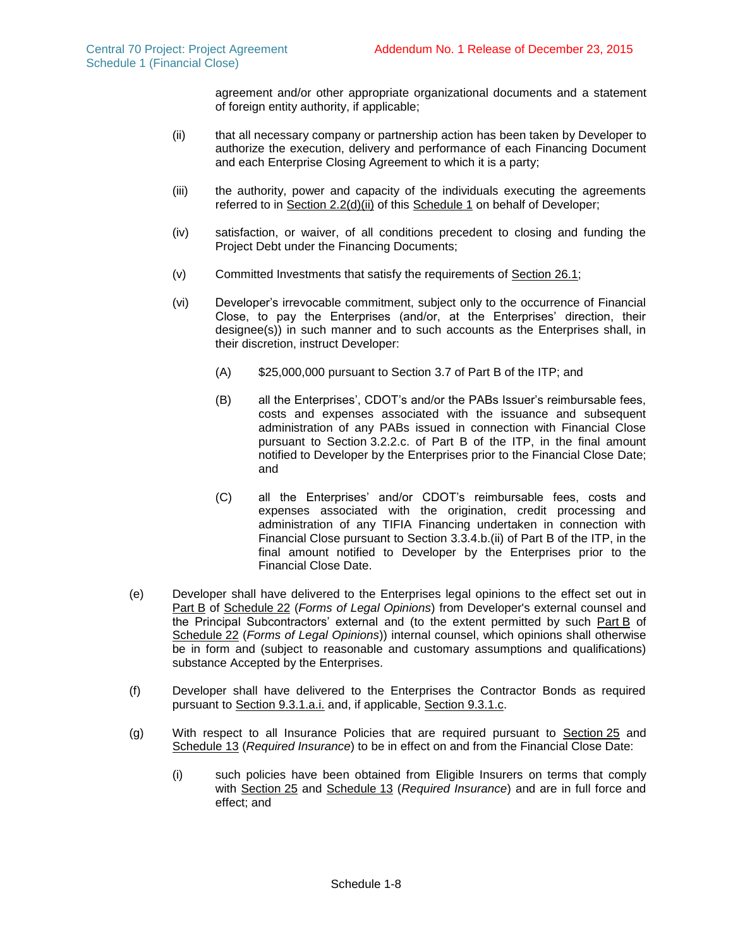agreement and/or other appropriate organizational documents and a statement of foreign entity authority, if applicable;

- <span id="page-23-0"></span>(ii) that all necessary company or partnership action has been taken by Developer to authorize the execution, delivery and performance of each Financing Document and each Enterprise Closing Agreement to which it is a party;
- (iii) the authority, power and capacity of the individuals executing the agreements referred to in Section [2.2\(d\)\(ii\)](#page-23-0) of this Schedule 1 on behalf of Developer;
- (iv) satisfaction, or waiver, of all conditions precedent to closing and funding the Project Debt under the Financing Documents;
- (v) Committed Investments that satisfy the requirements of Section 26.1;
- (vi) Developer's irrevocable commitment, subject only to the occurrence of Financial Close, to pay the Enterprises (and/or, at the Enterprises' direction, their designee(s)) in such manner and to such accounts as the Enterprises shall, in their discretion, instruct Developer:
	- (A) \$25,000,000 pursuant to Section 3.7 of Part B of the ITP; and
	- (B) all the Enterprises', CDOT's and/or the PABs Issuer's reimbursable fees, costs and expenses associated with the issuance and subsequent administration of any PABs issued in connection with Financial Close pursuant to Section 3.2.2.c. of Part B of the ITP, in the final amount notified to Developer by the Enterprises prior to the Financial Close Date; and
	- (C) all the Enterprises' and/or CDOT's reimbursable fees, costs and expenses associated with the origination, credit processing and administration of any TIFIA Financing undertaken in connection with Financial Close pursuant to Section 3.3.4.b.(ii) of Part B of the ITP, in the final amount notified to Developer by the Enterprises prior to the Financial Close Date.
- (e) Developer shall have delivered to the Enterprises legal opinions to the effect set out in Part B of Schedule 22 (*Forms of Legal Opinions*) from Developer's external counsel and the Principal Subcontractors' external and (to the extent permitted by such Part B of Schedule 22 (*Forms of Legal Opinions*)) internal counsel, which opinions shall otherwise be in form and (subject to reasonable and customary assumptions and qualifications) substance Accepted by the Enterprises.
- (f) Developer shall have delivered to the Enterprises the Contractor Bonds as required pursuant to Section 9.3.1.a.i. and, if applicable, Section 9.3.1.c.
- (g) With respect to all Insurance Policies that are required pursuant to Section 25 and Schedule 13 (*Required Insurance*) to be in effect on and from the Financial Close Date:
	- (i) such policies have been obtained from Eligible Insurers on terms that comply with Section 25 and Schedule 13 (*Required Insurance*) and are in full force and effect; and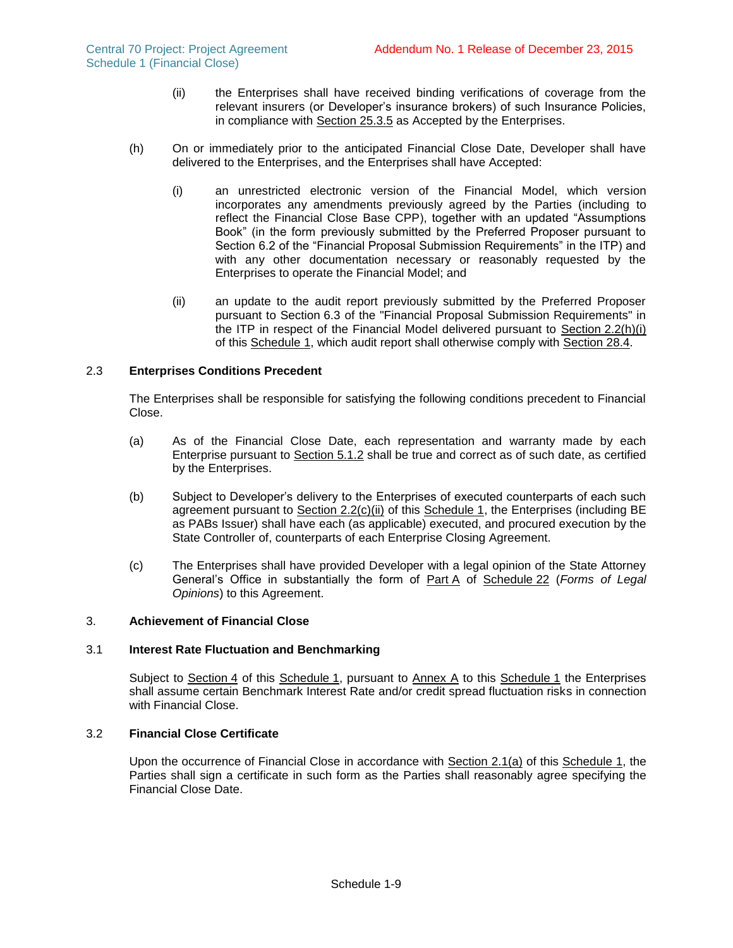- (ii) the Enterprises shall have received binding verifications of coverage from the relevant insurers (or Developer's insurance brokers) of such Insurance Policies, in compliance with Section 25.3.5 as Accepted by the Enterprises.
- <span id="page-24-2"></span><span id="page-24-1"></span>(h) On or immediately prior to the anticipated Financial Close Date, Developer shall have delivered to the Enterprises, and the Enterprises shall have Accepted:
	- (i) an unrestricted electronic version of the Financial Model, which version incorporates any amendments previously agreed by the Parties (including to reflect the Financial Close Base CPP), together with an updated "Assumptions Book" (in the form previously submitted by the Preferred Proposer pursuant to Section 6.2 of the "Financial Proposal Submission Requirements" in the ITP) and with any other documentation necessary or reasonably requested by the Enterprises to operate the Financial Model; and
	- (ii) an update to the audit report previously submitted by the Preferred Proposer pursuant to Section 6.3 of the "Financial Proposal Submission Requirements" in the ITP in respect of the Financial Model delivered pursuant to Section [2.2\(h\)\(i\)](#page-24-1) of this Schedule 1, which audit report shall otherwise comply with Section 28.4.

## <span id="page-24-0"></span>2.3 **Enterprises Conditions Precedent**

The Enterprises shall be responsible for satisfying the following conditions precedent to Financial Close.

- (a) As of the Financial Close Date, each representation and warranty made by each Enterprise pursuant to Section 5.1.2 shall be true and correct as of such date, as certified by the Enterprises.
- (b) Subject to Developer's delivery to the Enterprises of executed counterparts of each such agreement pursuant to Section  $2.2(c)$ (ii) of this Schedule 1, the Enterprises (including BE as PABs Issuer) shall have each (as applicable) executed, and procured execution by the State Controller of, counterparts of each Enterprise Closing Agreement.
- (c) The Enterprises shall have provided Developer with a legal opinion of the State Attorney General's Office in substantially the form of Part A of Schedule 22 (*Forms of Legal Opinions*) to this Agreement.

### 3. **Achievement of Financial Close**

## 3.1 **Interest Rate Fluctuation and Benchmarking**

Subject to Section [4](#page-25-0) of this Schedule 1, pursuant to Annex A to this Schedule 1 the Enterprises shall assume certain Benchmark Interest Rate and/or credit spread fluctuation risks in connection with Financial Close.

### 3.2 **Financial Close Certificate**

Upon the occurrence of Financial Close in accordance with Section [2.1\(a\)](#page-21-0) of this Schedule 1, the Parties shall sign a certificate in such form as the Parties shall reasonably agree specifying the Financial Close Date.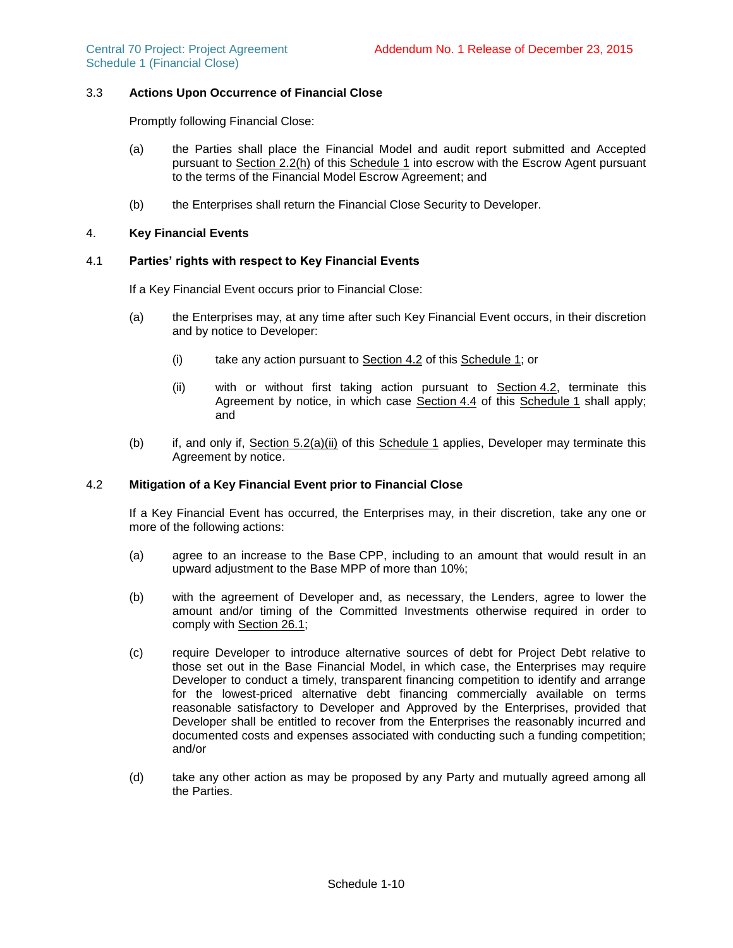# 3.3 **Actions Upon Occurrence of Financial Close**

Promptly following Financial Close:

- (a) the Parties shall place the Financial Model and audit report submitted and Accepted pursuant to Section [2.2\(h\)](#page-24-2) of this Schedule 1 into escrow with the Escrow Agent pursuant to the terms of the Financial Model Escrow Agreement; and
- (b) the Enterprises shall return the Financial Close Security to Developer.

### <span id="page-25-0"></span>4. **Key Financial Events**

### <span id="page-25-5"></span>4.1 **Parties' rights with respect to Key Financial Events**

If a Key Financial Event occurs prior to Financial Close:

- (a) the Enterprises may, at any time after such Key Financial Event occurs, in their discretion and by notice to Developer:
	- (i) take any action pursuant to Section [4.2](#page-25-1) of this Schedule 1; or
	- (ii) with or without first taking action pursuant to Section [4.2,](#page-25-1) terminate this Agreement by notice, in which case Section [4.4](#page-26-0) of this Schedule 1 shall apply; and
- <span id="page-25-2"></span>(b) if, and only if, Section [5.2\(a\)\(ii\)](#page-27-2) of this Schedule 1 applies, Developer may terminate this Agreement by notice.

### <span id="page-25-1"></span>4.2 **Mitigation of a Key Financial Event prior to Financial Close**

If a Key Financial Event has occurred, the Enterprises may, in their discretion, take any one or more of the following actions:

- <span id="page-25-3"></span>(a) agree to an increase to the Base CPP, including to an amount that would result in an upward adjustment to the Base MPP of more than 10%;
- (b) with the agreement of Developer and, as necessary, the Lenders, agree to lower the amount and/or timing of the Committed Investments otherwise required in order to comply with Section 26.1;
- <span id="page-25-4"></span>(c) require Developer to introduce alternative sources of debt for Project Debt relative to those set out in the Base Financial Model, in which case, the Enterprises may require Developer to conduct a timely, transparent financing competition to identify and arrange for the lowest-priced alternative debt financing commercially available on terms reasonable satisfactory to Developer and Approved by the Enterprises, provided that Developer shall be entitled to recover from the Enterprises the reasonably incurred and documented costs and expenses associated with conducting such a funding competition; and/or
- (d) take any other action as may be proposed by any Party and mutually agreed among all the Parties.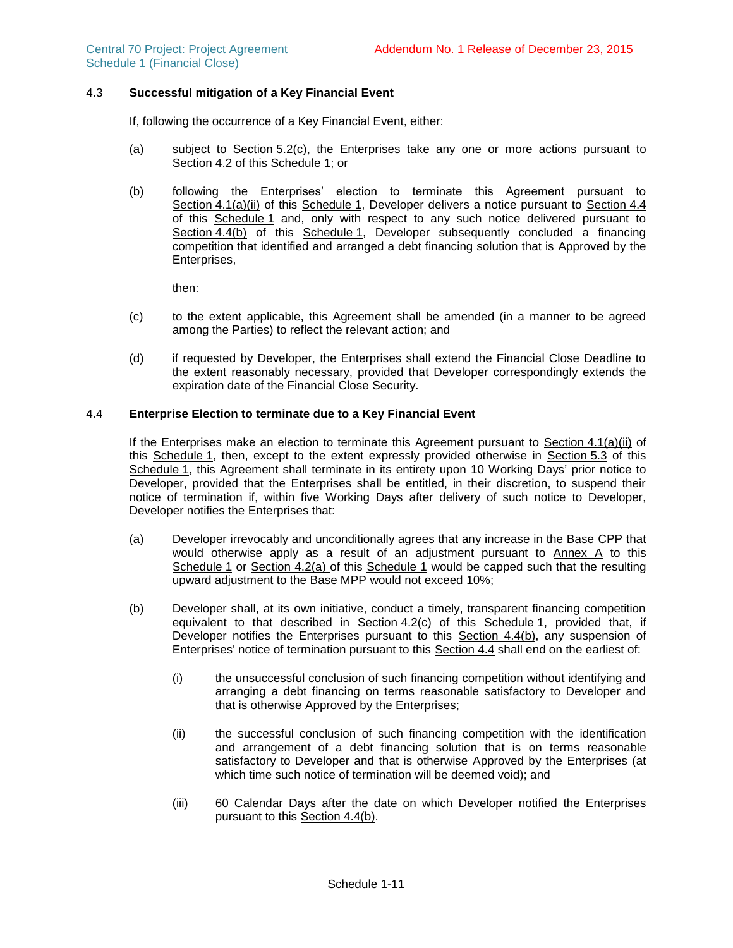# 4.3 **Successful mitigation of a Key Financial Event**

If, following the occurrence of a Key Financial Event, either:

- (a) subject to Section [5.2\(c\),](#page-28-0) the Enterprises take any one or more actions pursuant to Section [4.2](#page-25-1) of this Schedule 1; or
- (b) following the Enterprises' election to terminate this Agreement pursuant to Section [4.1\(a\)\(ii\)](#page-25-2) of this Schedule 1, Developer delivers a notice pursuant to Section [4.4](#page-26-0) of this Schedule 1 and, only with respect to any such notice delivered pursuant to Section [4.4\(b\)](#page-26-1) of this Schedule 1, Developer subsequently concluded a financing competition that identified and arranged a debt financing solution that is Approved by the Enterprises,

then:

- (c) to the extent applicable, this Agreement shall be amended (in a manner to be agreed among the Parties) to reflect the relevant action; and
- (d) if requested by Developer, the Enterprises shall extend the Financial Close Deadline to the extent reasonably necessary, provided that Developer correspondingly extends the expiration date of the Financial Close Security.

## <span id="page-26-0"></span>4.4 **Enterprise Election to terminate due to a Key Financial Event**

If the Enterprises make an election to terminate this Agreement pursuant to Section [4.1\(a\)\(ii\)](#page-25-2) of this Schedule 1, then, except to the extent expressly provided otherwise in Section [5.3](#page-28-1) of this Schedule 1, this Agreement shall terminate in its entirety upon 10 Working Days' prior notice to Developer, provided that the Enterprises shall be entitled, in their discretion, to suspend their notice of termination if, within five Working Days after delivery of such notice to Developer, Developer notifies the Enterprises that:

- (a) Developer irrevocably and unconditionally agrees that any increase in the Base CPP that would otherwise apply as a result of an adjustment pursuant to Annex A to this Schedule 1 or Section [4.2\(a\)](#page-25-3) of this Schedule 1 would be capped such that the resulting upward adjustment to the Base MPP would not exceed 10%;
- <span id="page-26-1"></span>(b) Developer shall, at its own initiative, conduct a timely, transparent financing competition equivalent to that described in Section [4.2\(c\)](#page-25-4) of this Schedule 1, provided that, if Developer notifies the Enterprises pursuant to this Section [4.4\(b\),](#page-26-1) any suspension of Enterprises' notice of termination pursuant to this Section [4.4](#page-26-0) shall end on the earliest of:
	- (i) the unsuccessful conclusion of such financing competition without identifying and arranging a debt financing on terms reasonable satisfactory to Developer and that is otherwise Approved by the Enterprises;
	- (ii) the successful conclusion of such financing competition with the identification and arrangement of a debt financing solution that is on terms reasonable satisfactory to Developer and that is otherwise Approved by the Enterprises (at which time such notice of termination will be deemed void); and
	- (iii) 60 Calendar Days after the date on which Developer notified the Enterprises pursuant to this Section [4.4\(b\).](#page-26-1)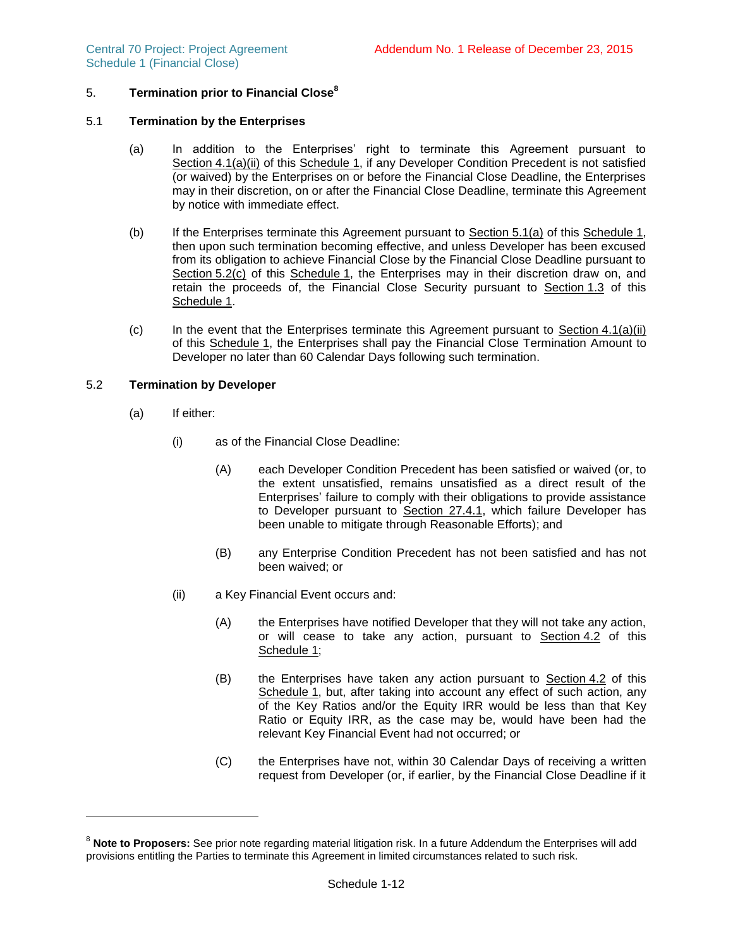# 5. **Termination prior to Financial Close<sup>8</sup>**

### <span id="page-27-3"></span>5.1 **Termination by the Enterprises**

- (a) In addition to the Enterprises' right to terminate this Agreement pursuant to Section [4.1\(a\)\(ii\)](#page-25-2) of this Schedule 1, if any Developer Condition Precedent is not satisfied (or waived) by the Enterprises on or before the Financial Close Deadline, the Enterprises may in their discretion, on or after the Financial Close Deadline, terminate this Agreement by notice with immediate effect.
- <span id="page-27-1"></span>(b) If the Enterprises terminate this Agreement pursuant to Section [5.1\(a\)](#page-27-3) of this Schedule 1, then upon such termination becoming effective, and unless Developer has been excused from its obligation to achieve Financial Close by the Financial Close Deadline pursuant to Section [5.2\(c\)](#page-28-0) of this Schedule 1, the Enterprises may in their discretion draw on, and retain the proceeds of, the Financial Close Security pursuant to Section [1.3](#page-21-2) of this Schedule 1.
- <span id="page-27-5"></span>(c) In the event that the Enterprises terminate this Agreement pursuant to  $Section 4.1(a)(ii)$  $Section 4.1(a)(ii)$ of this Schedule 1, the Enterprises shall pay the Financial Close Termination Amount to Developer no later than 60 Calendar Days following such termination.

## <span id="page-27-4"></span><span id="page-27-0"></span>5.2 **Termination by Developer**

(a) If either:

l

- (i) as of the Financial Close Deadline:
	- (A) each Developer Condition Precedent has been satisfied or waived (or, to the extent unsatisfied, remains unsatisfied as a direct result of the Enterprises' failure to comply with their obligations to provide assistance to Developer pursuant to Section 27.4.1, which failure Developer has been unable to mitigate through Reasonable Efforts); and
	- (B) any Enterprise Condition Precedent has not been satisfied and has not been waived; or
- <span id="page-27-2"></span>(ii) a Key Financial Event occurs and:
	- (A) the Enterprises have notified Developer that they will not take any action, or will cease to take any action, pursuant to Section [4.2](#page-25-1) of this Schedule 1;
	- (B) the Enterprises have taken any action pursuant to Section [4.2](#page-25-1) of this Schedule 1, but, after taking into account any effect of such action, any of the Key Ratios and/or the Equity IRR would be less than that Key Ratio or Equity IRR, as the case may be, would have been had the relevant Key Financial Event had not occurred; or
	- (C) the Enterprises have not, within 30 Calendar Days of receiving a written request from Developer (or, if earlier, by the Financial Close Deadline if it

<sup>&</sup>lt;sup>8</sup> Note to Proposers: See prior note regarding material litigation risk. In a future Addendum the Enterprises will add provisions entitling the Parties to terminate this Agreement in limited circumstances related to such risk.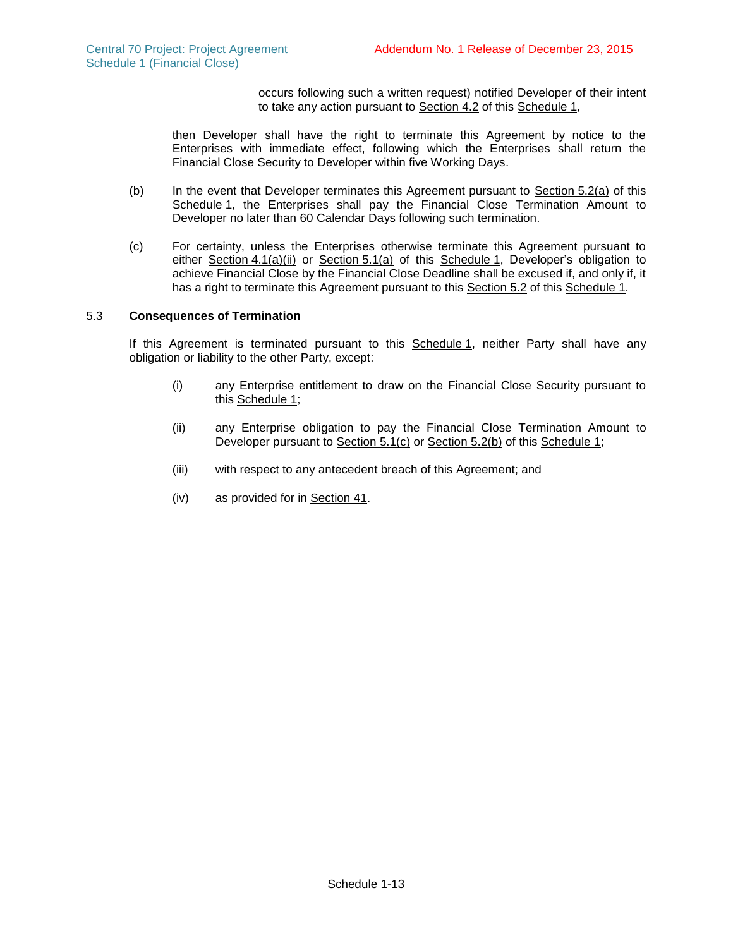occurs following such a written request) notified Developer of their intent to take any action pursuant to Section [4.2](#page-25-1) of this Schedule 1,

then Developer shall have the right to terminate this Agreement by notice to the Enterprises with immediate effect, following which the Enterprises shall return the Financial Close Security to Developer within five Working Days.

- <span id="page-28-2"></span>(b) In the event that Developer terminates this Agreement pursuant to  $Section 5.2(a)$  $Section 5.2(a)$  of this Schedule 1, the Enterprises shall pay the Financial Close Termination Amount to Developer no later than 60 Calendar Days following such termination.
- <span id="page-28-0"></span>(c) For certainty, unless the Enterprises otherwise terminate this Agreement pursuant to either Section  $4.1(a)(ii)$  or Section  $5.1(a)$  of this Schedule 1, Developer's obligation to achieve Financial Close by the Financial Close Deadline shall be excused if, and only if, it has a right to terminate this Agreement pursuant to this Section [5.2](#page-27-4) of this Schedule 1.

# <span id="page-28-1"></span>5.3 **Consequences of Termination**

If this Agreement is terminated pursuant to this Schedule 1, neither Party shall have any obligation or liability to the other Party, except:

- (i) any Enterprise entitlement to draw on the Financial Close Security pursuant to this Schedule 1;
- (ii) any Enterprise obligation to pay the Financial Close Termination Amount to Developer pursuant to Section [5.1\(c\)](#page-27-5) or Section [5.2\(b\)](#page-28-2) of this Schedule 1;
- (iii) with respect to any antecedent breach of this Agreement; and
- (iv) as provided for in Section 41.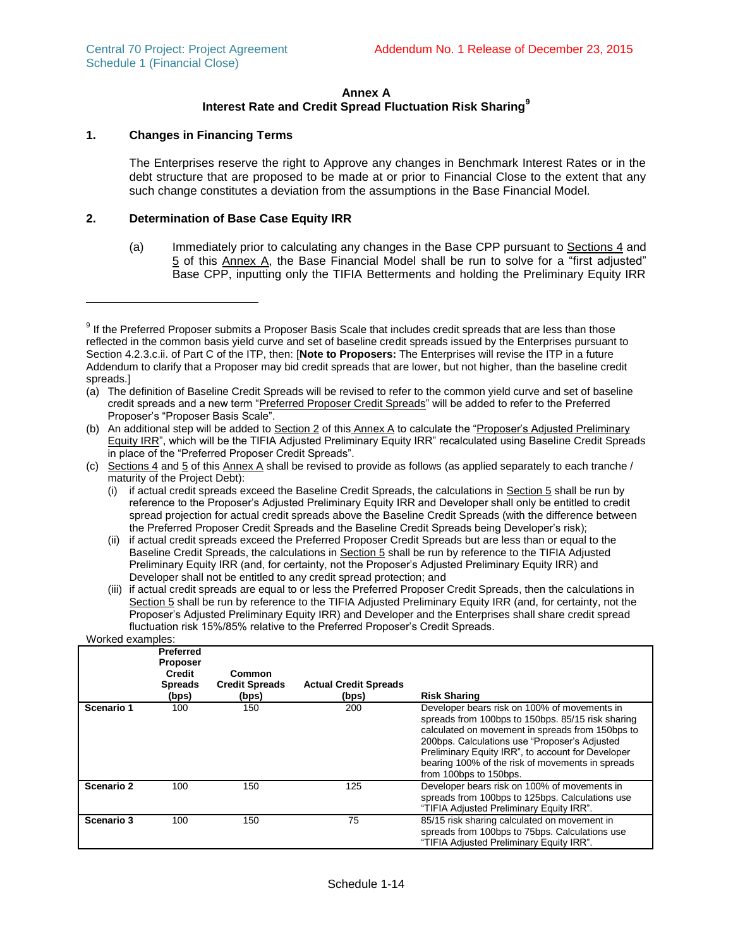## **Annex A**

# **Interest Rate and Credit Spread Fluctuation Risk Sharing<sup>9</sup>**

## **1. Changes in Financing Terms**

l

The Enterprises reserve the right to Approve any changes in Benchmark Interest Rates or in the debt structure that are proposed to be made at or prior to Financial Close to the extent that any such change constitutes a deviation from the assumptions in the Base Financial Model.

## **2. Determination of Base Case Equity IRR**

(a) Immediately prior to calculating any changes in the Base CPP pursuant to Sections 4 and 5 of this Annex A, the Base Financial Model shall be run to solve for a "first adjusted" Base CPP, inputting only the TIFIA Betterments and holding the Preliminary Equity IRR

- (c) Sections 4 and  $5$  of this Annex A shall be revised to provide as follows (as applied separately to each tranche / maturity of the Project Debt):
	- (i) if actual credit spreads exceed the Baseline Credit Spreads, the calculations in Section 5 shall be run by reference to the Proposer's Adjusted Preliminary Equity IRR and Developer shall only be entitled to credit spread projection for actual credit spreads above the Baseline Credit Spreads (with the difference between the Preferred Proposer Credit Spreads and the Baseline Credit Spreads being Developer's risk);
	- (ii) if actual credit spreads exceed the Preferred Proposer Credit Spreads but are less than or equal to the Baseline Credit Spreads, the calculations in Section 5 shall be run by reference to the TIFIA Adjusted Preliminary Equity IRR (and, for certainty, not the Proposer's Adjusted Preliminary Equity IRR) and Developer shall not be entitled to any credit spread protection; and

<sup>(</sup>iii) if actual credit spreads are equal to or less the Preferred Proposer Credit Spreads, then the calculations in Section 5 shall be run by reference to the TIFIA Adjusted Preliminary Equity IRR (and, for certainty, not the Proposer's Adjusted Preliminary Equity IRR) and Developer and the Enterprises shall share credit spread fluctuation risk 15%/85% relative to the Preferred Proposer's Credit Spreads. Worked examples:

| <u>WULCU CAQIIIDICS.</u> |                                                                                 |                                          |                                       |                                                                                                                                                                                                                                                                                                                                           |  |
|--------------------------|---------------------------------------------------------------------------------|------------------------------------------|---------------------------------------|-------------------------------------------------------------------------------------------------------------------------------------------------------------------------------------------------------------------------------------------------------------------------------------------------------------------------------------------|--|
|                          | <b>Preferred</b><br><b>Proposer</b><br><b>Credit</b><br><b>Spreads</b><br>(bps) | Common<br><b>Credit Spreads</b><br>(bps) | <b>Actual Credit Spreads</b><br>(bps) | <b>Risk Sharing</b>                                                                                                                                                                                                                                                                                                                       |  |
| Scenario 1               | 100                                                                             | 150                                      | 200                                   | Developer bears risk on 100% of movements in<br>spreads from 100bps to 150bps. 85/15 risk sharing<br>calculated on movement in spreads from 150bps to<br>200bps. Calculations use "Proposer's Adjusted<br>Preliminary Equity IRR", to account for Developer<br>bearing 100% of the risk of movements in spreads<br>from 100bps to 150bps. |  |
| Scenario 2               | 100                                                                             | 150                                      | 125                                   | Developer bears risk on 100% of movements in<br>spreads from 100bps to 125bps. Calculations use<br>"TIFIA Adjusted Preliminary Equity IRR".                                                                                                                                                                                               |  |
| Scenario 3               | 100                                                                             | 150                                      | 75                                    | 85/15 risk sharing calculated on movement in<br>spreads from 100bps to 75bps. Calculations use<br>"TIFIA Adjusted Preliminary Equity IRR".                                                                                                                                                                                                |  |

 $9$  If the Preferred Proposer submits a Proposer Basis Scale that includes credit spreads that are less than those reflected in the common basis yield curve and set of baseline credit spreads issued by the Enterprises pursuant to Section 4.2.3.c.ii. of Part C of the ITP, then: [**Note to Proposers:** The Enterprises will revise the ITP in a future Addendum to clarify that a Proposer may bid credit spreads that are lower, but not higher, than the baseline credit spreads.]

<sup>(</sup>a) The definition of Baseline Credit Spreads will be revised to refer to the common yield curve and set of baseline credit spreads and a new term "Preferred Proposer Credit Spreads" will be added to refer to the Preferred Proposer's "Proposer Basis Scale".

<sup>(</sup>b) An additional step will be added to Section 2 of this Annex A to calculate the "Proposer's Adjusted Preliminary Equity IRR", which will be the TIFIA Adjusted Preliminary Equity IRR" recalculated using Baseline Credit Spreads in place of the "Preferred Proposer Credit Spreads".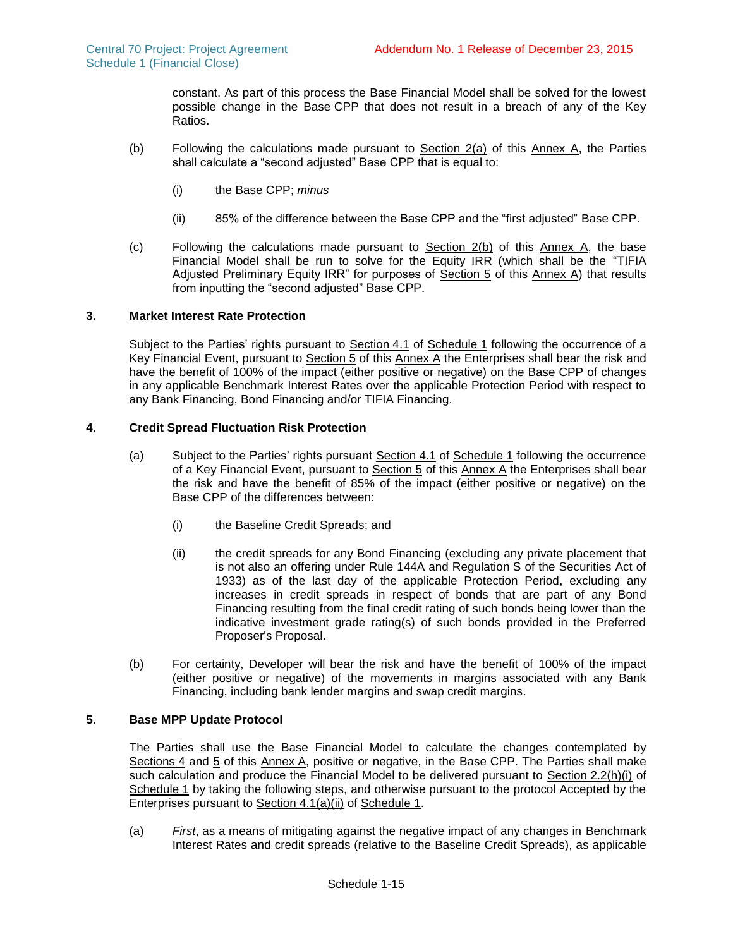constant. As part of this process the Base Financial Model shall be solved for the lowest possible change in the Base CPP that does not result in a breach of any of the Key Ratios.

- (b) Following the calculations made pursuant to  $Section 2(a)$  of this Annex A, the Parties shall calculate a "second adjusted" Base CPP that is equal to:
	- (i) the Base CPP; *minus*
	- (ii) 85% of the difference between the Base CPP and the "first adjusted" Base CPP.
- (c) Following the calculations made pursuant to  $Section 2(b)$  of this Annex A, the base Financial Model shall be run to solve for the Equity IRR (which shall be the "TIFIA Adjusted Preliminary Equity IRR" for purposes of Section 5 of this Annex A) that results from inputting the "second adjusted" Base CPP.

# **3. Market Interest Rate Protection**

Subject to the Parties' rights pursuant to Section [4.1](#page-25-5) of Schedule 1 following the occurrence of a Key Financial Event, pursuant to Section 5 of this Annex A the Enterprises shall bear the risk and have the benefit of 100% of the impact (either positive or negative) on the Base CPP of changes in any applicable Benchmark Interest Rates over the applicable Protection Period with respect to any Bank Financing, Bond Financing and/or TIFIA Financing.

# **4. Credit Spread Fluctuation Risk Protection**

- (a) Subject to the Parties' rights pursuant Section [4.](#page-25-0)1 of Schedule 1 following the occurrence of a Key Financial Event, pursuant to Section 5 of this Annex A the Enterprises shall bear the risk and have the benefit of 85% of the impact (either positive or negative) on the Base CPP of the differences between:
	- (i) the Baseline Credit Spreads; and
	- (ii) the credit spreads for any Bond Financing (excluding any private placement that is not also an offering under Rule 144A and Regulation S of the Securities Act of 1933) as of the last day of the applicable Protection Period, excluding any increases in credit spreads in respect of bonds that are part of any Bond Financing resulting from the final credit rating of such bonds being lower than the indicative investment grade rating(s) of such bonds provided in the Preferred Proposer's Proposal.
- (b) For certainty, Developer will bear the risk and have the benefit of 100% of the impact (either positive or negative) of the movements in margins associated with any Bank Financing, including bank lender margins and swap credit margins.

# **5. Base MPP Update Protocol**

The Parties shall use the Base Financial Model to calculate the changes contemplated by Sections 4 and 5 of this Annex A, positive or negative, in the Base CPP. The Parties shall make such calculation and produce the Financial Model to be delivered pursuant to Section [2.2\(h\)\(i\)](#page-24-1) of Schedule 1 by taking the following steps, and otherwise pursuant to the protocol Accepted by the Enterprises pursuant to Section 4.1(a)(ii) of Schedule 1.

(a) *First*, as a means of mitigating against the negative impact of any changes in Benchmark Interest Rates and credit spreads (relative to the Baseline Credit Spreads), as applicable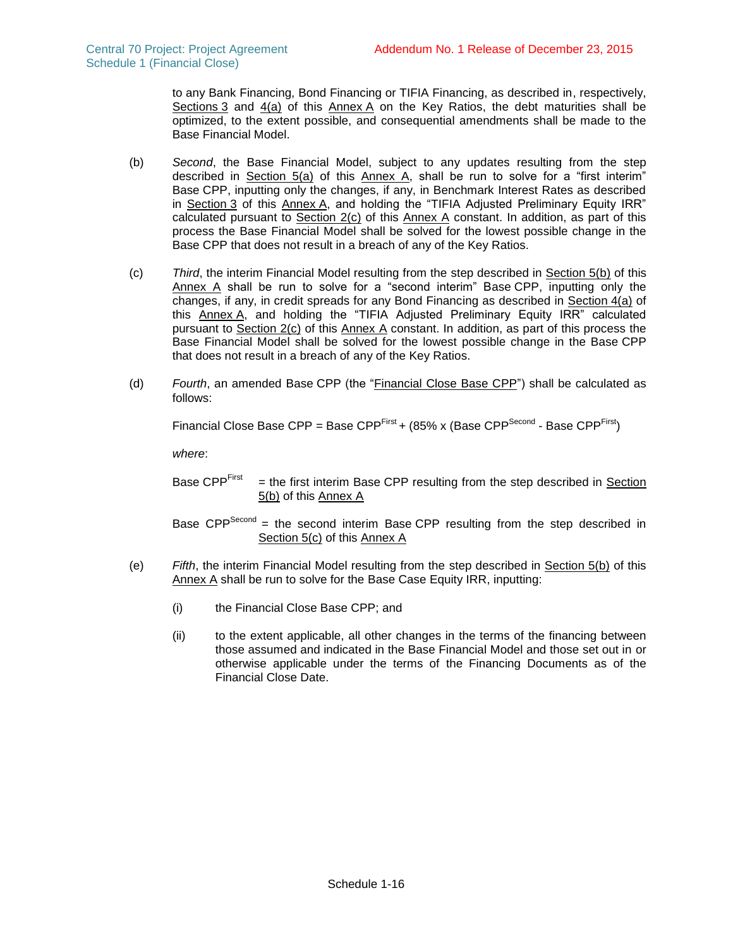to any Bank Financing, Bond Financing or TIFIA Financing, as described in, respectively, Sections 3 and 4(a) of this Annex A on the Key Ratios, the debt maturities shall be optimized, to the extent possible, and consequential amendments shall be made to the Base Financial Model.

- (b) *Second*, the Base Financial Model, subject to any updates resulting from the step described in Section 5(a) of this Annex A, shall be run to solve for a "first interim" Base CPP, inputting only the changes, if any, in Benchmark Interest Rates as described in Section 3 of this Annex A, and holding the "TIFIA Adjusted Preliminary Equity IRR" calculated pursuant to Section 2(c) of this Annex A constant. In addition, as part of this process the Base Financial Model shall be solved for the lowest possible change in the Base CPP that does not result in a breach of any of the Key Ratios.
- (c) *Third*, the interim Financial Model resulting from the step described in Section 5(b) of this Annex A shall be run to solve for a "second interim" Base CPP, inputting only the changes, if any, in credit spreads for any Bond Financing as described in Section 4(a) of this Annex A, and holding the "TIFIA Adjusted Preliminary Equity IRR" calculated pursuant to Section 2(c) of this Annex A constant. In addition, as part of this process the Base Financial Model shall be solved for the lowest possible change in the Base CPP that does not result in a breach of any of the Key Ratios.
- (d) *Fourth*, an amended Base CPP (the "Financial Close Base CPP") shall be calculated as follows:

Financial Close Base CPP = Base CPP<sup>First</sup> + (85% x (Base CPP<sup>Second</sup> - Base CPP<sup>First</sup>)

*where*:

Base CPPFirst = the first interim Base CPP resulting from the step described in Section 5(b) of this Annex A

Base CPP<sup>Second</sup> = the second interim Base CPP resulting from the step described in Section 5(c) of this Annex A

- (e) *Fifth*, the interim Financial Model resulting from the step described in Section 5(b) of this Annex A shall be run to solve for the Base Case Equity IRR, inputting:
	- (i) the Financial Close Base CPP; and
	- (ii) to the extent applicable, all other changes in the terms of the financing between those assumed and indicated in the Base Financial Model and those set out in or otherwise applicable under the terms of the Financing Documents as of the Financial Close Date.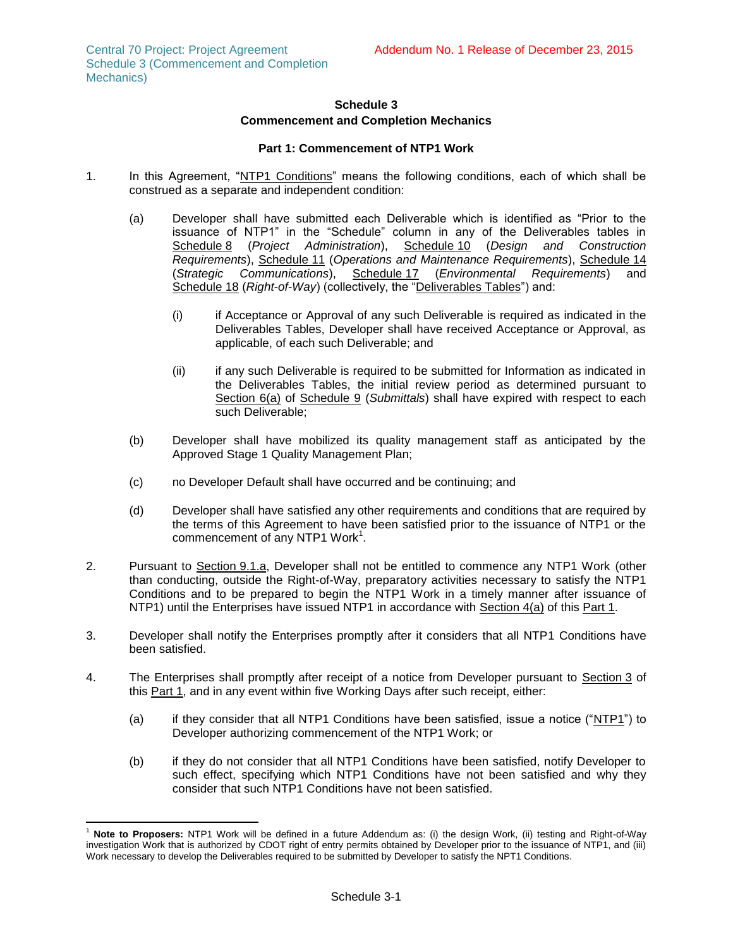## **Schedule 3 Commencement and Completion Mechanics**

### **Part 1: Commencement of NTP1 Work**

- 1. In this Agreement, "NTP1 Conditions" means the following conditions, each of which shall be construed as a separate and independent condition:
	- (a) Developer shall have submitted each Deliverable which is identified as "Prior to the issuance of NTP1" in the "Schedule" column in any of the Deliverables tables in Schedule 8 (*Project Administration*), Schedule 10 (*Design and Construction Requirements*), Schedule 11 (*Operations and Maintenance Requirements*), Schedule 14 (*Strategic Communications*), Schedule 17 (*Environmental Requirements*) and Schedule 18 (*Right-of-Way*) (collectively, the "Deliverables Tables") and:
		- (i) if Acceptance or Approval of any such Deliverable is required as indicated in the Deliverables Tables, Developer shall have received Acceptance or Approval, as applicable, of each such Deliverable; and
		- (ii) if any such Deliverable is required to be submitted for Information as indicated in the Deliverables Tables, the initial review period as determined pursuant to Section 6(a) of Schedule 9 (*Submittals*) shall have expired with respect to each such Deliverable;
	- (b) Developer shall have mobilized its quality management staff as anticipated by the Approved Stage 1 Quality Management Plan;
	- (c) no Developer Default shall have occurred and be continuing; and
	- (d) Developer shall have satisfied any other requirements and conditions that are required by the terms of this Agreement to have been satisfied prior to the issuance of NTP1 or the commencement of any NTP1 Work $1$ .
- <span id="page-32-1"></span>2. Pursuant to Section 9.1.a, Developer shall not be entitled to commence any NTP1 Work (other than conducting, outside the Right-of-Way, preparatory activities necessary to satisfy the NTP1 Conditions and to be prepared to begin the NTP1 Work in a timely manner after issuance of NTP1) until the Enterprises have issued NTP1 in accordance with Section [4\(a\)](#page-32-0) of this Part 1.
- 3. Developer shall notify the Enterprises promptly after it considers that all NTP1 Conditions have been satisfied.
- <span id="page-32-0"></span>4. The Enterprises shall promptly after receipt of a notice from Developer pursuant to Section 3 of this Part 1, and in any event within five Working Days after such receipt, either:
	- (a) if they consider that all NTP1 Conditions have been satisfied, issue a notice ("NTP1") to Developer authorizing commencement of the NTP1 Work; or
	- (b) if they do not consider that all NTP1 Conditions have been satisfied, notify Developer to such effect, specifying which NTP1 Conditions have not been satisfied and why they consider that such NTP1 Conditions have not been satisfied.

 $\overline{\phantom{a}}$ <sup>1</sup> **Note to Proposers:** NTP1 Work will be defined in a future Addendum as: (i) the design Work, (ii) testing and Right-of-Way investigation Work that is authorized by CDOT right of entry permits obtained by Developer prior to the issuance of NTP1, and (iii) Work necessary to develop the Deliverables required to be submitted by Developer to satisfy the NPT1 Conditions.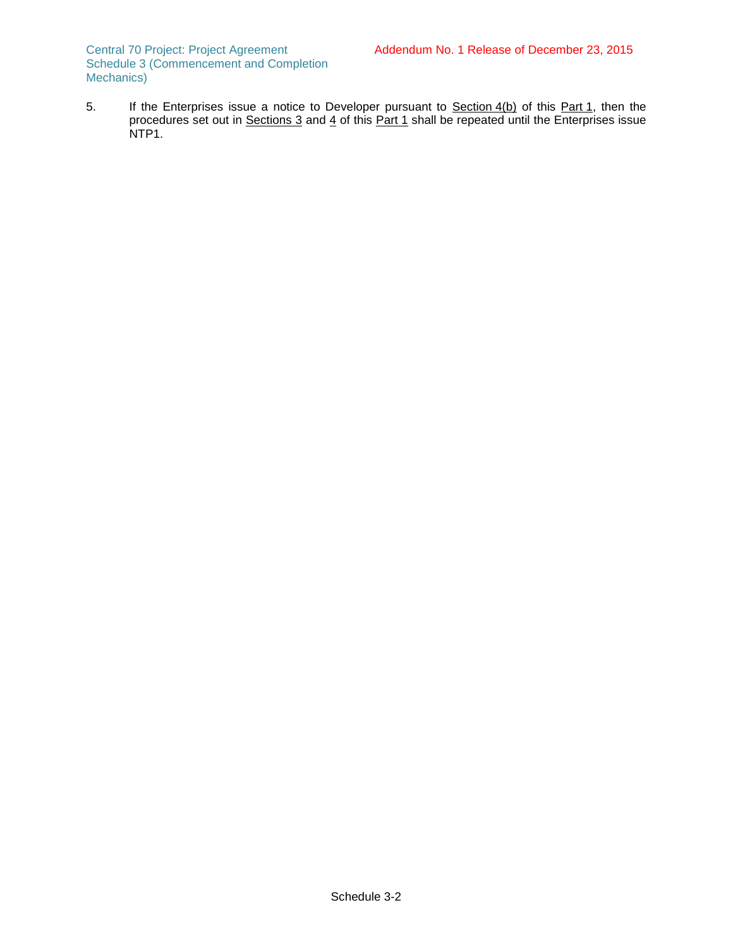Central 70 Project: Project Agreement Schedule 3 (Commencement and Completion Mechanics)

5. If the Enterprises issue a notice to Developer pursuant to Section 4(b) of this Part 1, then the procedures set out in <u>Sections 3</u> and <u>4</u> of this <u>Part 1</u> shall be repeated until the Enterprises issue NTP1.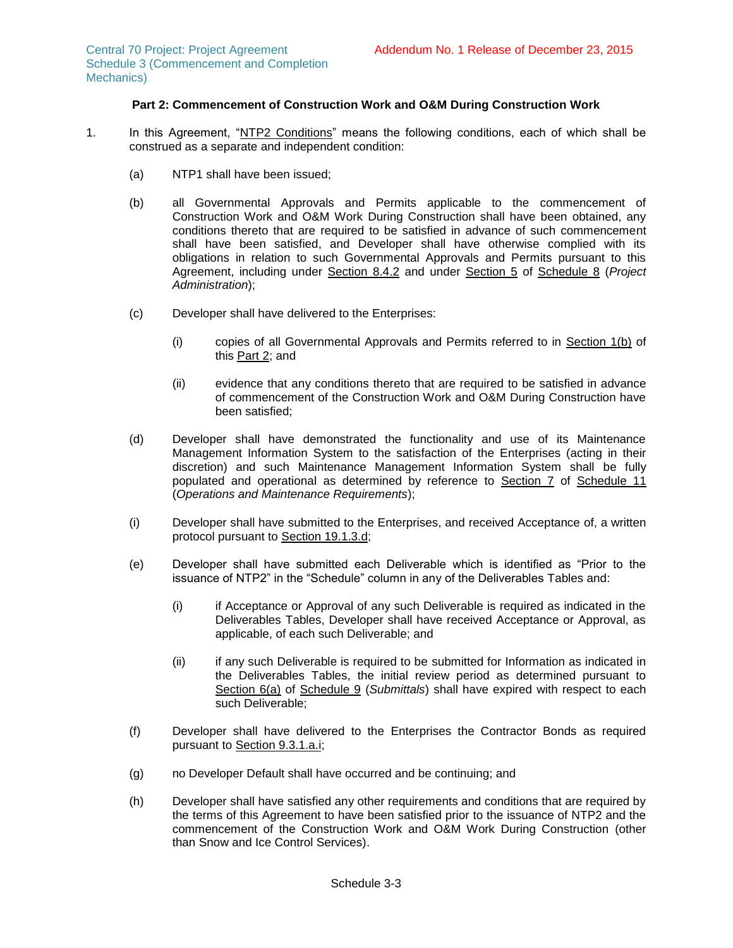# **Part 2: Commencement of Construction Work and O&M During Construction Work**

- 1. In this Agreement, "NTP2 Conditions" means the following conditions, each of which shall be construed as a separate and independent condition:
	- (a) NTP1 shall have been issued;
	- (b) all Governmental Approvals and Permits applicable to the commencement of Construction Work and O&M Work During Construction shall have been obtained, any conditions thereto that are required to be satisfied in advance of such commencement shall have been satisfied, and Developer shall have otherwise complied with its obligations in relation to such Governmental Approvals and Permits pursuant to this Agreement, including under Section 8.4.2 and under Section 5 of Schedule 8 (*Project Administration*);
	- (c) Developer shall have delivered to the Enterprises:
		- (i) copies of all Governmental Approvals and Permits referred to in Section [1\(b\)](#page-32-1) of this Part 2; and
		- (ii) evidence that any conditions thereto that are required to be satisfied in advance of commencement of the Construction Work and O&M During Construction have been satisfied;
	- (d) Developer shall have demonstrated the functionality and use of its Maintenance Management Information System to the satisfaction of the Enterprises (acting in their discretion) and such Maintenance Management Information System shall be fully populated and operational as determined by reference to Section 7 of Schedule 11 (*Operations and Maintenance Requirements*);
	- (i) Developer shall have submitted to the Enterprises, and received Acceptance of, a written protocol pursuant to Section 19.1.3.d;
	- (e) Developer shall have submitted each Deliverable which is identified as "Prior to the issuance of NTP2" in the "Schedule" column in any of the Deliverables Tables and:
		- (i) if Acceptance or Approval of any such Deliverable is required as indicated in the Deliverables Tables, Developer shall have received Acceptance or Approval, as applicable, of each such Deliverable; and
		- (ii) if any such Deliverable is required to be submitted for Information as indicated in the Deliverables Tables, the initial review period as determined pursuant to Section 6(a) of Schedule 9 (*Submittals*) shall have expired with respect to each such Deliverable;
	- (f) Developer shall have delivered to the Enterprises the Contractor Bonds as required pursuant to Section 9.3.1.a.i;
	- (g) no Developer Default shall have occurred and be continuing; and
	- (h) Developer shall have satisfied any other requirements and conditions that are required by the terms of this Agreement to have been satisfied prior to the issuance of NTP2 and the commencement of the Construction Work and O&M Work During Construction (other than Snow and Ice Control Services).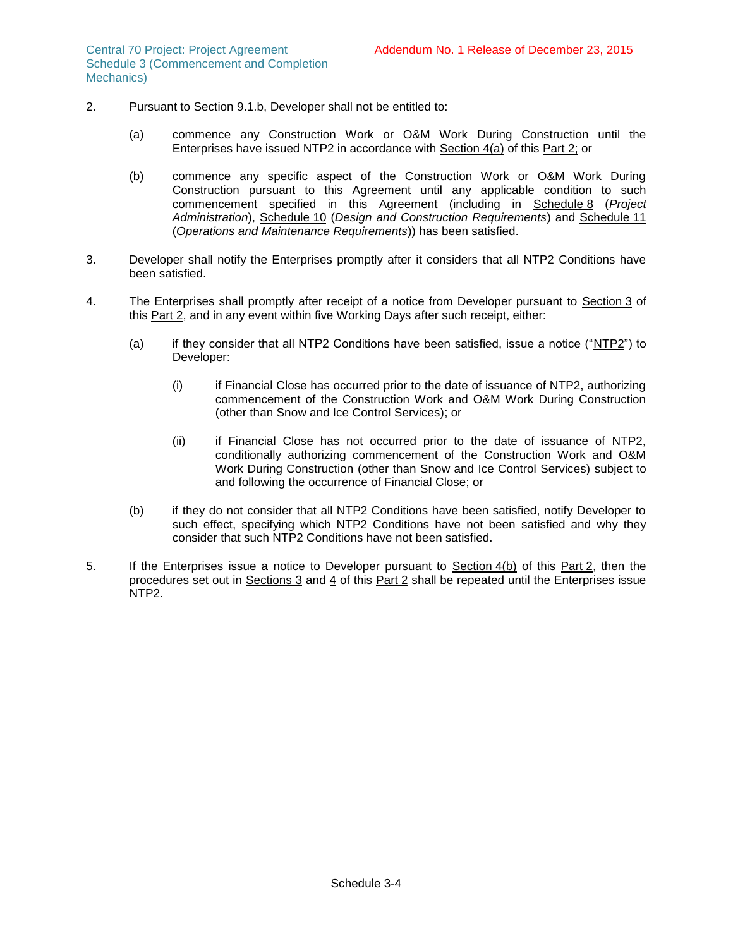- 2. Pursuant to Section 9.1.b, Developer shall not be entitled to:
	- (a) commence any Construction Work or O&M Work During Construction until the Enterprises have issued NTP2 in accordance with Section 4(a) of this Part 2; or
	- (b) commence any specific aspect of the Construction Work or O&M Work During Construction pursuant to this Agreement until any applicable condition to such commencement specified in this Agreement (including in Schedule 8 (*Project Administration*), Schedule 10 (*Design and Construction Requirements*) and Schedule 11 (*Operations and Maintenance Requirements*)) has been satisfied.
- 3. Developer shall notify the Enterprises promptly after it considers that all NTP2 Conditions have been satisfied.
- 4. The Enterprises shall promptly after receipt of a notice from Developer pursuant to Section 3 of this Part 2, and in any event within five Working Days after such receipt, either:
	- (a) if they consider that all NTP2 Conditions have been satisfied, issue a notice ("NTP2") to Developer:
		- (i) if Financial Close has occurred prior to the date of issuance of NTP2, authorizing commencement of the Construction Work and O&M Work During Construction (other than Snow and Ice Control Services); or
		- (ii) if Financial Close has not occurred prior to the date of issuance of NTP2, conditionally authorizing commencement of the Construction Work and O&M Work During Construction (other than Snow and Ice Control Services) subject to and following the occurrence of Financial Close; or
	- (b) if they do not consider that all NTP2 Conditions have been satisfied, notify Developer to such effect, specifying which NTP2 Conditions have not been satisfied and why they consider that such NTP2 Conditions have not been satisfied.
- 5. If the Enterprises issue a notice to Developer pursuant to Section 4(b) of this Part 2, then the procedures set out in Sections 3 and 4 of this Part 2 shall be repeated until the Enterprises issue NTP2.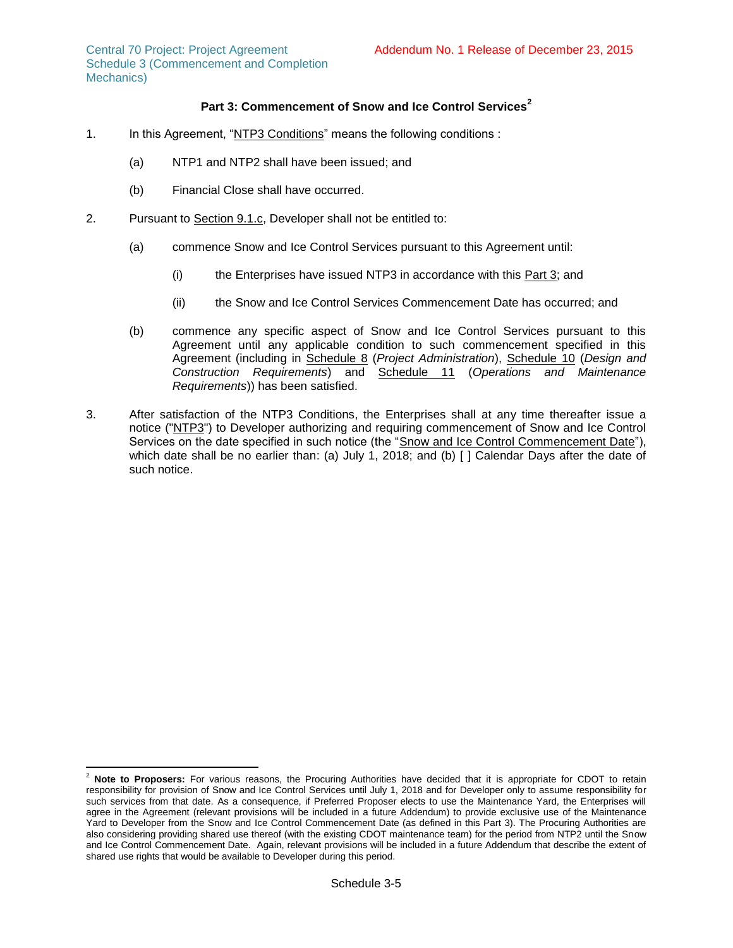# **Part 3: Commencement of Snow and Ice Control Services<sup>2</sup>**

- 1. In this Agreement, "NTP3 Conditions" means the following conditions :
	- (a) NTP1 and NTP2 shall have been issued; and
	- (b) Financial Close shall have occurred.
- 2. Pursuant to Section 9.1.c, Developer shall not be entitled to:
	- (a) commence Snow and Ice Control Services pursuant to this Agreement until:
		- (i) the Enterprises have issued NTP3 in accordance with this Part 3; and
		- (ii) the Snow and Ice Control Services Commencement Date has occurred; and
	- (b) commence any specific aspect of Snow and Ice Control Services pursuant to this Agreement until any applicable condition to such commencement specified in this Agreement (including in Schedule 8 (*Project Administration*), Schedule 10 (*Design and Construction Requirements*) and Schedule 11 (*Operations and Maintenance Requirements*)) has been satisfied.
- 3. After satisfaction of the NTP3 Conditions, the Enterprises shall at any time thereafter issue a notice ("NTP3") to Developer authorizing and requiring commencement of Snow and Ice Control Services on the date specified in such notice (the "Snow and Ice Control Commencement Date"), which date shall be no earlier than: (a) July 1, 2018; and (b) [] Calendar Days after the date of such notice.

 $\overline{a}$ Note to Proposers: For various reasons, the Procuring Authorities have decided that it is appropriate for CDOT to retain responsibility for provision of Snow and Ice Control Services until July 1, 2018 and for Developer only to assume responsibility for such services from that date. As a consequence, if Preferred Proposer elects to use the Maintenance Yard, the Enterprises will agree in the Agreement (relevant provisions will be included in a future Addendum) to provide exclusive use of the Maintenance Yard to Developer from the Snow and Ice Control Commencement Date (as defined in this Part 3). The Procuring Authorities are also considering providing shared use thereof (with the existing CDOT maintenance team) for the period from NTP2 until the Snow and Ice Control Commencement Date. Again, relevant provisions will be included in a future Addendum that describe the extent of shared use rights that would be available to Developer during this period.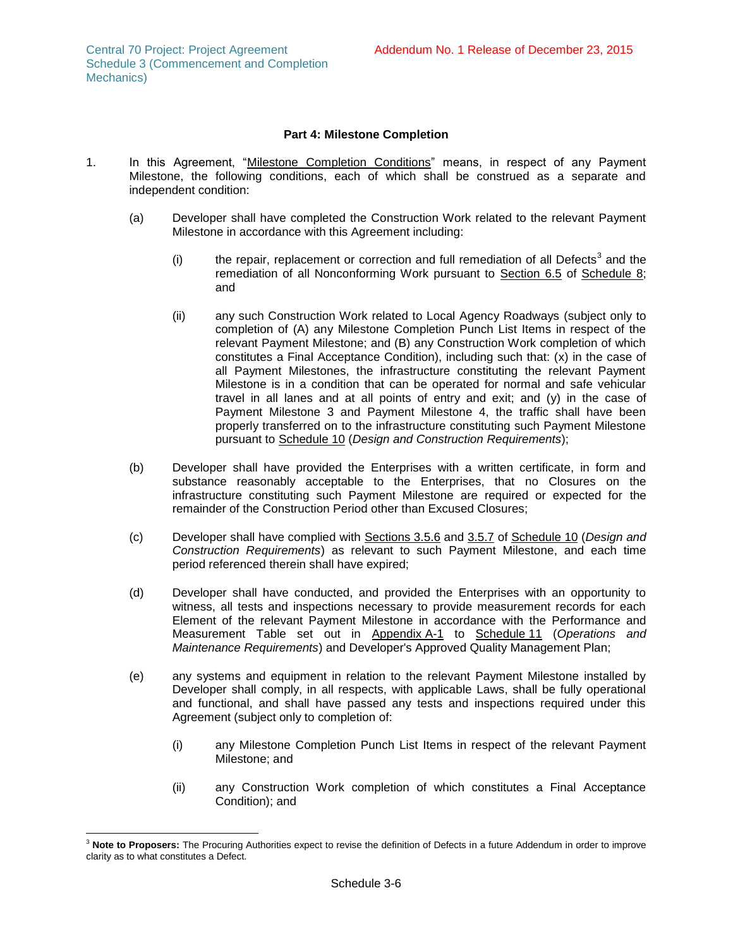# **Part 4: Milestone Completion**

- 1. In this Agreement, "Milestone Completion Conditions" means, in respect of any Payment Milestone, the following conditions, each of which shall be construed as a separate and independent condition:
	- (a) Developer shall have completed the Construction Work related to the relevant Payment Milestone in accordance with this Agreement including:
		- (i) the repair, replacement or correction and full remediation of all Defects<sup>3</sup> and the remediation of all Nonconforming Work pursuant to Section 6.5 of Schedule 8; and
		- (ii) any such Construction Work related to Local Agency Roadways (subject only to completion of (A) any Milestone Completion Punch List Items in respect of the relevant Payment Milestone; and (B) any Construction Work completion of which constitutes a Final Acceptance Condition), including such that: (x) in the case of all Payment Milestones, the infrastructure constituting the relevant Payment Milestone is in a condition that can be operated for normal and safe vehicular travel in all lanes and at all points of entry and exit; and (y) in the case of Payment Milestone 3 and Payment Milestone 4, the traffic shall have been properly transferred on to the infrastructure constituting such Payment Milestone pursuant to Schedule 10 (*Design and Construction Requirements*);
	- (b) Developer shall have provided the Enterprises with a written certificate, in form and substance reasonably acceptable to the Enterprises, that no Closures on the infrastructure constituting such Payment Milestone are required or expected for the remainder of the Construction Period other than Excused Closures;
	- (c) Developer shall have complied with Sections 3.5.6 and 3.5.7 of Schedule 10 (*Design and Construction Requirements*) as relevant to such Payment Milestone, and each time period referenced therein shall have expired;
	- (d) Developer shall have conducted, and provided the Enterprises with an opportunity to witness, all tests and inspections necessary to provide measurement records for each Element of the relevant Payment Milestone in accordance with the Performance and Measurement Table set out in Appendix A-1 to Schedule 11 (*Operations and Maintenance Requirements*) and Developer's Approved Quality Management Plan;
	- (e) any systems and equipment in relation to the relevant Payment Milestone installed by Developer shall comply, in all respects, with applicable Laws, shall be fully operational and functional, and shall have passed any tests and inspections required under this Agreement (subject only to completion of:
		- (i) any Milestone Completion Punch List Items in respect of the relevant Payment Milestone; and
		- (ii) any Construction Work completion of which constitutes a Final Acceptance Condition); and

l <sup>3</sup> **Note to Proposers:** The Procuring Authorities expect to revise the definition of Defects in a future Addendum in order to improve clarity as to what constitutes a Defect.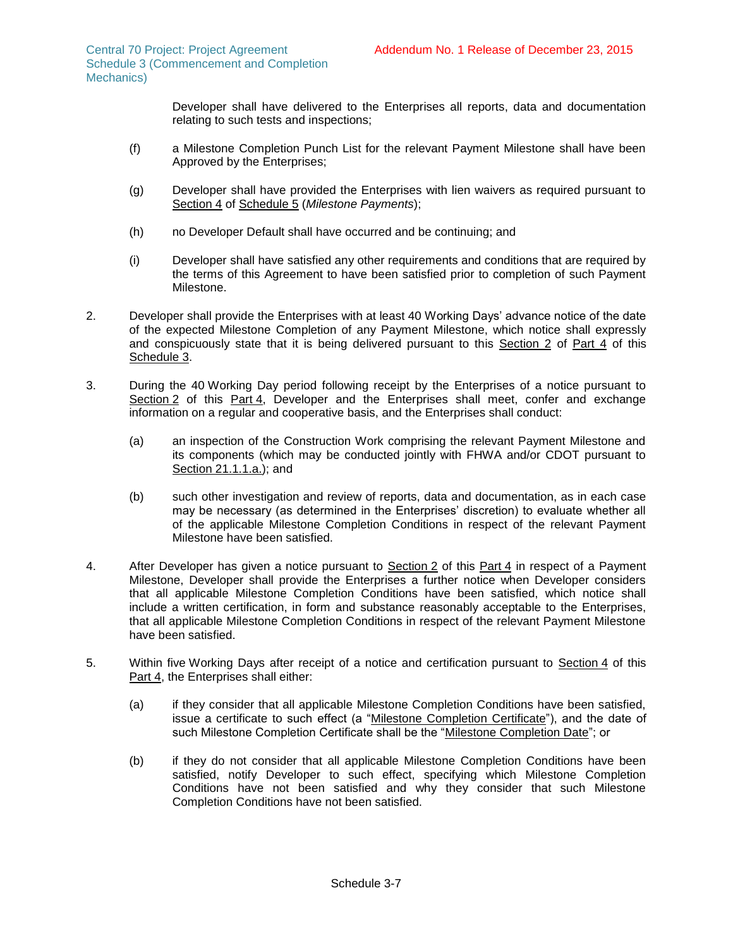Developer shall have delivered to the Enterprises all reports, data and documentation relating to such tests and inspections;

- (f) a Milestone Completion Punch List for the relevant Payment Milestone shall have been Approved by the Enterprises;
- (g) Developer shall have provided the Enterprises with lien waivers as required pursuant to Section 4 of Schedule 5 (*Milestone Payments*);
- (h) no Developer Default shall have occurred and be continuing; and
- (i) Developer shall have satisfied any other requirements and conditions that are required by the terms of this Agreement to have been satisfied prior to completion of such Payment Milestone.
- 2. Developer shall provide the Enterprises with at least 40 Working Days' advance notice of the date of the expected Milestone Completion of any Payment Milestone, which notice shall expressly and conspicuously state that it is being delivered pursuant to this Section 2 of Part 4 of this Schedule 3.
- <span id="page-38-0"></span>3. During the 40 Working Day period following receipt by the Enterprises of a notice pursuant to Section 2 of this Part 4, Developer and the Enterprises shall meet, confer and exchange information on a regular and cooperative basis, and the Enterprises shall conduct:
	- (a) an inspection of the Construction Work comprising the relevant Payment Milestone and its components (which may be conducted jointly with FHWA and/or CDOT pursuant to Section 21.1.1.a.); and
	- (b) such other investigation and review of reports, data and documentation, as in each case may be necessary (as determined in the Enterprises' discretion) to evaluate whether all of the applicable Milestone Completion Conditions in respect of the relevant Payment Milestone have been satisfied.
- 4. After Developer has given a notice pursuant to Section 2 of this Part 4 in respect of a Payment Milestone, Developer shall provide the Enterprises a further notice when Developer considers that all applicable Milestone Completion Conditions have been satisfied, which notice shall include a written certification, in form and substance reasonably acceptable to the Enterprises, that all applicable Milestone Completion Conditions in respect of the relevant Payment Milestone have been satisfied.
- 5. Within five Working Days after receipt of a notice and certification pursuant to Section 4 of this Part 4, the Enterprises shall either:
	- (a) if they consider that all applicable Milestone Completion Conditions have been satisfied, issue a certificate to such effect (a "Milestone Completion Certificate"), and the date of such Milestone Completion Certificate shall be the "Milestone Completion Date"; or
	- (b) if they do not consider that all applicable Milestone Completion Conditions have been satisfied, notify Developer to such effect, specifying which Milestone Completion Conditions have not been satisfied and why they consider that such Milestone Completion Conditions have not been satisfied.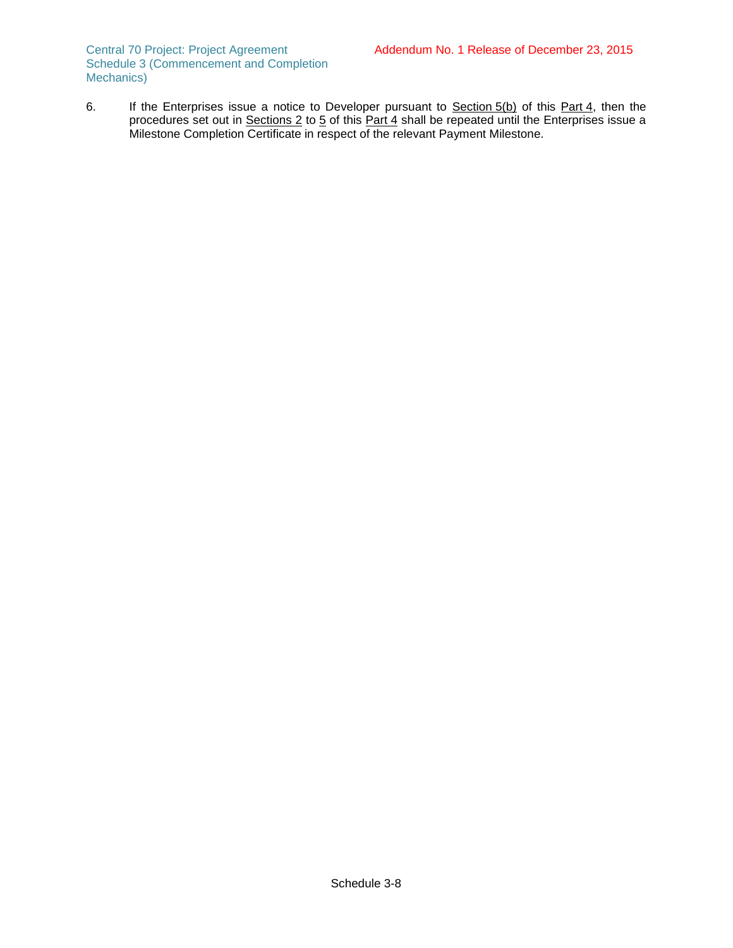Central 70 Project: Project Agreement Schedule 3 (Commencement and Completion Mechanics)

6. If the Enterprises issue a notice to Developer pursuant to Section 5(b) of this Part 4, then the procedures set out in Sections 2 to 5 of this Part 4 shall be repeated until the Enterprises issue a Milestone Completion Certificate in respect of the relevant Payment Milestone.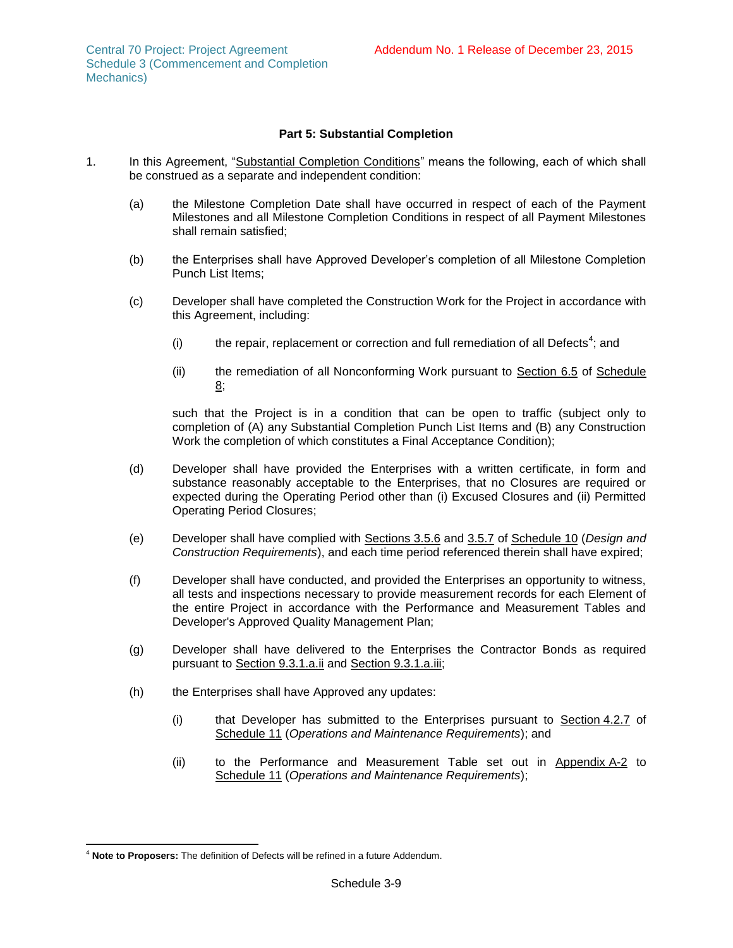### **Part 5: Substantial Completion**

- 1. In this Agreement, "Substantial Completion Conditions" means the following, each of which shall be construed as a separate and independent condition:
	- (a) the Milestone Completion Date shall have occurred in respect of each of the Payment Milestones and all Milestone Completion Conditions in respect of all Payment Milestones shall remain satisfied;
	- (b) the Enterprises shall have Approved Developer's completion of all Milestone Completion Punch List Items;
	- (c) Developer shall have completed the Construction Work for the Project in accordance with this Agreement, including:
		- (i) the repair, replacement or correction and full remediation of all Defects<sup>4</sup>; and
		- (ii) the remediation of all Nonconforming Work pursuant to Section 6.5 of Schedule 8;

such that the Project is in a condition that can be open to traffic (subject only to completion of (A) any Substantial Completion Punch List Items and (B) any Construction Work the completion of which constitutes a Final Acceptance Condition);

- (d) Developer shall have provided the Enterprises with a written certificate, in form and substance reasonably acceptable to the Enterprises, that no Closures are required or expected during the Operating Period other than (i) Excused Closures and (ii) Permitted Operating Period Closures;
- (e) Developer shall have complied with Sections 3.5.6 and 3.5.7 of Schedule 10 (*Design and Construction Requirements*), and each time period referenced therein shall have expired;
- (f) Developer shall have conducted, and provided the Enterprises an opportunity to witness, all tests and inspections necessary to provide measurement records for each Element of the entire Project in accordance with the Performance and Measurement Tables and Developer's Approved Quality Management Plan;
- (g) Developer shall have delivered to the Enterprises the Contractor Bonds as required pursuant to Section 9.3.1.a.ii and Section 9.3.1.a.iii;
- (h) the Enterprises shall have Approved any updates:
	- (i) that Developer has submitted to the Enterprises pursuant to Section 4.2.7 of Schedule 11 (*Operations and Maintenance Requirements*); and
	- (ii) to the Performance and Measurement Table set out in  $\Delta p$  and  $\Delta r$  to Schedule 11 (*Operations and Maintenance Requirements*);

 $\overline{\phantom{a}}$ <sup>4</sup> **Note to Proposers:** The definition of Defects will be refined in a future Addendum.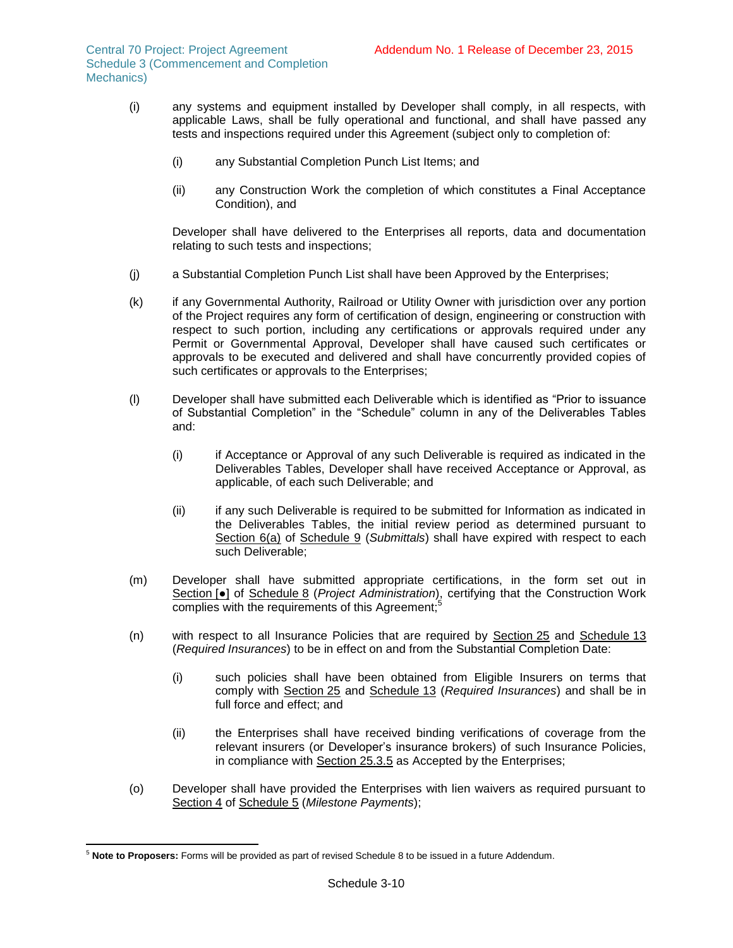- (i) any systems and equipment installed by Developer shall comply, in all respects, with applicable Laws, shall be fully operational and functional, and shall have passed any tests and inspections required under this Agreement (subject only to completion of:
	- (i) any Substantial Completion Punch List Items; and
	- (ii) any Construction Work the completion of which constitutes a Final Acceptance Condition), and

Developer shall have delivered to the Enterprises all reports, data and documentation relating to such tests and inspections;

- (j) a Substantial Completion Punch List shall have been Approved by the Enterprises;
- (k) if any Governmental Authority, Railroad or Utility Owner with jurisdiction over any portion of the Project requires any form of certification of design, engineering or construction with respect to such portion, including any certifications or approvals required under any Permit or Governmental Approval, Developer shall have caused such certificates or approvals to be executed and delivered and shall have concurrently provided copies of such certificates or approvals to the Enterprises;
- (l) Developer shall have submitted each Deliverable which is identified as "Prior to issuance of Substantial Completion" in the "Schedule" column in any of the Deliverables Tables and:
	- (i) if Acceptance or Approval of any such Deliverable is required as indicated in the Deliverables Tables, Developer shall have received Acceptance or Approval, as applicable, of each such Deliverable; and
	- (ii) if any such Deliverable is required to be submitted for Information as indicated in the Deliverables Tables, the initial review period as determined pursuant to Section 6(a) of Schedule 9 (Submittals) shall have expired with respect to each such Deliverable;
- (m) Developer shall have submitted appropriate certifications, in the form set out in Section [●] of Schedule 8 (*Project Administration*), certifying that the Construction Work complies with the requirements of this Agreement;<sup>5</sup>
- (n) with respect to all Insurance Policies that are required by Section 25 and Schedule 13 (*Required Insurances*) to be in effect on and from the Substantial Completion Date:
	- (i) such policies shall have been obtained from Eligible Insurers on terms that comply with Section 25 and Schedule 13 (*Required Insurances*) and shall be in full force and effect; and
	- (ii) the Enterprises shall have received binding verifications of coverage from the relevant insurers (or Developer's insurance brokers) of such Insurance Policies, in compliance with Section 25.3.5 as Accepted by the Enterprises;
- (o) Developer shall have provided the Enterprises with lien waivers as required pursuant to Section 4 of Schedule 5 (*Milestone Payments*);

 $\overline{\phantom{a}}$ <sup>5</sup> **Note to Proposers:** Forms will be provided as part of revised Schedule 8 to be issued in a future Addendum.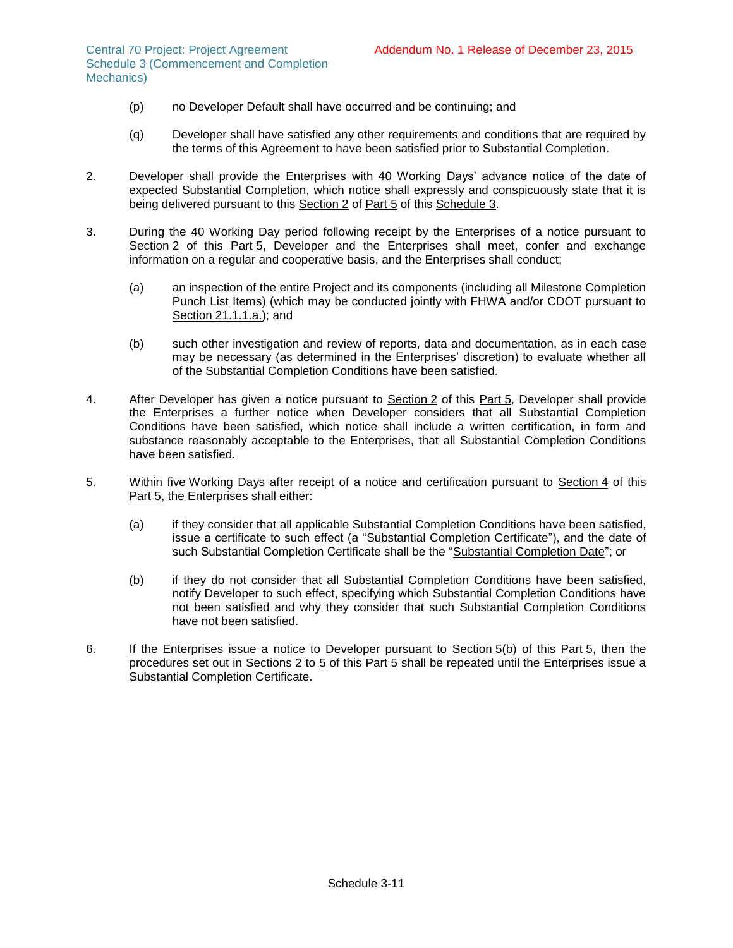Central 70 Project: Project Agreement Schedule 3 (Commencement and Completion Mechanics)

- (p) no Developer Default shall have occurred and be continuing; and
- (q) Developer shall have satisfied any other requirements and conditions that are required by the terms of this Agreement to have been satisfied prior to Substantial Completion.
- 2. Developer shall provide the Enterprises with 40 Working Days' advance notice of the date of expected Substantial Completion, which notice shall expressly and conspicuously state that it is being delivered pursuant to this Section 2 of Part 5 of this Schedule 3.
- 3. During the 40 Working Day period following receipt by the Enterprises of a notice pursuant to Section 2 of this Part 5, Developer and the Enterprises shall meet, confer and exchange information on a regular and cooperative basis, and the Enterprises shall conduct;
	- (a) an inspection of the entire Project and its components (including all Milestone Completion Punch List Items) (which may be conducted jointly with FHWA and/or CDOT pursuant to Section 21.1.1.a.); and
	- (b) such other investigation and review of reports, data and documentation, as in each case may be necessary (as determined in the Enterprises' discretion) to evaluate whether all of the Substantial Completion Conditions have been satisfied.
- 4. After Developer has given a notice pursuant to Section 2 of this Part 5, Developer shall provide the Enterprises a further notice when Developer considers that all Substantial Completion Conditions have been satisfied, which notice shall include a written certification, in form and substance reasonably acceptable to the Enterprises, that all Substantial Completion Conditions have been satisfied.
- 5. Within five Working Days after receipt of a notice and certification pursuant to Section 4 of this Part 5, the Enterprises shall either:
	- (a) if they consider that all applicable Substantial Completion Conditions have been satisfied, issue a certificate to such effect (a "Substantial Completion Certificate"), and the date of such Substantial Completion Certificate shall be the "Substantial Completion Date"; or
	- (b) if they do not consider that all Substantial Completion Conditions have been satisfied, notify Developer to such effect, specifying which Substantial Completion Conditions have not been satisfied and why they consider that such Substantial Completion Conditions have not been satisfied.
- 6. If the Enterprises issue a notice to Developer pursuant to Section 5(b) of this Part 5, then the procedures set out in Sections 2 to 5 of this Part 5 shall be repeated until the Enterprises issue a Substantial Completion Certificate.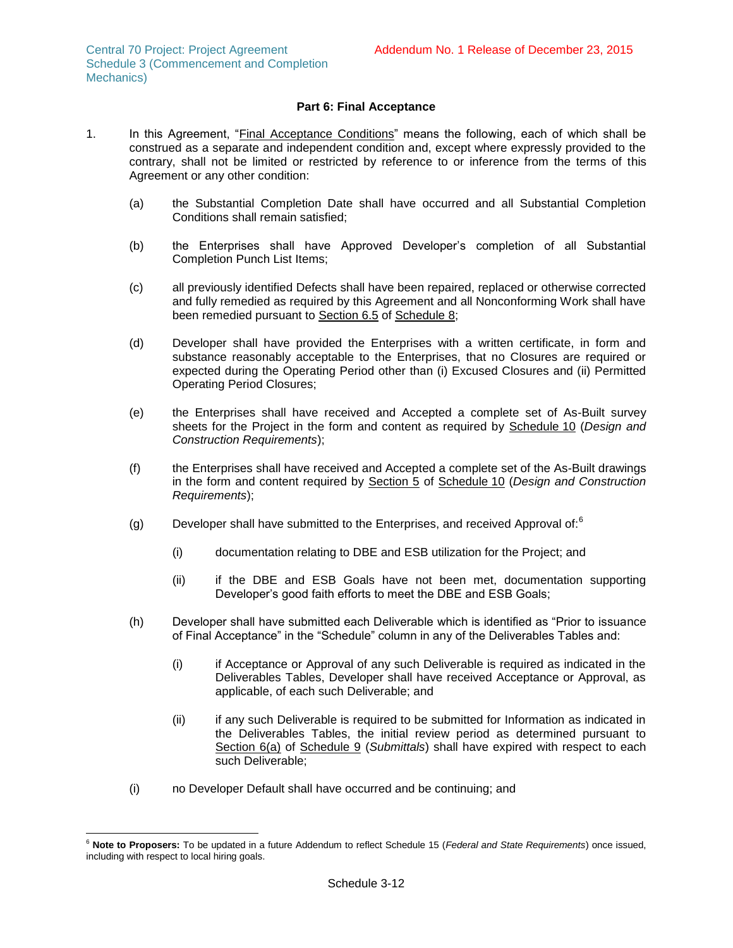# **Part 6: Final Acceptance**

- 1. In this Agreement, "Final Acceptance Conditions" means the following, each of which shall be construed as a separate and independent condition and, except where expressly provided to the contrary, shall not be limited or restricted by reference to or inference from the terms of this Agreement or any other condition:
	- (a) the Substantial Completion Date shall have occurred and all Substantial Completion Conditions shall remain satisfied;
	- (b) the Enterprises shall have Approved Developer's completion of all Substantial Completion Punch List Items;
	- (c) all previously identified Defects shall have been repaired, replaced or otherwise corrected and fully remedied as required by this Agreement and all Nonconforming Work shall have been remedied pursuant to Section 6.5 of Schedule 8;
	- (d) Developer shall have provided the Enterprises with a written certificate, in form and substance reasonably acceptable to the Enterprises, that no Closures are required or expected during the Operating Period other than (i) Excused Closures and (ii) Permitted Operating Period Closures;
	- (e) the Enterprises shall have received and Accepted a complete set of As-Built survey sheets for the Project in the form and content as required by Schedule 10 (*Design and Construction Requirements*);
	- (f) the Enterprises shall have received and Accepted a complete set of the As-Built drawings in the form and content required by Section 5 of Schedule 10 (*Design and Construction Requirements*);
	- (g) Developer shall have submitted to the Enterprises, and received Approval of: $^6$ 
		- (i) documentation relating to DBE and ESB utilization for the Project; and
		- (ii) if the DBE and ESB Goals have not been met, documentation supporting Developer's good faith efforts to meet the DBE and ESB Goals;
	- (h) Developer shall have submitted each Deliverable which is identified as "Prior to issuance of Final Acceptance" in the "Schedule" column in any of the Deliverables Tables and:
		- (i) if Acceptance or Approval of any such Deliverable is required as indicated in the Deliverables Tables, Developer shall have received Acceptance or Approval, as applicable, of each such Deliverable; and
		- (ii) if any such Deliverable is required to be submitted for Information as indicated in the Deliverables Tables, the initial review period as determined pursuant to Section 6(a) of Schedule 9 (*Submittals*) shall have expired with respect to each such Deliverable;
	- (i) no Developer Default shall have occurred and be continuing; and

l <sup>6</sup> **Note to Proposers:** To be updated in a future Addendum to reflect Schedule 15 (*Federal and State Requirements*) once issued, including with respect to local hiring goals.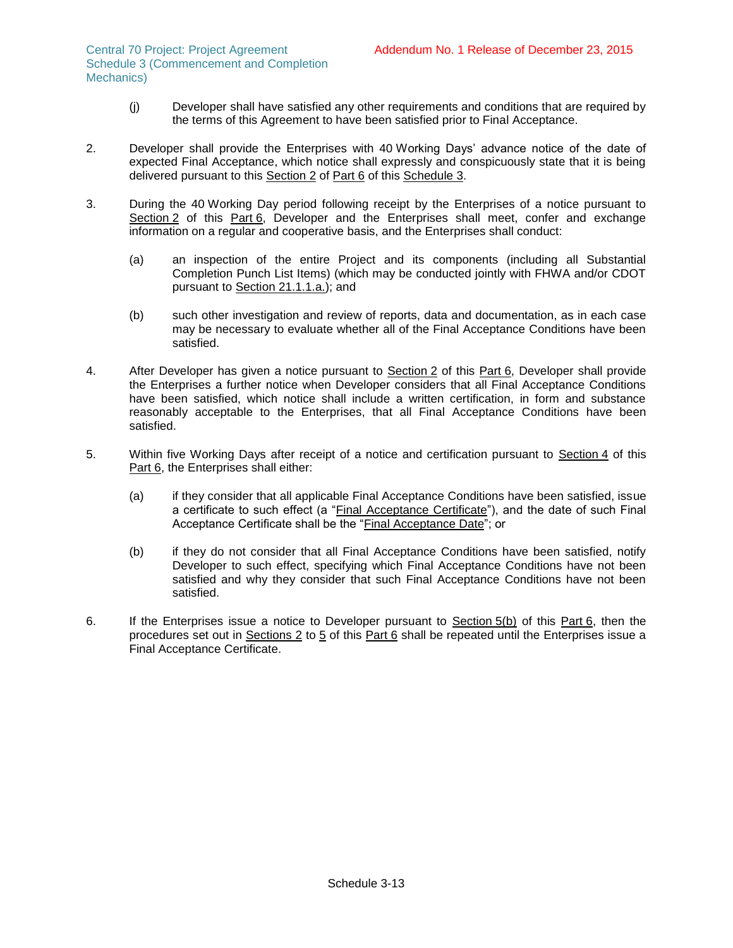Central 70 Project: Project Agreement Schedule 3 (Commencement and Completion Mechanics)

- (j) Developer shall have satisfied any other requirements and conditions that are required by the terms of this Agreement to have been satisfied prior to Final Acceptance.
- 2. Developer shall provide the Enterprises with 40 Working Days' advance notice of the date of expected Final Acceptance, which notice shall expressly and conspicuously state that it is being delivered pursuant to this Section 2 of Part 6 of this Schedule 3.
- 3. During the 40 Working Day period following receipt by the Enterprises of a notice pursuant to Section 2 of this Part 6, Developer and the Enterprises shall meet, confer and exchange information on a regular and cooperative basis, and the Enterprises shall conduct:
	- (a) an inspection of the entire Project and its components (including all Substantial Completion Punch List Items) (which may be conducted jointly with FHWA and/or CDOT pursuant to Section 21.1.1.a.); and
	- (b) such other investigation and review of reports, data and documentation, as in each case may be necessary to evaluate whether all of the Final Acceptance Conditions have been satisfied.
- 4. After Developer has given a notice pursuant to Section 2 of this Part 6, Developer shall provide the Enterprises a further notice when Developer considers that all Final Acceptance Conditions have been satisfied, which notice shall include a written certification, in form and substance reasonably acceptable to the Enterprises, that all Final Acceptance Conditions have been satisfied.
- 5. Within five Working Days after receipt of a notice and certification pursuant to Section 4 of this Part 6, the Enterprises shall either:
	- (a) if they consider that all applicable Final Acceptance Conditions have been satisfied, issue a certificate to such effect (a "Final Acceptance Certificate"), and the date of such Final Acceptance Certificate shall be the "Final Acceptance Date"; or
	- (b) if they do not consider that all Final Acceptance Conditions have been satisfied, notify Developer to such effect, specifying which Final Acceptance Conditions have not been satisfied and why they consider that such Final Acceptance Conditions have not been satisfied.
- 6. If the Enterprises issue a notice to Developer pursuant to Section 5(b) of this Part 6, then the procedures set out in Sections 2 to 5 of this Part 6 shall be repeated until the Enterprises issue a Final Acceptance Certificate.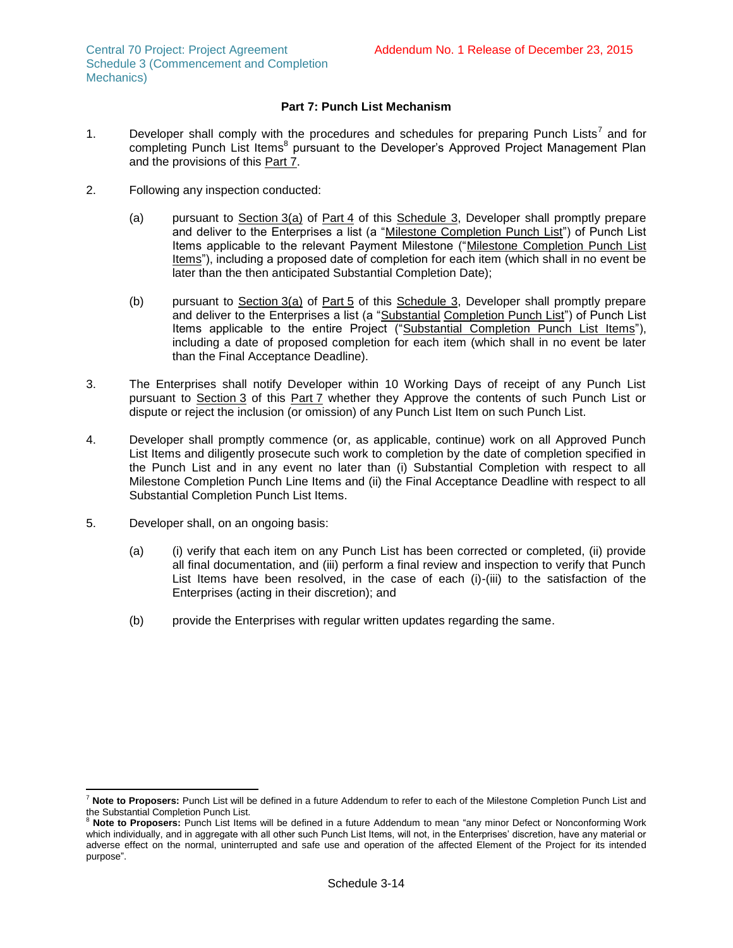Central 70 Project: Project Agreement Schedule 3 (Commencement and Completion Mechanics)

# **Part 7: Punch List Mechanism**

- 1. Developer shall comply with the procedures and schedules for preparing Punch Lists<sup>7</sup> and for completing Punch List Items<sup>8</sup> pursuant to the Developer's Approved Project Management Plan and the provisions of this Part 7.
- 2. Following any inspection conducted:
	- (a) pursuant to Section [3\(a\)](#page-38-0) of Part 4 of this Schedule 3, Developer shall promptly prepare and deliver to the Enterprises a list (a "Milestone Completion Punch List") of Punch List Items applicable to the relevant Payment Milestone ("Milestone Completion Punch List Items"), including a proposed date of completion for each item (which shall in no event be later than the then anticipated Substantial Completion Date);
	- (b) pursuant to Section [3\(a\)](#page-38-0) of Part 5 of this Schedule 3, Developer shall promptly prepare and deliver to the Enterprises a list (a "Substantial Completion Punch List") of Punch List Items applicable to the entire Project ("Substantial Completion Punch List Items"), including a date of proposed completion for each item (which shall in no event be later than the Final Acceptance Deadline).
- 3. The Enterprises shall notify Developer within 10 Working Days of receipt of any Punch List pursuant to Section 3 of this Part 7 whether they Approve the contents of such Punch List or dispute or reject the inclusion (or omission) of any Punch List Item on such Punch List.
- 4. Developer shall promptly commence (or, as applicable, continue) work on all Approved Punch List Items and diligently prosecute such work to completion by the date of completion specified in the Punch List and in any event no later than (i) Substantial Completion with respect to all Milestone Completion Punch Line Items and (ii) the Final Acceptance Deadline with respect to all Substantial Completion Punch List Items.
- 5. Developer shall, on an ongoing basis:
	- (a) (i) verify that each item on any Punch List has been corrected or completed, (ii) provide all final documentation, and (iii) perform a final review and inspection to verify that Punch List Items have been resolved, in the case of each (i)-(iii) to the satisfaction of the Enterprises (acting in their discretion); and
	- (b) provide the Enterprises with regular written updates regarding the same.

 $\overline{a}$ <sup>7</sup> **Note to Proposers:** Punch List will be defined in a future Addendum to refer to each of the Milestone Completion Punch List and the Substantial Completion Punch List.

<sup>8</sup> **Note to Proposers:** Punch List Items will be defined in a future Addendum to mean "any minor Defect or Nonconforming Work which individually, and in aggregate with all other such Punch List Items, will not, in the Enterprises' discretion, have any material or adverse effect on the normal, uninterrupted and safe use and operation of the affected Element of the Project for its intended purpose".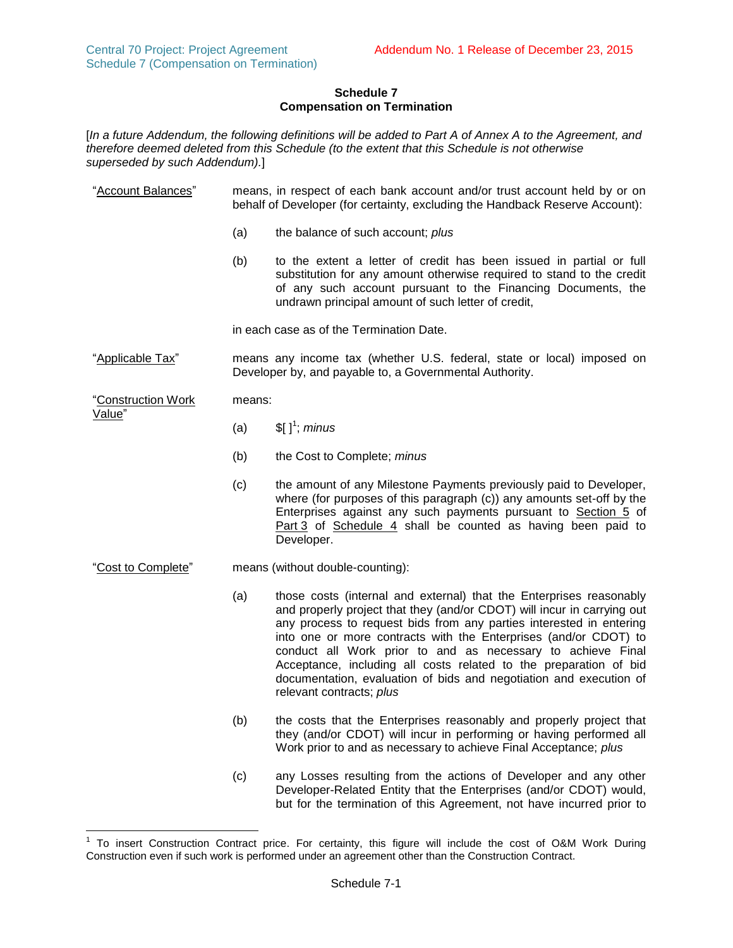# **Schedule 7 Compensation on Termination**

[*In a future Addendum, the following definitions will be added to Part A of Annex A to the Agreement, and therefore deemed deleted from this Schedule (to the extent that this Schedule is not otherwise superseded by such Addendum).*]

| "Account Balances"           | means, in respect of each bank account and/or trust account held by or on<br>behalf of Developer (for certainty, excluding the Handback Reserve Account): |                                                                                                                                                                                                                                                                                                                                                                                                                                                                                                                                 |  |  |  |
|------------------------------|-----------------------------------------------------------------------------------------------------------------------------------------------------------|---------------------------------------------------------------------------------------------------------------------------------------------------------------------------------------------------------------------------------------------------------------------------------------------------------------------------------------------------------------------------------------------------------------------------------------------------------------------------------------------------------------------------------|--|--|--|
|                              | (a)                                                                                                                                                       | the balance of such account; plus                                                                                                                                                                                                                                                                                                                                                                                                                                                                                               |  |  |  |
|                              | (b)                                                                                                                                                       | to the extent a letter of credit has been issued in partial or full<br>substitution for any amount otherwise required to stand to the credit<br>of any such account pursuant to the Financing Documents, the<br>undrawn principal amount of such letter of credit,                                                                                                                                                                                                                                                              |  |  |  |
|                              |                                                                                                                                                           | in each case as of the Termination Date.                                                                                                                                                                                                                                                                                                                                                                                                                                                                                        |  |  |  |
| "Applicable Tax"             | means any income tax (whether U.S. federal, state or local) imposed on<br>Developer by, and payable to, a Governmental Authority.                         |                                                                                                                                                                                                                                                                                                                                                                                                                                                                                                                                 |  |  |  |
| "Construction Work<br>Value" | means:                                                                                                                                                    |                                                                                                                                                                                                                                                                                                                                                                                                                                                                                                                                 |  |  |  |
|                              | (a)                                                                                                                                                       | $[$ [ ] <sup>1</sup> ; minus                                                                                                                                                                                                                                                                                                                                                                                                                                                                                                    |  |  |  |
|                              | (b)                                                                                                                                                       | the Cost to Complete; minus                                                                                                                                                                                                                                                                                                                                                                                                                                                                                                     |  |  |  |
|                              | (c)                                                                                                                                                       | the amount of any Milestone Payments previously paid to Developer,<br>where (for purposes of this paragraph (c)) any amounts set-off by the<br>Enterprises against any such payments pursuant to Section 5 of<br>Part 3 of Schedule 4 shall be counted as having been paid to<br>Developer.                                                                                                                                                                                                                                     |  |  |  |
| "Cost to Complete"           | means (without double-counting):                                                                                                                          |                                                                                                                                                                                                                                                                                                                                                                                                                                                                                                                                 |  |  |  |
|                              | (a)                                                                                                                                                       | those costs (internal and external) that the Enterprises reasonably<br>and properly project that they (and/or CDOT) will incur in carrying out<br>any process to request bids from any parties interested in entering<br>into one or more contracts with the Enterprises (and/or CDOT) to<br>conduct all Work prior to and as necessary to achieve Final<br>Acceptance, including all costs related to the preparation of bid<br>documentation, evaluation of bids and negotiation and execution of<br>relevant contracts; plus |  |  |  |
|                              | (b)                                                                                                                                                       | the costs that the Enterprises reasonably and properly project that<br>they (and/or CDOT) will incur in performing or having performed all<br>Work prior to and as necessary to achieve Final Acceptance; plus                                                                                                                                                                                                                                                                                                                  |  |  |  |
|                              | (c)                                                                                                                                                       | any Losses resulting from the actions of Developer and any other<br>Developer-Related Entity that the Enterprises (and/or CDOT) would,<br>but for the termination of this Agreement, not have incurred prior to                                                                                                                                                                                                                                                                                                                 |  |  |  |

To insert Construction Contract price. For certainty, this figure will include the cost of O&M Work During Construction even if such work is performed under an agreement other than the Construction Contract.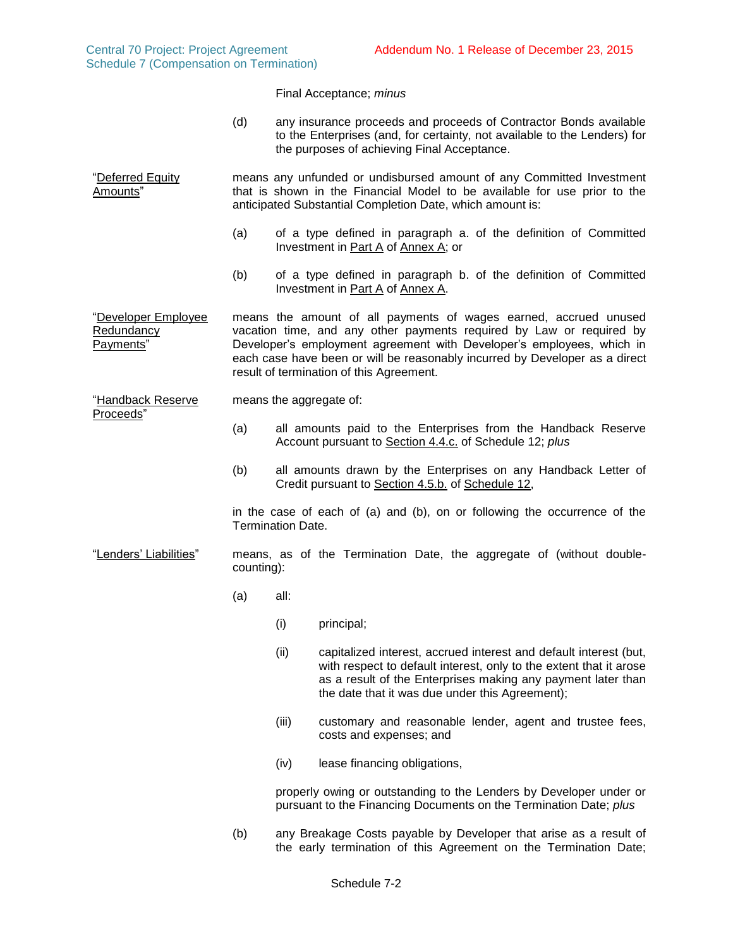|                                                |                                                                                                                                                                                                                                                                                                                                              |                                                                                                                          | Final Acceptance; minus                                                                                                                                                                                                                                    |  |  |  |
|------------------------------------------------|----------------------------------------------------------------------------------------------------------------------------------------------------------------------------------------------------------------------------------------------------------------------------------------------------------------------------------------------|--------------------------------------------------------------------------------------------------------------------------|------------------------------------------------------------------------------------------------------------------------------------------------------------------------------------------------------------------------------------------------------------|--|--|--|
|                                                | (d)                                                                                                                                                                                                                                                                                                                                          |                                                                                                                          | any insurance proceeds and proceeds of Contractor Bonds available<br>to the Enterprises (and, for certainty, not available to the Lenders) for<br>the purposes of achieving Final Acceptance.                                                              |  |  |  |
| "Deferred Equity<br>Amounts"                   |                                                                                                                                                                                                                                                                                                                                              |                                                                                                                          | means any unfunded or undisbursed amount of any Committed Investment<br>that is shown in the Financial Model to be available for use prior to the<br>anticipated Substantial Completion Date, which amount is:                                             |  |  |  |
|                                                | (a)                                                                                                                                                                                                                                                                                                                                          | of a type defined in paragraph a. of the definition of Committed<br>Investment in Part A of Annex A; or                  |                                                                                                                                                                                                                                                            |  |  |  |
|                                                | (b)                                                                                                                                                                                                                                                                                                                                          |                                                                                                                          | of a type defined in paragraph b. of the definition of Committed<br>Investment in Part A of Annex A.                                                                                                                                                       |  |  |  |
| "Developer Employee<br>Redundancy<br>Payments" | means the amount of all payments of wages earned, accrued unused<br>vacation time, and any other payments required by Law or required by<br>Developer's employment agreement with Developer's employees, which in<br>each case have been or will be reasonably incurred by Developer as a direct<br>result of termination of this Agreement. |                                                                                                                          |                                                                                                                                                                                                                                                            |  |  |  |
| "Handback Reserve                              | means the aggregate of:                                                                                                                                                                                                                                                                                                                      |                                                                                                                          |                                                                                                                                                                                                                                                            |  |  |  |
| Proceeds"                                      | (a)                                                                                                                                                                                                                                                                                                                                          | all amounts paid to the Enterprises from the Handback Reserve<br>Account pursuant to Section 4.4.c. of Schedule 12; plus |                                                                                                                                                                                                                                                            |  |  |  |
|                                                | (b)                                                                                                                                                                                                                                                                                                                                          | all amounts drawn by the Enterprises on any Handback Letter of<br>Credit pursuant to Section 4.5.b. of Schedule 12,      |                                                                                                                                                                                                                                                            |  |  |  |
|                                                |                                                                                                                                                                                                                                                                                                                                              | <b>Termination Date.</b>                                                                                                 | in the case of each of (a) and (b), on or following the occurrence of the                                                                                                                                                                                  |  |  |  |
| "Lenders' Liabilities"                         | counting):                                                                                                                                                                                                                                                                                                                                   |                                                                                                                          | means, as of the Termination Date, the aggregate of (without double-                                                                                                                                                                                       |  |  |  |
|                                                | (a)                                                                                                                                                                                                                                                                                                                                          | all:                                                                                                                     |                                                                                                                                                                                                                                                            |  |  |  |
|                                                |                                                                                                                                                                                                                                                                                                                                              | (i)                                                                                                                      | principal;                                                                                                                                                                                                                                                 |  |  |  |
|                                                |                                                                                                                                                                                                                                                                                                                                              | (ii)                                                                                                                     | capitalized interest, accrued interest and default interest (but,<br>with respect to default interest, only to the extent that it arose<br>as a result of the Enterprises making any payment later than<br>the date that it was due under this Agreement); |  |  |  |
|                                                |                                                                                                                                                                                                                                                                                                                                              | (iii)                                                                                                                    | customary and reasonable lender, agent and trustee fees,<br>costs and expenses; and                                                                                                                                                                        |  |  |  |
|                                                |                                                                                                                                                                                                                                                                                                                                              | (iv)                                                                                                                     | lease financing obligations,                                                                                                                                                                                                                               |  |  |  |
|                                                |                                                                                                                                                                                                                                                                                                                                              |                                                                                                                          | properly owing or outstanding to the Lenders by Developer under or<br>pursuant to the Financing Documents on the Termination Date; plus                                                                                                                    |  |  |  |
|                                                | (b)                                                                                                                                                                                                                                                                                                                                          |                                                                                                                          | any Breakage Costs payable by Developer that arise as a result of                                                                                                                                                                                          |  |  |  |

the early termination of this Agreement on the Termination Date;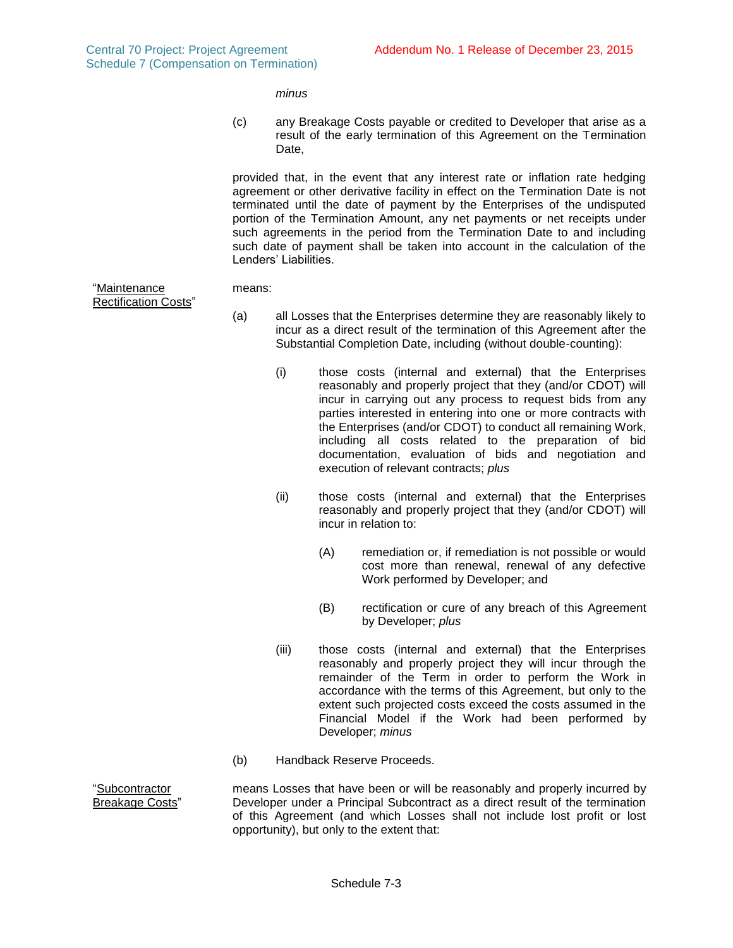*minus*

(c) any Breakage Costs payable or credited to Developer that arise as a result of the early termination of this Agreement on the Termination Date.

provided that, in the event that any interest rate or inflation rate hedging agreement or other derivative facility in effect on the Termination Date is not terminated until the date of payment by the Enterprises of the undisputed portion of the Termination Amount, any net payments or net receipts under such agreements in the period from the Termination Date to and including such date of payment shall be taken into account in the calculation of the Lenders' Liabilities.

means:

"Maintenance Rectification Costs"

"Subcontractor

- (a) all Losses that the Enterprises determine they are reasonably likely to incur as a direct result of the termination of this Agreement after the Substantial Completion Date, including (without double-counting):
	- (i) those costs (internal and external) that the Enterprises reasonably and properly project that they (and/or CDOT) will incur in carrying out any process to request bids from any parties interested in entering into one or more contracts with the Enterprises (and/or CDOT) to conduct all remaining Work, including all costs related to the preparation of bid documentation, evaluation of bids and negotiation and execution of relevant contracts; *plus*
	- (ii) those costs (internal and external) that the Enterprises reasonably and properly project that they (and/or CDOT) will incur in relation to:
		- (A) remediation or, if remediation is not possible or would cost more than renewal, renewal of any defective Work performed by Developer; and
		- (B) rectification or cure of any breach of this Agreement by Developer; *plus*
	- (iii) those costs (internal and external) that the Enterprises reasonably and properly project they will incur through the remainder of the Term in order to perform the Work in accordance with the terms of this Agreement, but only to the extent such projected costs exceed the costs assumed in the Financial Model if the Work had been performed by Developer; *minus*
- (b) Handback Reserve Proceeds.

Breakage Costs" means Losses that have been or will be reasonably and properly incurred by Developer under a Principal Subcontract as a direct result of the termination of this Agreement (and which Losses shall not include lost profit or lost opportunity), but only to the extent that: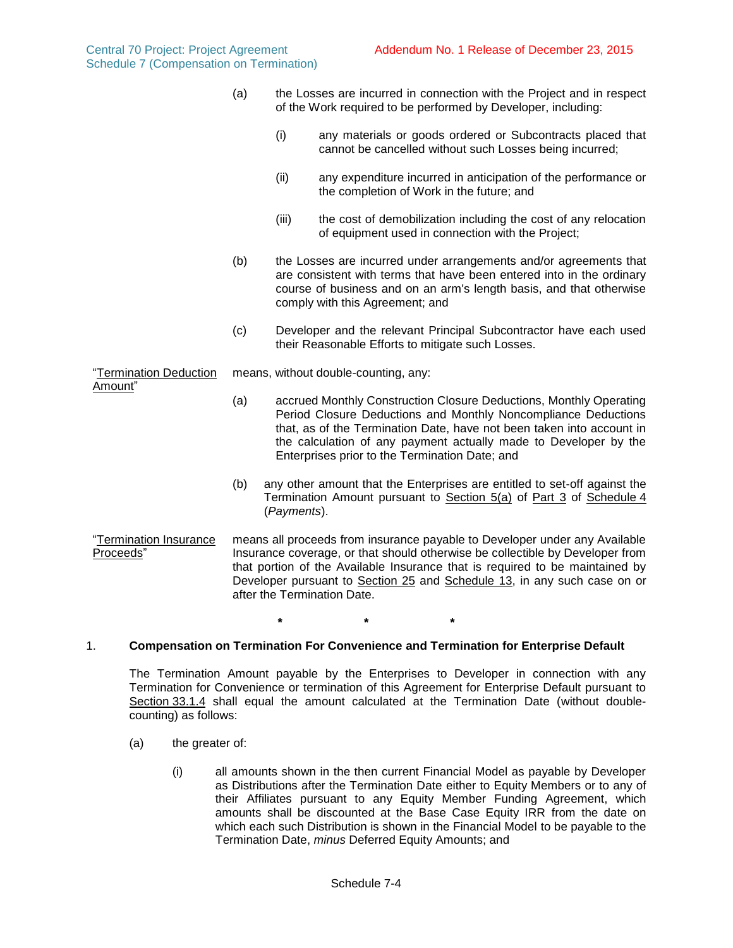- (a) the Losses are incurred in connection with the Project and in respect of the Work required to be performed by Developer, including:
	- (i) any materials or goods ordered or Subcontracts placed that cannot be cancelled without such Losses being incurred;
	- (ii) any expenditure incurred in anticipation of the performance or the completion of Work in the future; and
	- (iii) the cost of demobilization including the cost of any relocation of equipment used in connection with the Project;
- (b) the Losses are incurred under arrangements and/or agreements that are consistent with terms that have been entered into in the ordinary course of business and on an arm's length basis, and that otherwise comply with this Agreement; and
- (c) Developer and the relevant Principal Subcontractor have each used their Reasonable Efforts to mitigate such Losses.

"Termination Deduction Amount" means, without double-counting, any:

- (a) accrued Monthly Construction Closure Deductions, Monthly Operating Period Closure Deductions and Monthly Noncompliance Deductions that, as of the Termination Date, have not been taken into account in the calculation of any payment actually made to Developer by the Enterprises prior to the Termination Date; and
- (b) any other amount that the Enterprises are entitled to set-off against the Termination Amount pursuant to Section 5(a) of Part 3 of Schedule 4 (*Payments*).
- "Termination Insurance Proceeds" means all proceeds from insurance payable to Developer under any Available Insurance coverage, or that should otherwise be collectible by Developer from that portion of the Available Insurance that is required to be maintained by Developer pursuant to Section 25 and Schedule 13, in any such case on or after the Termination Date.

**\* \* \***

# <span id="page-49-0"></span>1. **Compensation on Termination For Convenience and Termination for Enterprise Default**

The Termination Amount payable by the Enterprises to Developer in connection with any Termination for Convenience or termination of this Agreement for Enterprise Default pursuant to Section 33.1.4 shall equal the amount calculated at the Termination Date (without doublecounting) as follows:

- (a) the greater of:
	- (i) all amounts shown in the then current Financial Model as payable by Developer as Distributions after the Termination Date either to Equity Members or to any of their Affiliates pursuant to any Equity Member Funding Agreement, which amounts shall be discounted at the Base Case Equity IRR from the date on which each such Distribution is shown in the Financial Model to be payable to the Termination Date, *minus* Deferred Equity Amounts; and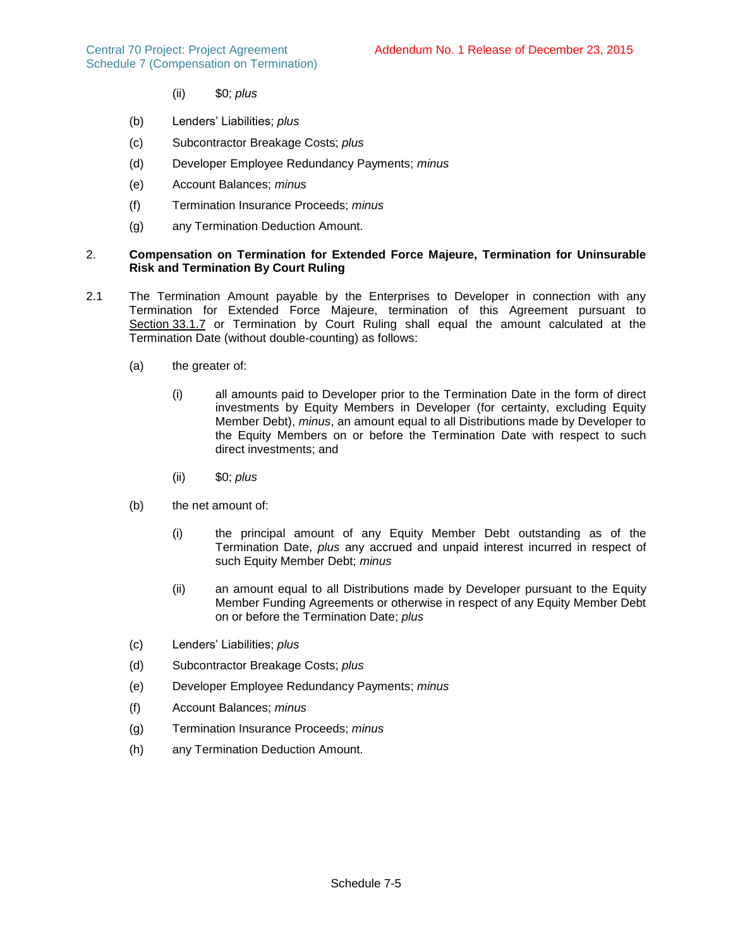- (ii) \$0; *plus*
- (b) Lenders' Liabilities; *plus*
- (c) Subcontractor Breakage Costs; *plus*
- (d) Developer Employee Redundancy Payments; *minus*
- (e) Account Balances; *minus*
- (f) Termination Insurance Proceeds; *minus*
- (g) any Termination Deduction Amount.

## <span id="page-50-0"></span>2. **Compensation on Termination for Extended Force Majeure, Termination for Uninsurable Risk and Termination By Court Ruling**

- 2.1 The Termination Amount payable by the Enterprises to Developer in connection with any Termination for Extended Force Majeure, termination of this Agreement pursuant to Section 33.1.7 or Termination by Court Ruling shall equal the amount calculated at the Termination Date (without double-counting) as follows:
	- (a) the greater of:
		- (i) all amounts paid to Developer prior to the Termination Date in the form of direct investments by Equity Members in Developer (for certainty, excluding Equity Member Debt), *minus*, an amount equal to all Distributions made by Developer to the Equity Members on or before the Termination Date with respect to such direct investments; and
		- (ii) \$0; *plus*
	- (b) the net amount of:
		- (i) the principal amount of any Equity Member Debt outstanding as of the Termination Date, *plus* any accrued and unpaid interest incurred in respect of such Equity Member Debt; *minus*
		- (ii) an amount equal to all Distributions made by Developer pursuant to the Equity Member Funding Agreements or otherwise in respect of any Equity Member Debt on or before the Termination Date; *plus*
	- (c) Lenders' Liabilities; *plus*
	- (d) Subcontractor Breakage Costs; *plus*
	- (e) Developer Employee Redundancy Payments; *minus*
	- (f) Account Balances; *minus*
	- (g) Termination Insurance Proceeds; *minus*
	- (h) any Termination Deduction Amount.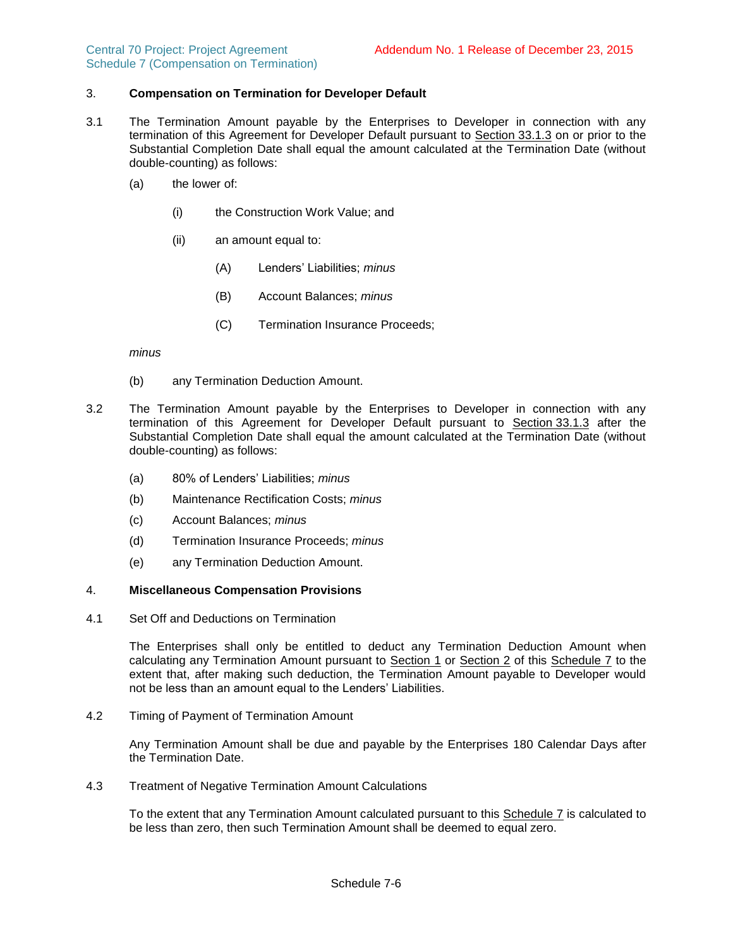### 3. **Compensation on Termination for Developer Default**

- 3.1 The Termination Amount payable by the Enterprises to Developer in connection with any termination of this Agreement for Developer Default pursuant to Section 33.1.3 on or prior to the Substantial Completion Date shall equal the amount calculated at the Termination Date (without double-counting) as follows:
	- (a) the lower of:
		- (i) the Construction Work Value; and
		- (ii) an amount equal to:
			- (A) Lenders' Liabilities; *minus*
			- (B) Account Balances; *minus*
			- (C) Termination Insurance Proceeds;

*minus*

- (b) any Termination Deduction Amount.
- 3.2 The Termination Amount payable by the Enterprises to Developer in connection with any termination of this Agreement for Developer Default pursuant to Section 33.1.3 after the Substantial Completion Date shall equal the amount calculated at the Termination Date (without double-counting) as follows:
	- (a) 80% of Lenders' Liabilities; *minus*
	- (b) Maintenance Rectification Costs; *minus*
	- (c) Account Balances; *minus*
	- (d) Termination Insurance Proceeds; *minus*
	- (e) any Termination Deduction Amount.

### 4. **Miscellaneous Compensation Provisions**

4.1 Set Off and Deductions on Termination

The Enterprises shall only be entitled to deduct any Termination Deduction Amount when calculating any Termination Amount pursuant to Section 1 or Section 2 of this Schedule 7 to the extent that, after making such deduction, the Termination Amount payable to Developer would not be less than an amount equal to the Lenders' Liabilities.

4.2 Timing of Payment of Termination Amount

Any Termination Amount shall be due and payable by the Enterprises 180 Calendar Days after the Termination Date.

4.3 Treatment of Negative Termination Amount Calculations

To the extent that any Termination Amount calculated pursuant to this Schedule 7 is calculated to be less than zero, then such Termination Amount shall be deemed to equal zero.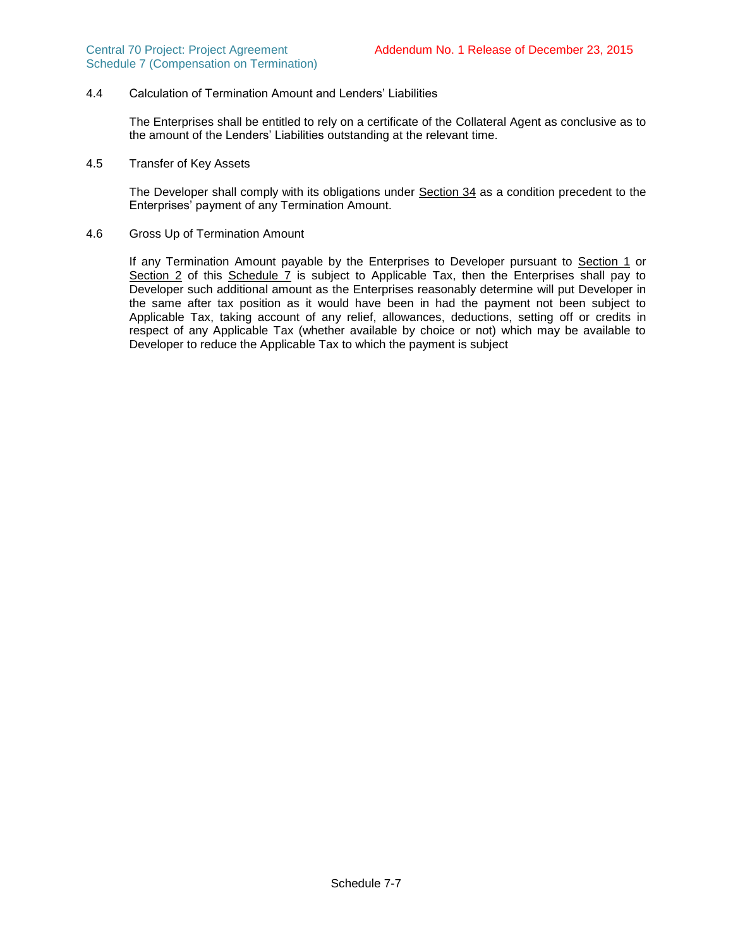### 4.4 Calculation of Termination Amount and Lenders' Liabilities

The Enterprises shall be entitled to rely on a certificate of the Collateral Agent as conclusive as to the amount of the Lenders' Liabilities outstanding at the relevant time.

4.5 Transfer of Key Assets

The Developer shall comply with its obligations under Section 34 as a condition precedent to the Enterprises' payment of any Termination Amount.

4.6 Gross Up of Termination Amount

If any Termination Amount payable by the Enterprises to Developer pursuant to Section [1](#page-49-0) or Section [2](#page-50-0) of this Schedule 7 is subject to Applicable Tax, then the Enterprises shall pay to Developer such additional amount as the Enterprises reasonably determine will put Developer in the same after tax position as it would have been in had the payment not been subject to Applicable Tax, taking account of any relief, allowances, deductions, setting off or credits in respect of any Applicable Tax (whether available by choice or not) which may be available to Developer to reduce the Applicable Tax to which the payment is subject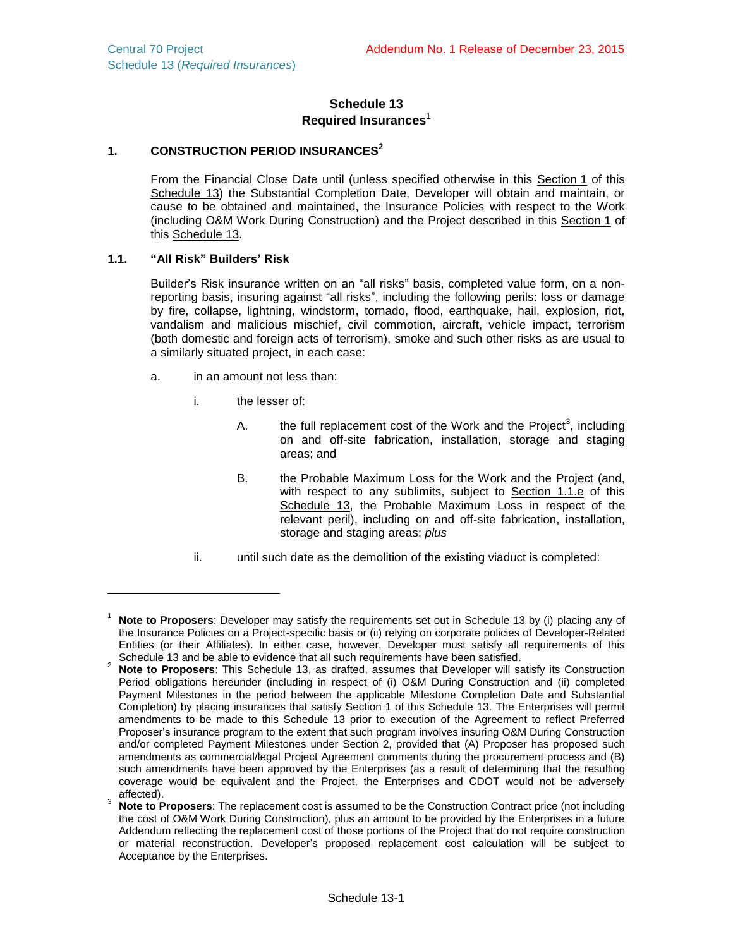## **Schedule 13 Required Insurances**<sup>1</sup>

# **1. CONSTRUCTION PERIOD INSURANCES<sup>2</sup>**

From the Financial Close Date until (unless specified otherwise in this Section 1 of this Schedule 13) the Substantial Completion Date, Developer will obtain and maintain, or cause to be obtained and maintained, the Insurance Policies with respect to the Work (including O&M Work During Construction) and the Project described in this Section 1 of this Schedule 13.

## <span id="page-53-0"></span>**1.1. "All Risk" Builders' Risk**

 $\overline{a}$ 

Builder's Risk insurance written on an "all risks" basis, completed value form, on a nonreporting basis, insuring against "all risks", including the following perils: loss or damage by fire, collapse, lightning, windstorm, tornado, flood, earthquake, hail, explosion, riot, vandalism and malicious mischief, civil commotion, aircraft, vehicle impact, terrorism (both domestic and foreign acts of terrorism), smoke and such other risks as are usual to a similarly situated project, in each case:

- a. in an amount not less than:
	- i. the lesser of:
		- A. the full replacement cost of the Work and the Project<sup>3</sup>, including on and off-site fabrication, installation, storage and staging areas; and
		- B. the Probable Maximum Loss for the Work and the Project (and, with respect to any sublimits, subject to Section [1.1.e](#page-54-0) of this Schedule 13, the Probable Maximum Loss in respect of the relevant peril), including on and off-site fabrication, installation, storage and staging areas; *plus*
	- ii. until such date as the demolition of the existing viaduct is completed:

<sup>1</sup> **Note to Proposers**: Developer may satisfy the requirements set out in Schedule 13 by (i) placing any of the Insurance Policies on a Project-specific basis or (ii) relying on corporate policies of Developer-Related Entities (or their Affiliates). In either case, however, Developer must satisfy all requirements of this Schedule 13 and be able to evidence that all such requirements have been satisfied.

<sup>&</sup>lt;sup>2</sup> Note to Proposers: This Schedule 13, as drafted, assumes that Developer will satisfy its Construction Period obligations hereunder (including in respect of (i) O&M During Construction and (ii) completed Payment Milestones in the period between the applicable Milestone Completion Date and Substantial Completion) by placing insurances that satisfy Section 1 of this Schedule 13. The Enterprises will permit amendments to be made to this Schedule 13 prior to execution of the Agreement to reflect Preferred Proposer's insurance program to the extent that such program involves insuring O&M During Construction and/or completed Payment Milestones under Section 2, provided that (A) Proposer has proposed such amendments as commercial/legal Project Agreement comments during the procurement process and (B) such amendments have been approved by the Enterprises (as a result of determining that the resulting coverage would be equivalent and the Project, the Enterprises and CDOT would not be adversely affected).

<sup>3</sup> **Note to Proposers**: The replacement cost is assumed to be the Construction Contract price (not including the cost of O&M Work During Construction), plus an amount to be provided by the Enterprises in a future Addendum reflecting the replacement cost of those portions of the Project that do not require construction or material reconstruction. Developer's proposed replacement cost calculation will be subject to Acceptance by the Enterprises.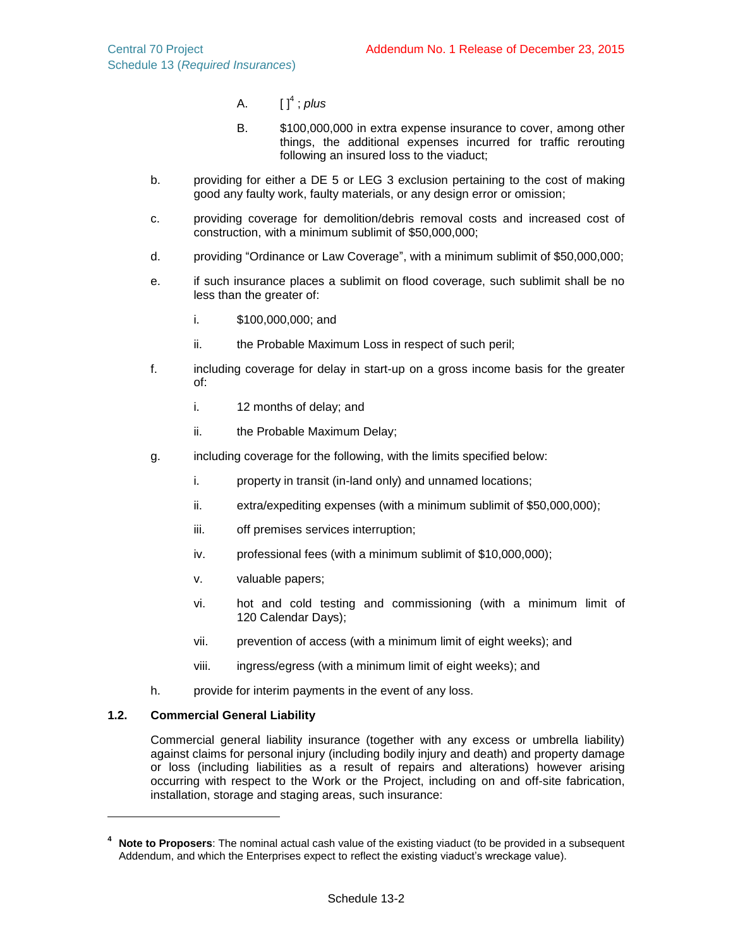- A. [ ] 4 ; *plus*
- B. \$100,000,000 in extra expense insurance to cover, among other things, the additional expenses incurred for traffic rerouting following an insured loss to the viaduct;
- b. providing for either a DE 5 or LEG 3 exclusion pertaining to the cost of making good any faulty work, faulty materials, or any design error or omission;
- c. providing coverage for demolition/debris removal costs and increased cost of construction, with a minimum sublimit of \$50,000,000;
- d. providing "Ordinance or Law Coverage", with a minimum sublimit of \$50,000,000;
- <span id="page-54-0"></span>e. if such insurance places a sublimit on flood coverage, such sublimit shall be no less than the greater of:
	- i. \$100,000,000; and
	- ii. the Probable Maximum Loss in respect of such peril;
- f. including coverage for delay in start-up on a gross income basis for the greater of:
	- i. 12 months of delay; and
	- ii. the Probable Maximum Delay;
- g. including coverage for the following, with the limits specified below:
	- i. property in transit (in-land only) and unnamed locations;
	- ii. extra/expediting expenses (with a minimum sublimit of \$50,000,000);
	- iii. off premises services interruption;
	- iv. professional fees (with a minimum sublimit of \$10,000,000);
	- v. valuable papers;
	- vi. hot and cold testing and commissioning (with a minimum limit of 120 Calendar Days);
	- vii. prevention of access (with a minimum limit of eight weeks); and
	- viii. ingress/egress (with a minimum limit of eight weeks); and
- h. provide for interim payments in the event of any loss.

## **1.2. Commercial General Liability**

Commercial general liability insurance (together with any excess or umbrella liability) against claims for personal injury (including bodily injury and death) and property damage or loss (including liabilities as a result of repairs and alterations) however arising occurring with respect to the Work or the Project, including on and off-site fabrication, installation, storage and staging areas, such insurance:

**<sup>4</sup> Note to Proposers**: The nominal actual cash value of the existing viaduct (to be provided in a subsequent Addendum, and which the Enterprises expect to reflect the existing viaduct's wreckage value).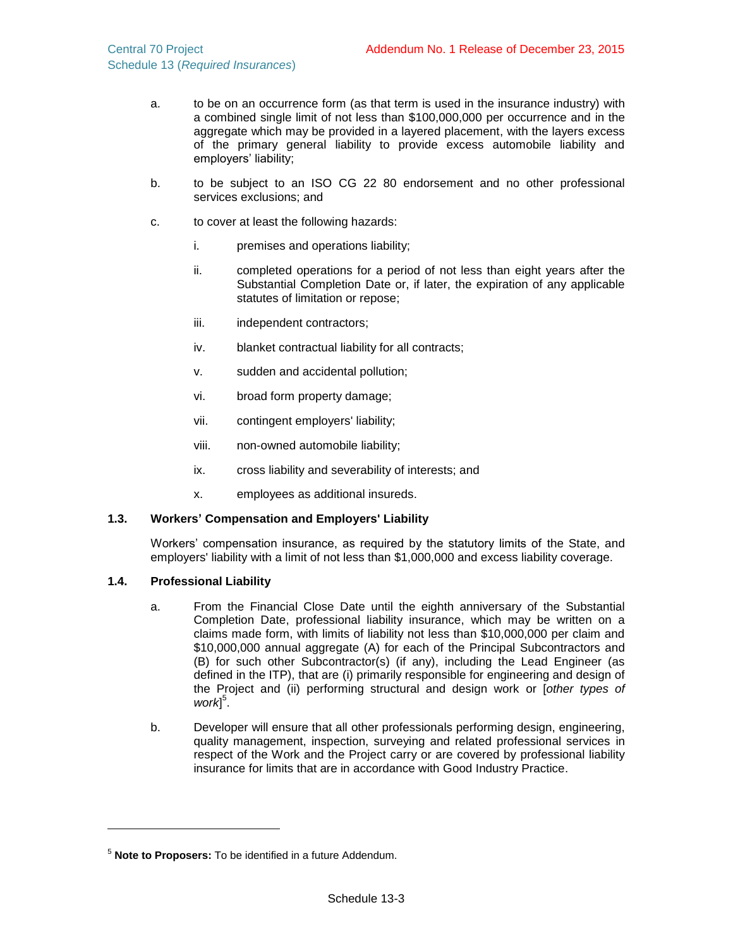- a. to be on an occurrence form (as that term is used in the insurance industry) with a combined single limit of not less than \$100,000,000 per occurrence and in the aggregate which may be provided in a layered placement, with the layers excess of the primary general liability to provide excess automobile liability and employers' liability;
- b. to be subject to an ISO CG 22 80 endorsement and no other professional services exclusions; and
- c. to cover at least the following hazards:
	- i. premises and operations liability;
	- ii. completed operations for a period of not less than eight years after the Substantial Completion Date or, if later, the expiration of any applicable statutes of limitation or repose;
	- iii. independent contractors;
	- iv. blanket contractual liability for all contracts;
	- v. sudden and accidental pollution;
	- vi. broad form property damage;
	- vii. contingent employers' liability;
	- viii. non-owned automobile liability;
	- ix. cross liability and severability of interests; and
	- x. employees as additional insureds.

## **1.3. Workers' Compensation and Employers' Liability**

Workers' compensation insurance, as required by the statutory limits of the State, and employers' liability with a limit of not less than \$1,000,000 and excess liability coverage.

## **1.4. Professional Liability**

- a. From the Financial Close Date until the eighth anniversary of the Substantial Completion Date, professional liability insurance, which may be written on a claims made form, with limits of liability not less than \$10,000,000 per claim and \$10,000,000 annual aggregate (A) for each of the Principal Subcontractors and (B) for such other Subcontractor(s) (if any), including the Lead Engineer (as defined in the ITP), that are (i) primarily responsible for engineering and design of the Project and (ii) performing structural and design work or [*other types of*  work<sup>[5]</sup>.
- b. Developer will ensure that all other professionals performing design, engineering, quality management, inspection, surveying and related professional services in respect of the Work and the Project carry or are covered by professional liability insurance for limits that are in accordance with Good Industry Practice.

<sup>5</sup> **Note to Proposers:** To be identified in a future Addendum.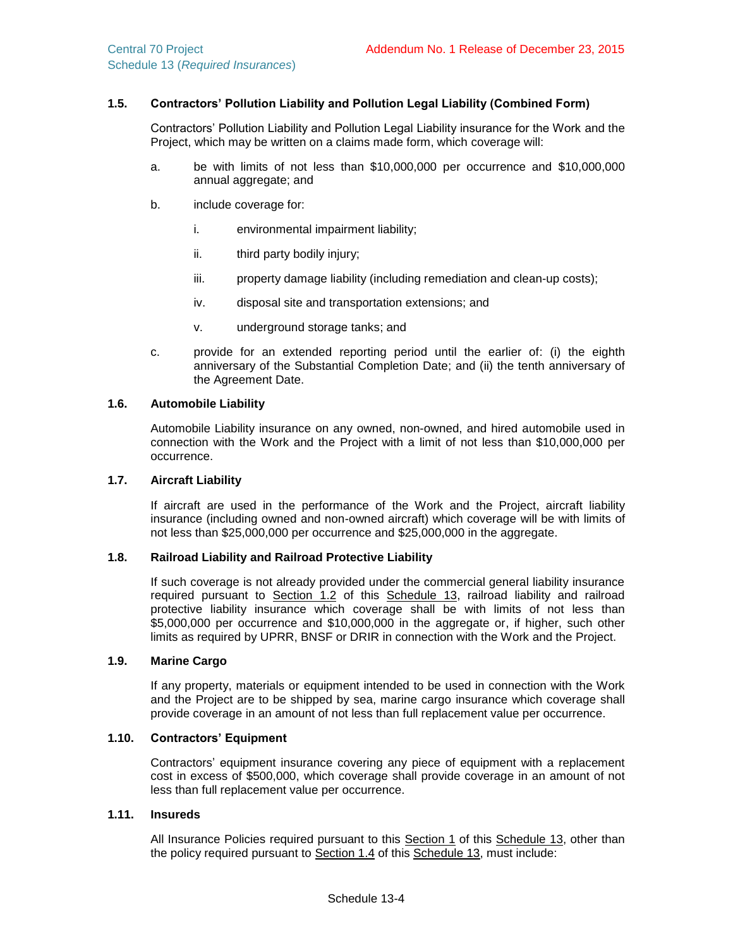### **1.5. Contractors' Pollution Liability and Pollution Legal Liability (Combined Form)**

Contractors' Pollution Liability and Pollution Legal Liability insurance for the Work and the Project, which may be written on a claims made form, which coverage will:

- a. be with limits of not less than \$10,000,000 per occurrence and \$10,000,000 annual aggregate; and
- b. include coverage for:
	- i. environmental impairment liability;
	- ii. third party bodily injury;
	- iii. property damage liability (including remediation and clean-up costs);
	- iv. disposal site and transportation extensions; and
	- v. underground storage tanks; and
- c. provide for an extended reporting period until the earlier of: (i) the eighth anniversary of the Substantial Completion Date; and (ii) the tenth anniversary of the Agreement Date.

### **1.6. Automobile Liability**

Automobile Liability insurance on any owned, non-owned, and hired automobile used in connection with the Work and the Project with a limit of not less than \$10,000,000 per occurrence.

### **1.7. Aircraft Liability**

If aircraft are used in the performance of the Work and the Project, aircraft liability insurance (including owned and non-owned aircraft) which coverage will be with limits of not less than \$25,000,000 per occurrence and \$25,000,000 in the aggregate.

#### **1.8. Railroad Liability and Railroad Protective Liability**

If such coverage is not already provided under the commercial general liability insurance required pursuant to Section 1.2 of this Schedule 13, railroad liability and railroad protective liability insurance which coverage shall be with limits of not less than \$5,000,000 per occurrence and \$10,000,000 in the aggregate or, if higher, such other limits as required by UPRR, BNSF or DRIR in connection with the Work and the Project.

### **1.9. Marine Cargo**

If any property, materials or equipment intended to be used in connection with the Work and the Project are to be shipped by sea, marine cargo insurance which coverage shall provide coverage in an amount of not less than full replacement value per occurrence.

### **1.10. Contractors' Equipment**

Contractors' equipment insurance covering any piece of equipment with a replacement cost in excess of \$500,000, which coverage shall provide coverage in an amount of not less than full replacement value per occurrence.

### **1.11. Insureds**

All Insurance Policies required pursuant to this Section 1 of this Schedule 13, other than the policy required pursuant to Section 1.4 of this Schedule 13, must include: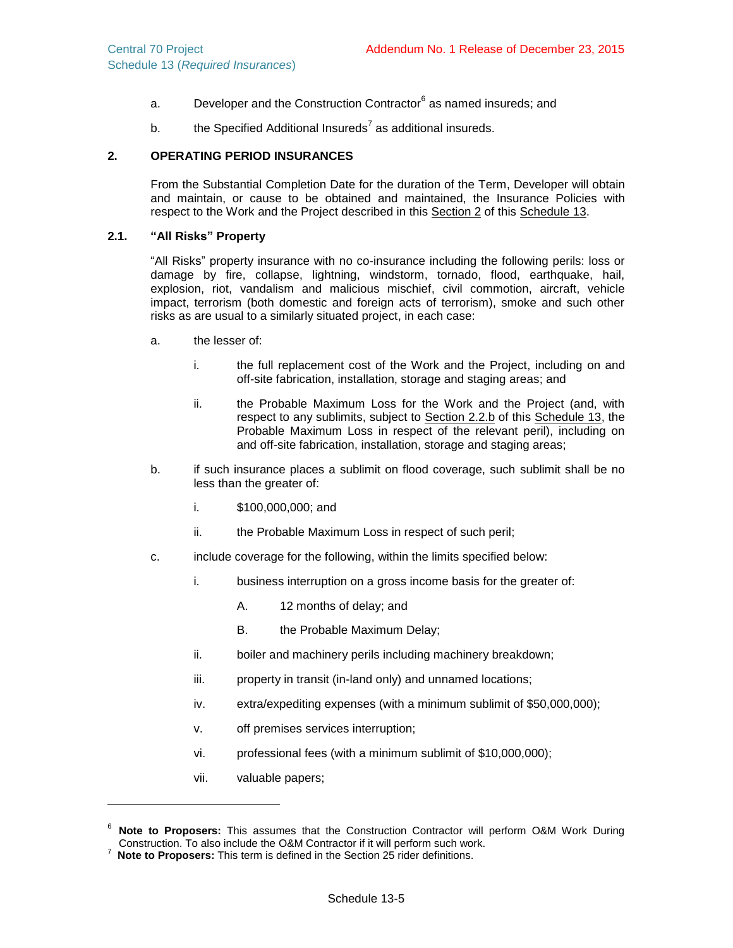- a. Correloper and the Construction Contractor<sup>6</sup> as named insureds; and
- b.  $t$  the Specified Additional Insureds<sup>7</sup> as additional insureds.

### **2. OPERATING PERIOD INSURANCES**

From the Substantial Completion Date for the duration of the Term, Developer will obtain and maintain, or cause to be obtained and maintained, the Insurance Policies with respect to the Work and the Project described in this Section 2 of this Schedule 13.

## <span id="page-57-0"></span>**2.1. "All Risks" Property**

"All Risks" property insurance with no co-insurance including the following perils: loss or damage by fire, collapse, lightning, windstorm, tornado, flood, earthquake, hail, explosion, riot, vandalism and malicious mischief, civil commotion, aircraft, vehicle impact, terrorism (both domestic and foreign acts of terrorism), smoke and such other risks as are usual to a similarly situated project, in each case:

- a. the lesser of:
	- i. the full replacement cost of the Work and the Project, including on and off-site fabrication, installation, storage and staging areas; and
	- ii. the Probable Maximum Loss for the Work and the Project (and, with respect to any sublimits, subject to Section [2.2.b](#page-58-0) of this Schedule 13, the Probable Maximum Loss in respect of the relevant peril), including on and off-site fabrication, installation, storage and staging areas;
- b. if such insurance places a sublimit on flood coverage, such sublimit shall be no less than the greater of:
	- i. \$100,000,000; and
	- ii. the Probable Maximum Loss in respect of such peril;
- c. include coverage for the following, within the limits specified below:
	- i. business interruption on a gross income basis for the greater of:
		- A. 12 months of delay; and
		- B. the Probable Maximum Delay;
	- ii. boiler and machinery perils including machinery breakdown;
	- iii. property in transit (in-land only) and unnamed locations;
	- iv. extra/expediting expenses (with a minimum sublimit of \$50,000,000);
	- v. off premises services interruption;
	- vi. professional fees (with a minimum sublimit of \$10,000,000);
	- vii. valuable papers;

 $\overline{a}$ 

<sup>6</sup> **Note to Proposers:** This assumes that the Construction Contractor will perform O&M Work During Construction. To also include the O&M Contractor if it will perform such work.

<sup>7</sup> **Note to Proposers:** This term is defined in the Section 25 rider definitions.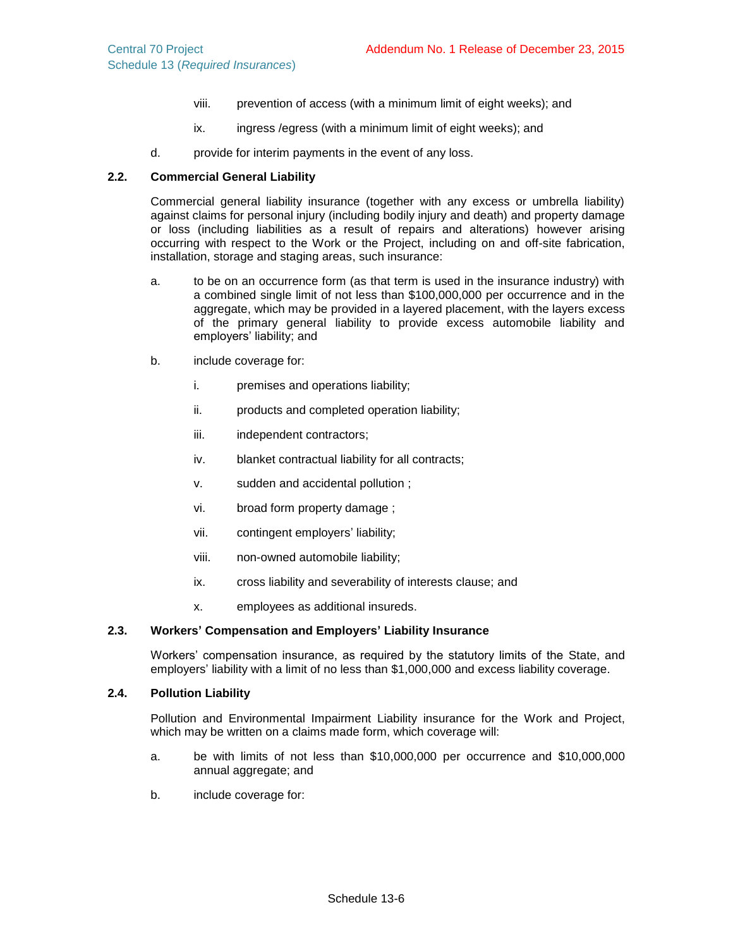- viii. prevention of access (with a minimum limit of eight weeks); and
- ix. ingress /egress (with a minimum limit of eight weeks); and
- d. provide for interim payments in the event of any loss.

### **2.2. Commercial General Liability**

Commercial general liability insurance (together with any excess or umbrella liability) against claims for personal injury (including bodily injury and death) and property damage or loss (including liabilities as a result of repairs and alterations) however arising occurring with respect to the Work or the Project, including on and off-site fabrication, installation, storage and staging areas, such insurance:

- a. to be on an occurrence form (as that term is used in the insurance industry) with a combined single limit of not less than \$100,000,000 per occurrence and in the aggregate, which may be provided in a layered placement, with the layers excess of the primary general liability to provide excess automobile liability and employers' liability; and
- <span id="page-58-0"></span>b. include coverage for:
	- i. premises and operations liability;
	- ii. products and completed operation liability;
	- iii. independent contractors;
	- iv. blanket contractual liability for all contracts;
	- v. sudden and accidental pollution ;
	- vi. broad form property damage ;
	- vii. contingent employers' liability;
	- viii. non-owned automobile liability;
	- ix. cross liability and severability of interests clause; and
	- x. employees as additional insureds.

#### **2.3. Workers' Compensation and Employers' Liability Insurance**

Workers' compensation insurance, as required by the statutory limits of the State, and employers' liability with a limit of no less than \$1,000,000 and excess liability coverage.

### **2.4. Pollution Liability**

Pollution and Environmental Impairment Liability insurance for the Work and Project, which may be written on a claims made form, which coverage will:

- a. be with limits of not less than \$10,000,000 per occurrence and \$10,000,000 annual aggregate; and
- b. include coverage for: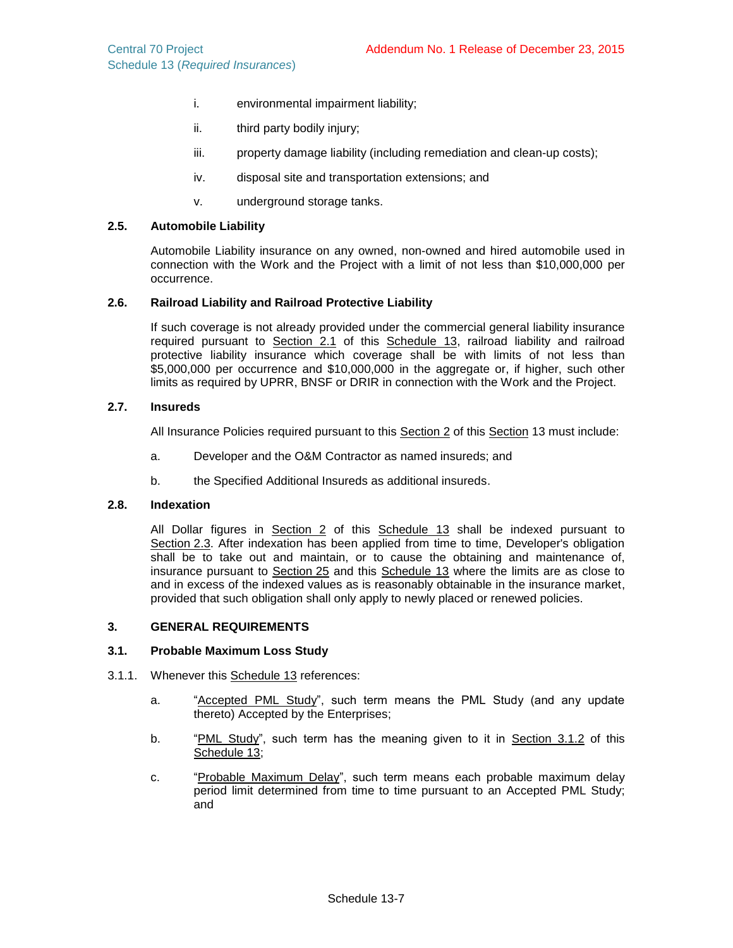- i. environmental impairment liability;
- ii. third party bodily injury;
- iii. property damage liability (including remediation and clean-up costs);
- iv. disposal site and transportation extensions; and
- v. underground storage tanks.

## **2.5. Automobile Liability**

Automobile Liability insurance on any owned, non-owned and hired automobile used in connection with the Work and the Project with a limit of not less than \$10,000,000 per occurrence.

## **2.6. Railroad Liability and Railroad Protective Liability**

If such coverage is not already provided under the commercial general liability insurance required pursuant to Section 2.1 of this Schedule 13, railroad liability and railroad protective liability insurance which coverage shall be with limits of not less than \$5,000,000 per occurrence and \$10,000,000 in the aggregate or, if higher, such other limits as required by UPRR, BNSF or DRIR in connection with the Work and the Project.

### **2.7. Insureds**

All Insurance Policies required pursuant to this Section 2 of this Section 13 must include:

- a. Developer and the O&M Contractor as named insureds; and
- b. the Specified Additional Insureds as additional insureds.

### **2.8. Indexation**

All Dollar figures in Section 2 of this Schedule 13 shall be indexed pursuant to Section 2.3. After indexation has been applied from time to time, Developer's obligation shall be to take out and maintain, or to cause the obtaining and maintenance of, insurance pursuant to Section 25 and this Schedule 13 where the limits are as close to and in excess of the indexed values as is reasonably obtainable in the insurance market, provided that such obligation shall only apply to newly placed or renewed policies.

#### **3. GENERAL REQUIREMENTS**

### **3.1. Probable Maximum Loss Study**

- 3.1.1. Whenever this Schedule 13 references:
	- a. "Accepted PML Study", such term means the PML Study (and any update thereto) Accepted by the Enterprises;
	- b. "PML Study", such term has the meaning given to it in Section [3.1.2](#page-60-0) of this Schedule 13;
	- c. "Probable Maximum Delay", such term means each probable maximum delay period limit determined from time to time pursuant to an Accepted PML Study; and